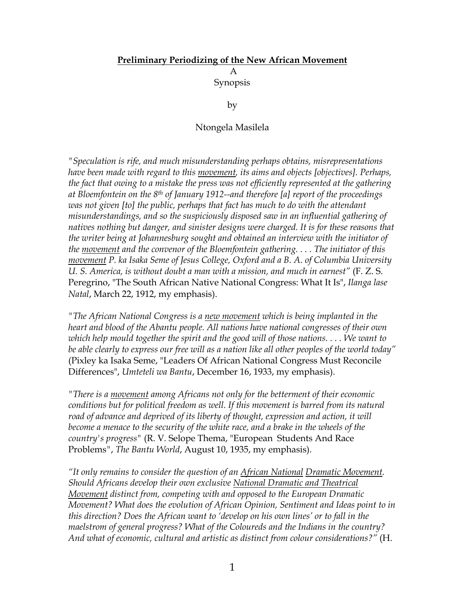## **Preliminary Periodizing of the New African Movement**

A

Synopsis

by

## Ntongela Masilela

*"Speculation is rife, and much misunderstanding perhaps obtains, misrepresentations have been made with regard to this movement, its aims and objects [objectives]. Perhaps, the fact that owing to a mistake the press was not efficiently represented at the gathering at Bloemfontein on the 8th of January 1912--and therefore [a] report of the proceedings*  was not given [to] the public, perhaps that fact has much to do with the attendant *misunderstandings, and so the suspiciously disposed saw in an influential gathering of natives nothing but danger, and sinister designs were charged. It is for these reasons that the writer being at Johannesburg sought and obtained an interview with the initiator of the movement and the convenor of the Bloemfontein gathering. . . . The initiator of this movement P. ka Isaka Seme of Jesus College, Oxford and a B. A. of Columbia University U. S. America, is without doubt a man with a mission, and much in earnest"* (F. Z. S. Peregrino, "The South African Native National Congress: What It Is", *Ilanga lase Natal*, March 22, 1912, my emphasis).

*"The African National Congress is a new movement which is being implanted in the heart and blood of the Abantu people. All nations have national congresses of their own which help mould together the spirit and the good will of those nations. . . . We want to be able clearly to express our free will as a nation like all other peoples of the world today"* (Pixley ka Isaka Seme, "Leaders Of African National Congress Must Reconcile Differences", *Umteteli wa Bantu*, December 16, 1933, my emphasis).

*"There is a movement among Africans not only for the betterment of their economic conditions but for political freedom as well. If this movement is barred from its natural road of advance and deprived of its liberty of thought, expression and action, it will become a menace to the security of the white race, and a brake in the wheels of the country's progress"* (R. V*.* Selope Thema, "European Students And Race Problems*"*, *The Bantu World*, August 10, 1935, my emphasis).

*"It only remains to consider the question of an African National Dramatic Movement. Should Africans develop their own exclusive National Dramatic and Theatrical Movement distinct from, competing with and opposed to the European Dramatic Movement? What does the evolution of African Opinion, Sentiment and Ideas point to in this direction? Does the African want to 'develop on his own lines' or to fall in the maelstrom of general progress? What of the Coloureds and the Indians in the country? And what of economic, cultural and artistic as distinct from colour considerations?"* (H.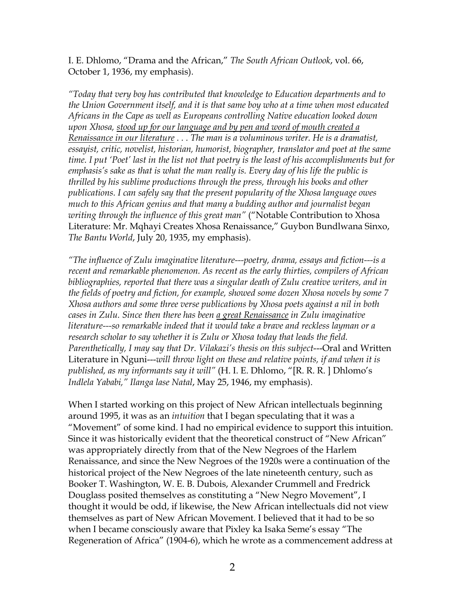I. E. Dhlomo, "Drama and the African," *The South African Outlook*, vol. 66, October 1, 1936, my emphasis).

*"Today that very boy has contributed that knowledge to Education departments and to the Union Government itself, and it is that same boy who at a time when most educated Africans in the Cape as well as Europeans controlling Native education looked down upon Xhosa, stood up for our language and by pen and word of mouth created a Renaissance in our literature . . . The man is a voluminous writer. He is a dramatist, essayist, critic, novelist, historian, humorist, biographer, translator and poet at the same time. I put 'Poet' last in the list not that poetry is the least of his accomplishments but for emphasis's sake as that is what the man really is. Every day of his life the public is thrilled by his sublime productions through the press, through his books and other publications. I can safely say that the present popularity of the Xhosa language owes much to this African genius and that many a budding author and journalist began writing through the influence of this great man"* ("Notable Contribution to Xhosa Literature: Mr. Mqhayi Creates Xhosa Renaissance," Guybon Bundlwana Sinxo, *The Bantu World*, July 20, 1935, my emphasis).

*"The influence of Zulu imaginative literature---poetry, drama, essays and fiction---is a recent and remarkable phenomenon. As recent as the early thirties, compilers of African bibliographies, reported that there was a singular death of Zulu creative writers, and in the fields of poetry and fiction, for example, showed some dozen Xhosa novels by some 7 Xhosa authors and some three verse publications by Xhosa poets against a nil in both cases in Zulu. Since then there has been a great Renaissance in Zulu imaginative literature---so remarkable indeed that it would take a brave and reckless layman or a research scholar to say whether it is Zulu or Xhosa today that leads the field. Parenthetically, I may say that Dr. Vilakazi's thesis on this subject*---Oral and Written Literature in Nguni---*will throw light on these and relative points, if and when it is published, as my informants say it will"* (H. I. E. Dhlomo, "[R. R. R. ] Dhlomo's *Indlela Yababi," Ilanga lase Natal*, May 25, 1946, my emphasis).

When I started working on this project of New African intellectuals beginning around 1995, it was as an *intuition* that I began speculating that it was a "Movement" of some kind. I had no empirical evidence to support this intuition. Since it was historically evident that the theoretical construct of "New African" was appropriately directly from that of the New Negroes of the Harlem Renaissance, and since the New Negroes of the 1920s were a continuation of the historical project of the New Negroes of the late nineteenth century, such as Booker T. Washington, W. E. B. Dubois, Alexander Crummell and Fredrick Douglass posited themselves as constituting a "New Negro Movement", I thought it would be odd, if likewise, the New African intellectuals did not view themselves as part of New African Movement. I believed that it had to be so when I became consciously aware that Pixley ka Isaka Seme's essay "The Regeneration of Africa" (1904-6), which he wrote as a commencement address at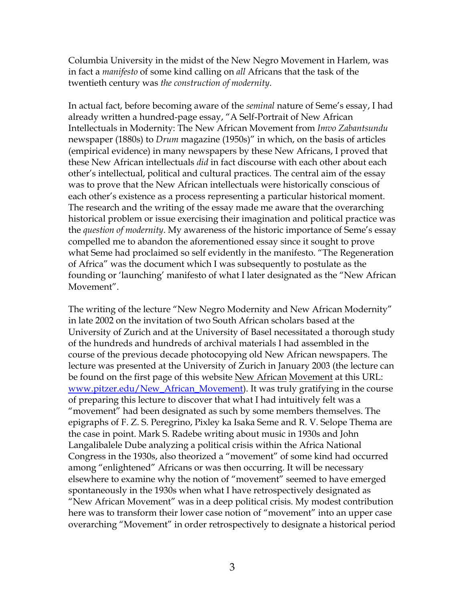Columbia University in the midst of the New Negro Movement in Harlem, was in fact a *manifesto* of some kind calling on *all* Africans that the task of the twentieth century was *the construction of modernity*.

In actual fact, before becoming aware of the *seminal* nature of Seme's essay, I had already written a hundred-page essay, "A Self-Portrait of New African Intellectuals in Modernity: The New African Movement from *Imvo Zabantsundu* newspaper (1880s) to *Drum* magazine (1950s)" in which, on the basis of articles (empirical evidence) in many newspapers by these New Africans, I proved that these New African intellectuals *did* in fact discourse with each other about each other's intellectual, political and cultural practices. The central aim of the essay was to prove that the New African intellectuals were historically conscious of each other's existence as a process representing a particular historical moment. The research and the writing of the essay made me aware that the overarching historical problem or issue exercising their imagination and political practice was the *question of modernity*. My awareness of the historic importance of Seme's essay compelled me to abandon the aforementioned essay since it sought to prove what Seme had proclaimed so self evidently in the manifesto. "The Regeneration of Africa" was the document which I was subsequently to postulate as the founding or 'launching' manifesto of what I later designated as the "New African Movement".

The writing of the lecture "New Negro Modernity and New African Modernity" in late 2002 on the invitation of two South African scholars based at the University of Zurich and at the University of Basel necessitated a thorough study of the hundreds and hundreds of archival materials I had assembled in the course of the previous decade photocopying old New African newspapers. The lecture was presented at the University of Zurich in January 2003 (the lecture can be found on the first page of this website New African Movement at this URL: [www.pitzer.edu/New\\_African\\_Movement](http://www.pitzer.edu/New_African_Movement)). It was truly gratifying in the course of preparing this lecture to discover that what I had intuitively felt was a "movement" had been designated as such by some members themselves. The epigraphs of F. Z. S. Peregrino, Pixley ka Isaka Seme and R. V. Selope Thema are the case in point. Mark S. Radebe writing about music in 1930s and John Langalibalele Dube analyzing a political crisis within the Africa National Congress in the 1930s, also theorized a "movement" of some kind had occurred among "enlightened" Africans or was then occurring. It will be necessary elsewhere to examine why the notion of "movement" seemed to have emerged spontaneously in the 1930s when what I have retrospectively designated as "New African Movement" was in a deep political crisis. My modest contribution here was to transform their lower case notion of "movement" into an upper case overarching "Movement" in order retrospectively to designate a historical period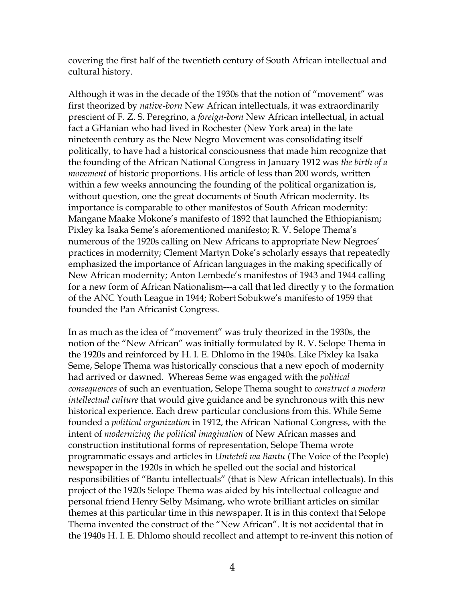covering the first half of the twentieth century of South African intellectual and cultural history.

Although it was in the decade of the 1930s that the notion of "movement" was first theorized by *native-born* New African intellectuals, it was extraordinarily prescient of F. Z. S. Peregrino, a *foreign-born* New African intellectual, in actual fact a GHanian who had lived in Rochester (New York area) in the late nineteenth century as the New Negro Movement was consolidating itself politically, to have had a historical consciousness that made him recognize that the founding of the African National Congress in January 1912 was *the birth of a movement* of historic proportions. His article of less than 200 words, written within a few weeks announcing the founding of the political organization is, without question, one the great documents of South African modernity. Its importance is comparable to other manifestos of South African modernity: Mangane Maake Mokone's manifesto of 1892 that launched the Ethiopianism; Pixley ka Isaka Seme's aforementioned manifesto; R. V. Selope Thema's numerous of the 1920s calling on New Africans to appropriate New Negroes' practices in modernity; Clement Martyn Doke's scholarly essays that repeatedly emphasized the importance of African languages in the making specifically of New African modernity; Anton Lembede's manifestos of 1943 and 1944 calling for a new form of African Nationalism---a call that led directly y to the formation of the ANC Youth League in 1944; Robert Sobukwe's manifesto of 1959 that founded the Pan Africanist Congress.

In as much as the idea of "movement" was truly theorized in the 1930s, the notion of the "New African" was initially formulated by R. V. Selope Thema in the 1920s and reinforced by H. I. E. Dhlomo in the 1940s. Like Pixley ka Isaka Seme, Selope Thema was historically conscious that a new epoch of modernity had arrived or dawned. Whereas Seme was engaged with the *political consequences* of such an eventuation, Selope Thema sought to *construct a modern intellectual culture* that would give guidance and be synchronous with this new historical experience. Each drew particular conclusions from this. While Seme founded a *political organization* in 1912, the African National Congress, with the intent of *modernizing the political imagination* of New African masses and construction institutional forms of representation, Selope Thema wrote programmatic essays and articles in *Umteteli wa Bantu* (The Voice of the People) newspaper in the 1920s in which he spelled out the social and historical responsibilities of "Bantu intellectuals" (that is New African intellectuals). In this project of the 1920s Selope Thema was aided by his intellectual colleague and personal friend Henry Selby Msimang, who wrote brilliant articles on similar themes at this particular time in this newspaper. It is in this context that Selope Thema invented the construct of the "New African". It is not accidental that in the 1940s H. I. E. Dhlomo should recollect and attempt to re-invent this notion of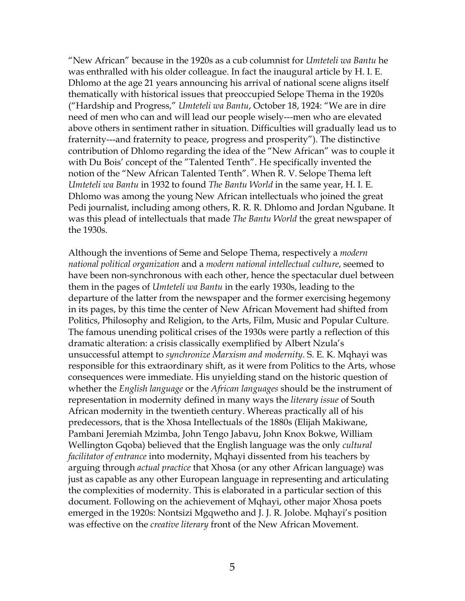"New African" because in the 1920s as a cub columnist for *Umteteli wa Bantu* he was enthralled with his older colleague. In fact the inaugural article by H. I. E. Dhlomo at the age 21 years announcing his arrival of national scene aligns itself thematically with historical issues that preoccupied Selope Thema in the 1920s ("Hardship and Progress," *Umteteli wa Bantu*, October 18, 1924: "We are in dire need of men who can and will lead our people wisely---men who are elevated above others in sentiment rather in situation. Difficulties will gradually lead us to fraternity---and fraternity to peace, progress and prosperity"). The distinctive contribution of Dhlomo regarding the idea of the "New African" was to couple it with Du Bois' concept of the "Talented Tenth". He specifically invented the notion of the "New African Talented Tenth". When R. V. Selope Thema left *Umteteli wa Bantu* in 1932 to found *The Bantu World* in the same year, H. I. E. Dhlomo was among the young New African intellectuals who joined the great Pedi journalist, including among others, R. R. R. Dhlomo and Jordan Ngubane. It was this plead of intellectuals that made *The Bantu World* the great newspaper of the 1930s.

Although the inventions of Seme and Selope Thema, respectively a *modern national political organization* and a *modern national intellectual culture*, seemed to have been non-synchronous with each other, hence the spectacular duel between them in the pages of *Umteteli wa Bantu* in the early 1930s, leading to the departure of the latter from the newspaper and the former exercising hegemony in its pages, by this time the center of New African Movement had shifted from Politics, Philosophy and Religion, to the Arts, Film, Music and Popular Culture. The famous unending political crises of the 1930s were partly a reflection of this dramatic alteration: a crisis classically exemplified by Albert Nzula's unsuccessful attempt to *synchronize Marxism and modernity*. S. E. K. Mqhayi was responsible for this extraordinary shift, as it were from Politics to the Arts, whose consequences were immediate. His unyielding stand on the historic question of whether the *English language* or the *African languages* should be the instrument of representation in modernity defined in many ways the *literary issue* of South African modernity in the twentieth century. Whereas practically all of his predecessors, that is the Xhosa Intellectuals of the 1880s (Elijah Makiwane, Pambani Jeremiah Mzimba, John Tengo Jabavu, John Knox Bokwe, William Wellington Gqoba) believed that the English language was the only *cultural facilitator of entrance* into modernity, Mqhayi dissented from his teachers by arguing through *actual practice* that Xhosa (or any other African language) was just as capable as any other European language in representing and articulating the complexities of modernity. This is elaborated in a particular section of this document. Following on the achievement of Mqhayi, other major Xhosa poets emerged in the 1920s: Nontsizi Mgqwetho and J. J. R. Jolobe. Mqhayi's position was effective on the *creative literary* front of the New African Movement.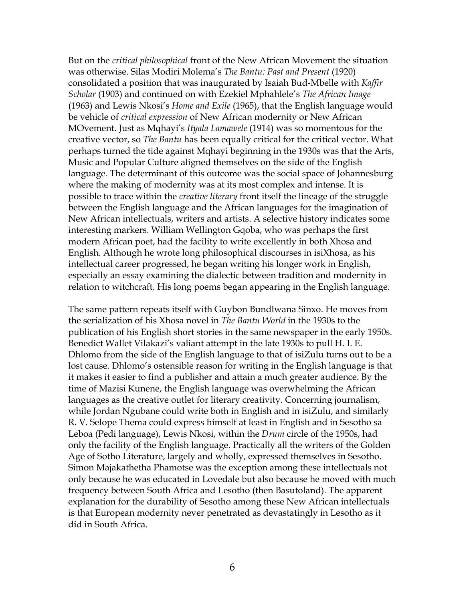But on the *critical philosophical* front of the New African Movement the situation was otherwise. Silas Modiri Molema's *The Bantu: Past and Present* (1920) consolidated a position that was inaugurated by Isaiah Bud-Mbelle with *Kaffir Scholar* (1903) and continued on with Ezekiel Mphahlele's *The African Image* (1963) and Lewis Nkosi's *Home and Exile* (1965), that the English language would be vehicle of *critical expression* of New African modernity or New African MOvement. Just as Mqhayi's *Ityala Lamawele* (1914) was so momentous for the creative vector, so *The Bantu* has been equally critical for the critical vector. What perhaps turned the tide against Mqhayi beginning in the 1930s was that the Arts, Music and Popular Culture aligned themselves on the side of the English language. The determinant of this outcome was the social space of Johannesburg where the making of modernity was at its most complex and intense. It is possible to trace within the *creative literary* front itself the lineage of the struggle between the English language and the African languages for the imagination of New African intellectuals, writers and artists. A selective history indicates some interesting markers. William Wellington Gqoba, who was perhaps the first modern African poet, had the facility to write excellently in both Xhosa and English. Although he wrote long philosophical discourses in isiXhosa, as his intellectual career progressed, he began writing his longer work in English, especially an essay examining the dialectic between tradition and modernity in relation to witchcraft. His long poems began appearing in the English language.

The same pattern repeats itself with Guybon Bundlwana Sinxo. He moves from the serialization of his Xhosa novel in *The Bantu World* in the 1930s to the publication of his English short stories in the same newspaper in the early 1950s. Benedict Wallet Vilakazi's valiant attempt in the late 1930s to pull H. I. E. Dhlomo from the side of the English language to that of isiZulu turns out to be a lost cause. Dhlomo's ostensible reason for writing in the English language is that it makes it easier to find a publisher and attain a much greater audience. By the time of Mazisi Kunene, the English language was overwhelming the African languages as the creative outlet for literary creativity. Concerning journalism, while Jordan Ngubane could write both in English and in isiZulu, and similarly R. V. Selope Thema could express himself at least in English and in Sesotho sa Leboa (Pedi language), Lewis Nkosi, within the *Drum* circle of the 1950s, had only the facility of the English language. Practically all the writers of the Golden Age of Sotho Literature, largely and wholly, expressed themselves in Sesotho. Simon Majakathetha Phamotse was the exception among these intellectuals not only because he was educated in Lovedale but also because he moved with much frequency between South Africa and Lesotho (then Basutoland). The apparent explanation for the durability of Sesotho among these New African intellectuals is that European modernity never penetrated as devastatingly in Lesotho as it did in South Africa.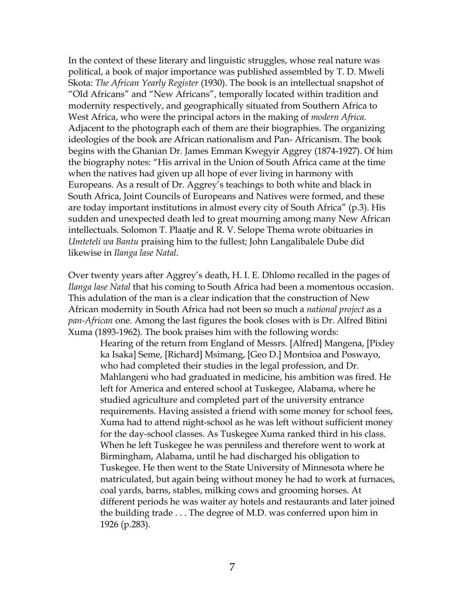In the context of these literary and linguistic struggles, whose real nature was political, a book of major importance was published assembled by T. D. Mweli Skota: *The African Yearly Register* (1930). The book is an intellectual snapshot of "Old Africans" and "New Africans", temporally located within tradition and modernity respectively, and geographically situated from Southern Africa to West Africa, who were the principal actors in the making of *modern Africa*. Adjacent to the photograph each of them are their biographies. The organizing ideologies of the book are African nationalism and Pan- Africanism. The book begins with the Ghanian Dr. James Emman Kwegyir Aggrey (1874-1927). Of him the biography notes: "His arrival in the Union of South Africa came at the time when the natives had given up all hope of ever living in harmony with Europeans. As a result of Dr. Aggrey's teachings to both white and black in South Africa, Joint Councils of Europeans and Natives were formed, and these are today important institutions in almost every city of South Africa" (p.3). His sudden and unexpected death led to great mourning among many New African intellectuals. Solomon T. Plaatje and R. V. Selope Thema wrote obituaries in *Umteteli wa Bantu* praising him to the fullest; John Langalibalele Dube did likewise in *Ilanga lase Natal*.

Over twenty years after Aggrey's death, H. I. E. Dhlomo recalled in the pages of *Ilanga lase Natal* that his coming to South Africa had been a momentous occasion. This adulation of the man is a clear indication that the construction of New African modernity in South Africa had not been so much a *national project* as a *pan-African* one. Among the last figures the book closes with is Dr. Alfred Bitini Xuma (1893-1962). The book praises him with the following words:

 Hearing of the return from England of Messrs. [Alfred] Mangena, [Pixley ka Isaka] Seme, [Richard] Msimang, [Geo D.] Montsioa and Poswayo, who had completed their studies in the legal profession, and Dr. Mahlangeni who had graduated in medicine, his ambition was fired. He left for America and entered school at Tuskegee, Alabama, where he studied agriculture and completed part of the university entrance requirements. Having assisted a friend with some money for school fees, Xuma had to attend night-school as he was left without sufficient money for the day-school classes. As Tuskegee Xuma ranked third in his class. When he left Tuskegee he was penniless and therefore went to work at Birmingham, Alabama, until he had discharged his obligation to Tuskegee. He then went to the State University of Minnesota where he matriculated, but again being without money he had to work at furnaces, coal yards, barns, stables, milking cows and grooming horses. At different periods he was waiter ay hotels and restaurants and later joined the building trade . . . The degree of M.D. was conferred upon him in 1926 (p.283).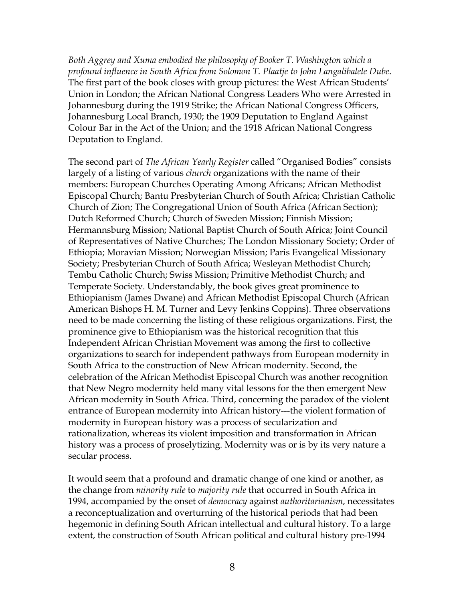*Both Aggrey and Xuma embodied the philosophy of Booker T. Washington which a profound influence in South Africa from Solomon T. Plaatje to John Langalibalele Dube*. The first part of the book closes with group pictures: the West African Students' Union in London; the African National Congress Leaders Who were Arrested in Johannesburg during the 1919 Strike; the African National Congress Officers, Johannesburg Local Branch, 1930; the 1909 Deputation to England Against Colour Bar in the Act of the Union; and the 1918 African National Congress Deputation to England.

The second part of *The African Yearly Register* called "Organised Bodies" consists largely of a listing of various *church* organizations with the name of their members: European Churches Operating Among Africans; African Methodist Episcopal Church; Bantu Presbyterian Church of South Africa; Christian Catholic Church of Zion; The Congregational Union of South Africa (African Section); Dutch Reformed Church; Church of Sweden Mission; Finnish Mission; Hermannsburg Mission; National Baptist Church of South Africa; Joint Council of Representatives of Native Churches; The London Missionary Society; Order of Ethiopia; Moravian Mission; Norwegian Mission; Paris Evangelical Missionary Society; Presbyterian Church of South Africa; Wesleyan Methodist Church; Tembu Catholic Church; Swiss Mission; Primitive Methodist Church; and Temperate Society. Understandably, the book gives great prominence to Ethiopianism (James Dwane) and African Methodist Episcopal Church (African American Bishops H. M. Turner and Levy Jenkins Coppins). Three observations need to be made concerning the listing of these religious organizations. First, the prominence give to Ethiopianism was the historical recognition that this Independent African Christian Movement was among the first to collective organizations to search for independent pathways from European modernity in South Africa to the construction of New African modernity. Second, the celebration of the African Methodist Episcopal Church was another recognition that New Negro modernity held many vital lessons for the then emergent New African modernity in South Africa. Third, concerning the paradox of the violent entrance of European modernity into African history---the violent formation of modernity in European history was a process of secularization and rationalization, whereas its violent imposition and transformation in African history was a process of proselytizing. Modernity was or is by its very nature a secular process.

It would seem that a profound and dramatic change of one kind or another, as the change from *minority rule* to *majority rule* that occurred in South Africa in 1994, accompanied by the onset of *democracy* against *authoritarianism*, necessitates a reconceptualization and overturning of the historical periods that had been hegemonic in defining South African intellectual and cultural history. To a large extent, the construction of South African political and cultural history pre-1994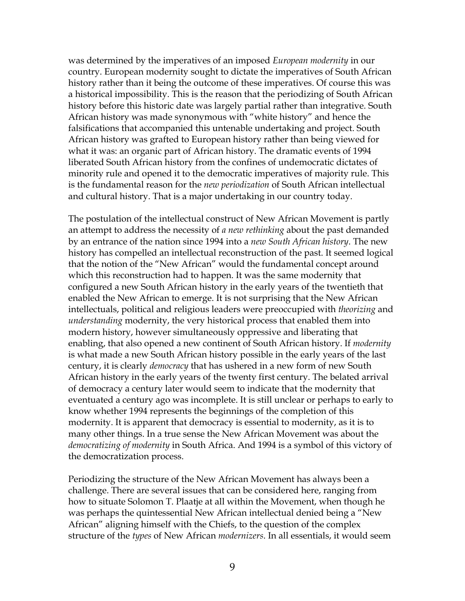was determined by the imperatives of an imposed *European modernity* in our country. European modernity sought to dictate the imperatives of South African history rather than it being the outcome of these imperatives. Of course this was a historical impossibility. This is the reason that the periodizing of South African history before this historic date was largely partial rather than integrative. South African history was made synonymous with "white history" and hence the falsifications that accompanied this untenable undertaking and project. South African history was grafted to European history rather than being viewed for what it was: an organic part of African history. The dramatic events of 1994 liberated South African history from the confines of undemocratic dictates of minority rule and opened it to the democratic imperatives of majority rule. This is the fundamental reason for the *new periodization* of South African intellectual and cultural history. That is a major undertaking in our country today.

The postulation of the intellectual construct of New African Movement is partly an attempt to address the necessity of *a new rethinking* about the past demanded by an entrance of the nation since 1994 into a *new South African history*. The new history has compelled an intellectual reconstruction of the past. It seemed logical that the notion of the "New African" would the fundamental concept around which this reconstruction had to happen. It was the same modernity that configured a new South African history in the early years of the twentieth that enabled the New African to emerge. It is not surprising that the New African intellectuals, political and religious leaders were preoccupied with *theorizing* and *understanding* modernity, the very historical process that enabled them into modern history, however simultaneously oppressive and liberating that enabling, that also opened a new continent of South African history. If *modernity* is what made a new South African history possible in the early years of the last century, it is clearly *democracy* that has ushered in a new form of new South African history in the early years of the twenty first century. The belated arrival of democracy a century later would seem to indicate that the modernity that eventuated a century ago was incomplete. It is still unclear or perhaps to early to know whether 1994 represents the beginnings of the completion of this modernity. It is apparent that democracy is essential to modernity, as it is to many other things. In a true sense the New African Movement was about the *democratizing of modernity* in South Africa. And 1994 is a symbol of this victory of the democratization process.

Periodizing the structure of the New African Movement has always been a challenge. There are several issues that can be considered here, ranging from how to situate Solomon T. Plaatje at all within the Movement, when though he was perhaps the quintessential New African intellectual denied being a "New African" aligning himself with the Chiefs, to the question of the complex structure of the *types* of New African *modernizers*. In all essentials, it would seem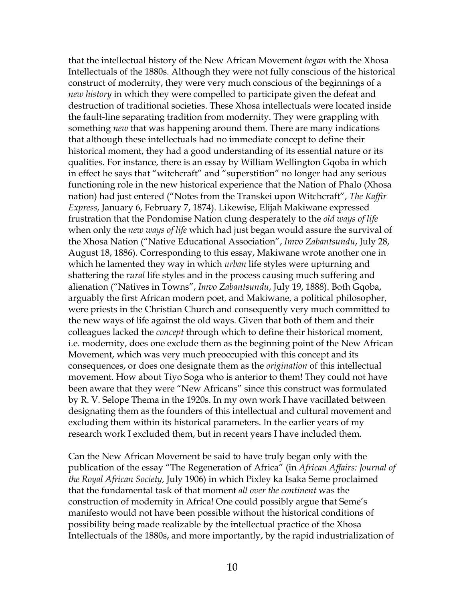that the intellectual history of the New African Movement *began* with the Xhosa Intellectuals of the 1880s. Although they were not fully conscious of the historical construct of modernity, they were very much conscious of the beginnings of a *new history* in which they were compelled to participate given the defeat and destruction of traditional societies. These Xhosa intellectuals were located inside the fault-line separating tradition from modernity. They were grappling with something *new* that was happening around them. There are many indications that although these intellectuals had no immediate concept to define their historical moment, they had a good understanding of its essential nature or its qualities. For instance, there is an essay by William Wellington Gqoba in which in effect he says that "witchcraft" and "superstition" no longer had any serious functioning role in the new historical experience that the Nation of Phalo (Xhosa nation) had just entered ("Notes from the Transkei upon Witchcraft", *The Kaffir Express*, January 6, February 7, 1874). Likewise, Elijah Makiwane expressed frustration that the Pondomise Nation clung desperately to the *old ways of life* when only the *new ways of life* which had just began would assure the survival of the Xhosa Nation ("Native Educational Association", *Imvo Zabantsundu*, July 28, August 18, 1886). Corresponding to this essay, Makiwane wrote another one in which he lamented they way in which *urban* life styles were upturning and shattering the *rural* life styles and in the process causing much suffering and alienation ("Natives in Towns", *Imvo Zabantsundu*, July 19, 1888). Both Gqoba, arguably the first African modern poet, and Makiwane, a political philosopher, were priests in the Christian Church and consequently very much committed to the new ways of life against the old ways. Given that both of them and their colleagues lacked the *concept* through which to define their historical moment, i.e. modernity, does one exclude them as the beginning point of the New African Movement, which was very much preoccupied with this concept and its consequences, or does one designate them as the *origination* of this intellectual movement. How about Tiyo Soga who is anterior to them! They could not have been aware that they were "New Africans" since this construct was formulated by R. V. Selope Thema in the 1920s. In my own work I have vacillated between designating them as the founders of this intellectual and cultural movement and excluding them within its historical parameters. In the earlier years of my research work I excluded them, but in recent years I have included them.

Can the New African Movement be said to have truly began only with the publication of the essay "The Regeneration of Africa" (in *African Affairs: Journal of the Royal African Society*, July 1906) in which Pixley ka Isaka Seme proclaimed that the fundamental task of that moment *all over the continent* was the construction of modernity in Africa! One could possibly argue that Seme's manifesto would not have been possible without the historical conditions of possibility being made realizable by the intellectual practice of the Xhosa Intellectuals of the 1880s, and more importantly, by the rapid industrialization of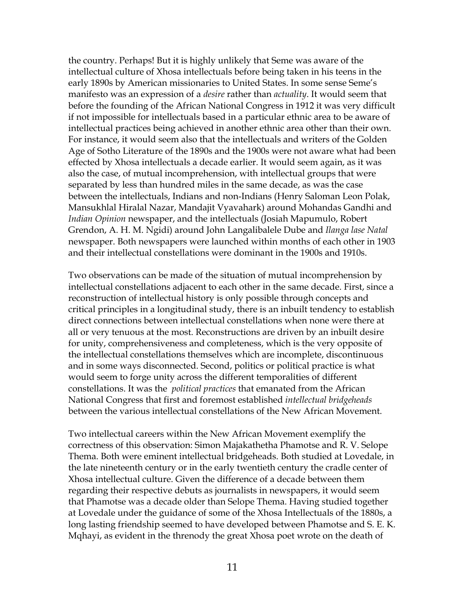the country. Perhaps! But it is highly unlikely that Seme was aware of the intellectual culture of Xhosa intellectuals before being taken in his teens in the early 1890s by American missionaries to United States. In some sense Seme's manifesto was an expression of a *desire* rather than *actuality*. It would seem that before the founding of the African National Congress in 1912 it was very difficult if not impossible for intellectuals based in a particular ethnic area to be aware of intellectual practices being achieved in another ethnic area other than their own. For instance, it would seem also that the intellectuals and writers of the Golden Age of Sotho Literature of the 1890s and the 1900s were not aware what had been effected by Xhosa intellectuals a decade earlier. It would seem again, as it was also the case, of mutual incomprehension, with intellectual groups that were separated by less than hundred miles in the same decade, as was the case between the intellectuals, Indians and non-Indians (Henry Saloman Leon Polak, Mansukhlal Hiralal Nazar, Mandajit Vyavahark) around Mohandas Gandhi and *Indian Opinion* newspaper, and the intellectuals (Josiah Mapumulo, Robert Grendon, A. H. M. Ngidi) around John Langalibalele Dube and *Ilanga lase Natal* newspaper. Both newspapers were launched within months of each other in 1903 and their intellectual constellations were dominant in the 1900s and 1910s.

Two observations can be made of the situation of mutual incomprehension by intellectual constellations adjacent to each other in the same decade. First, since a reconstruction of intellectual history is only possible through concepts and critical principles in a longitudinal study, there is an inbuilt tendency to establish direct connections between intellectual constellations when none were there at all or very tenuous at the most. Reconstructions are driven by an inbuilt desire for unity, comprehensiveness and completeness, which is the very opposite of the intellectual constellations themselves which are incomplete, discontinuous and in some ways disconnected. Second, politics or political practice is what would seem to forge unity across the different temporalities of different constellations. It was the *political practices* that emanated from the African National Congress that first and foremost established *intellectual bridgeheads* between the various intellectual constellations of the New African Movement.

Two intellectual careers within the New African Movement exemplify the correctness of this observation: Simon Majakathetha Phamotse and R. V. Selope Thema. Both were eminent intellectual bridgeheads. Both studied at Lovedale, in the late nineteenth century or in the early twentieth century the cradle center of Xhosa intellectual culture. Given the difference of a decade between them regarding their respective debuts as journalists in newspapers, it would seem that Phamotse was a decade older than Selope Thema. Having studied together at Lovedale under the guidance of some of the Xhosa Intellectuals of the 1880s, a long lasting friendship seemed to have developed between Phamotse and S. E. K. Mqhayi, as evident in the threnody the great Xhosa poet wrote on the death of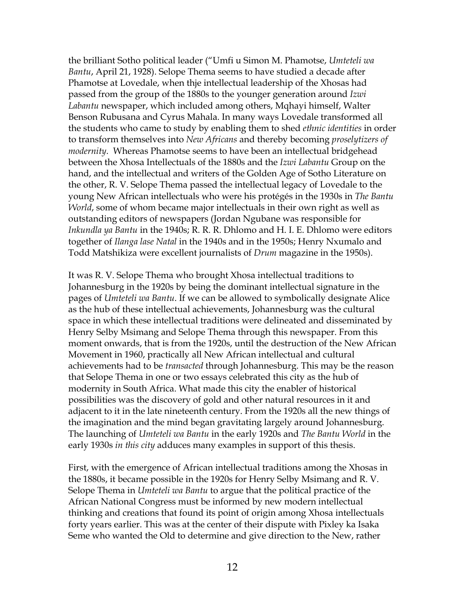the brilliant Sotho political leader ("Umfi u Simon M. Phamotse, *Umteteli wa Bantu*, April 21, 1928). Selope Thema seems to have studied a decade after Phamotse at Lovedale, when thje intellectual leadership of the Xhosas had passed from the group of the 1880s to the younger generation around *Izwi Labantu* newspaper, which included among others, Mqhayi himself, Walter Benson Rubusana and Cyrus Mahala. In many ways Lovedale transformed all the students who came to study by enabling them to shed *ethnic identities* in order to transform themselves into *New Africans* and thereby becoming *proselytizers of modernity*. Whereas Phamotse seems to have been an intellectual bridgehead between the Xhosa Intellectuals of the 1880s and the *Izwi Labantu* Group on the hand, and the intellectual and writers of the Golden Age of Sotho Literature on the other, R. V. Selope Thema passed the intellectual legacy of Lovedale to the young New African intellectuals who were his protégés in the 1930s in *The Bantu World*, some of whom became major intellectuals in their own right as well as outstanding editors of newspapers (Jordan Ngubane was responsible for *Inkundla ya Bantu* in the 1940s; R. R. R. Dhlomo and H. I. E. Dhlomo were editors together of *Ilanga lase Natal* in the 1940s and in the 1950s; Henry Nxumalo and Todd Matshikiza were excellent journalists of *Drum* magazine in the 1950s).

It was R. V. Selope Thema who brought Xhosa intellectual traditions to Johannesburg in the 1920s by being the dominant intellectual signature in the pages of *Umteteli wa Bantu*. If we can be allowed to symbolically designate Alice as the hub of these intellectual achievements, Johannesburg was the cultural space in which these intellectual traditions were delineated and disseminated by Henry Selby Msimang and Selope Thema through this newspaper. From this moment onwards, that is from the 1920s, until the destruction of the New African Movement in 1960, practically all New African intellectual and cultural achievements had to be *transacted* through Johannesburg. This may be the reason that Selope Thema in one or two essays celebrated this city as the hub of modernity in South Africa. What made this city the enabler of historical possibilities was the discovery of gold and other natural resources in it and adjacent to it in the late nineteenth century. From the 1920s all the new things of the imagination and the mind began gravitating largely around Johannesburg. The launching of *Umteteli wa Bantu* in the early 1920s and *The Bantu World* in the early 1930s *in this city* adduces many examples in support of this thesis.

First, with the emergence of African intellectual traditions among the Xhosas in the 1880s, it became possible in the 1920s for Henry Selby Msimang and R. V. Selope Thema in *Umteteli wa Bantu* to argue that the political practice of the African National Congress must be informed by new modern intellectual thinking and creations that found its point of origin among Xhosa intellectuals forty years earlier. This was at the center of their dispute with Pixley ka Isaka Seme who wanted the Old to determine and give direction to the New, rather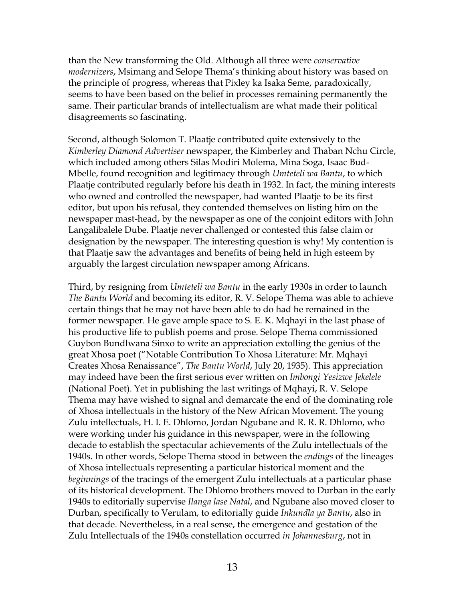than the New transforming the Old. Although all three were *conservative modernizers*, Msimang and Selope Thema's thinking about history was based on the principle of progress, whereas that Pixley ka Isaka Seme, paradoxically, seems to have been based on the belief in processes remaining permanently the same. Their particular brands of intellectualism are what made their political disagreements so fascinating.

Second, although Solomon T. Plaatje contributed quite extensively to the *Kimberley Diamond Advertiser* newspaper, the Kimberley and Thaban Nchu Circle, which included among others Silas Modiri Molema, Mina Soga, Isaac Bud-Mbelle, found recognition and legitimacy through *Umteteli wa Bantu*, to which Plaatje contributed regularly before his death in 1932. In fact, the mining interests who owned and controlled the newspaper, had wanted Plaatje to be its first editor, but upon his refusal, they contended themselves on listing him on the newspaper mast-head, by the newspaper as one of the conjoint editors with John Langalibalele Dube. Plaatje never challenged or contested this false claim or designation by the newspaper. The interesting question is why! My contention is that Plaatje saw the advantages and benefits of being held in high esteem by arguably the largest circulation newspaper among Africans.

Third, by resigning from *Umteteli wa Bantu* in the early 1930s in order to launch *The Bantu World* and becoming its editor, R. V. Selope Thema was able to achieve certain things that he may not have been able to do had he remained in the former newspaper. He gave ample space to S. E. K. Mqhayi in the last phase of his productive life to publish poems and prose. Selope Thema commissioned Guybon Bundlwana Sinxo to write an appreciation extolling the genius of the great Xhosa poet ("Notable Contribution To Xhosa Literature: Mr. Mqhayi Creates Xhosa Renaissance", *The Bantu World*, July 20, 1935). This appreciation may indeed have been the first serious ever written on *Imbongi Yesizwe Jekelele* (National Poet). Yet in publishing the last writings of Mqhayi, R. V. Selope Thema may have wished to signal and demarcate the end of the dominating role of Xhosa intellectuals in the history of the New African Movement. The young Zulu intellectuals, H. I. E. Dhlomo, Jordan Ngubane and R. R. R. Dhlomo, who were working under his guidance in this newspaper, were in the following decade to establish the spectacular achievements of the Zulu intellectuals of the 1940s. In other words, Selope Thema stood in between the *endings* of the lineages of Xhosa intellectuals representing a particular historical moment and the *beginnings* of the tracings of the emergent Zulu intellectuals at a particular phase of its historical development. The Dhlomo brothers moved to Durban in the early 1940s to editorially supervise *Ilanga lase Natal*, and Ngubane also moved closer to Durban, specifically to Verulam, to editorially guide *Inkundla ya Bantu*, also in that decade. Nevertheless, in a real sense, the emergence and gestation of the Zulu Intellectuals of the 1940s constellation occurred *in Johannesburg*, not in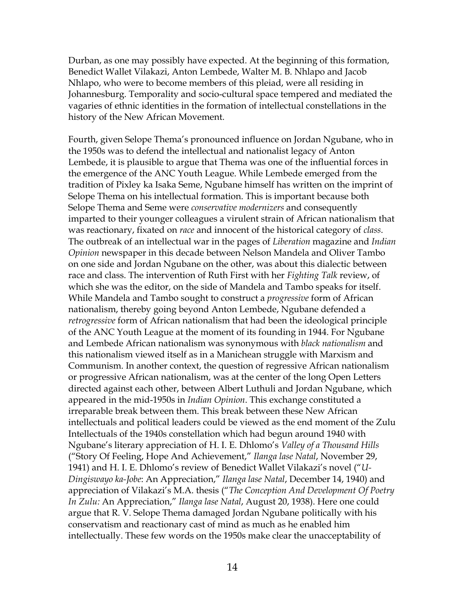Durban, as one may possibly have expected. At the beginning of this formation, Benedict Wallet Vilakazi, Anton Lembede, Walter M. B. Nhlapo and Jacob Nhlapo, who were to become members of this pleiad, were all residing in Johannesburg. Temporality and socio-cultural space tempered and mediated the vagaries of ethnic identities in the formation of intellectual constellations in the history of the New African Movement.

Fourth, given Selope Thema's pronounced influence on Jordan Ngubane, who in the 1950s was to defend the intellectual and nationalist legacy of Anton Lembede, it is plausible to argue that Thema was one of the influential forces in the emergence of the ANC Youth League. While Lembede emerged from the tradition of Pixley ka Isaka Seme, Ngubane himself has written on the imprint of Selope Thema on his intellectual formation. This is important because both Selope Thema and Seme were *conservative modernizers* and consequently imparted to their younger colleagues a virulent strain of African nationalism that was reactionary, fixated on *race* and innocent of the historical category of *class*. The outbreak of an intellectual war in the pages of *Liberation* magazine and *Indian Opinion* newspaper in this decade between Nelson Mandela and Oliver Tambo on one side and Jordan Ngubane on the other, was about this dialectic between race and class. The intervention of Ruth First with her *Fighting Talk* review, of which she was the editor, on the side of Mandela and Tambo speaks for itself. While Mandela and Tambo sought to construct a *progressive* form of African nationalism, thereby going beyond Anton Lembede, Ngubane defended a *retrogressive* form of African nationalism that had been the ideological principle of the ANC Youth League at the moment of its founding in 1944. For Ngubane and Lembede African nationalism was synonymous with *black nationalism* and this nationalism viewed itself as in a Manichean struggle with Marxism and Communism. In another context, the question of regressive African nationalism or progressive African nationalism, was at the center of the long Open Letters directed against each other, between Albert Luthuli and Jordan Ngubane, which appeared in the mid-1950s in *Indian Opinion*. This exchange constituted a irreparable break between them. This break between these New African intellectuals and political leaders could be viewed as the end moment of the Zulu Intellectuals of the 1940s constellation which had begun around 1940 with Ngubane's literary appreciation of H. I. E. Dhlomo's *Valley of a Thousand Hills* ("Story Of Feeling, Hope And Achievement," *Ilanga lase Natal*, November 29, 1941) and H. I. E. Dhlomo's review of Benedict Wallet Vilakazi's novel ("*U-Dingiswayo ka-Jobe*: An Appreciation," *Ilanga lase Natal*, December 14, 1940) and appreciation of Vilakazi's M.A. thesis ("*The Conception And Development Of Poetry In Zulu:* An Appreciation," *Ilanga lase Natal*, August 20, 1938). Here one could argue that R. V. Selope Thema damaged Jordan Ngubane politically with his conservatism and reactionary cast of mind as much as he enabled him intellectually. These few words on the 1950s make clear the unacceptability of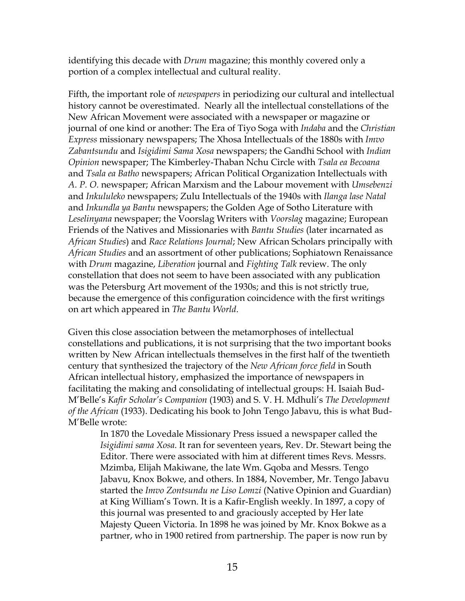identifying this decade with *Drum* magazine; this monthly covered only a portion of a complex intellectual and cultural reality.

Fifth, the important role of *newspapers* in periodizing our cultural and intellectual history cannot be overestimated. Nearly all the intellectual constellations of the New African Movement were associated with a newspaper or magazine or journal of one kind or another: The Era of Tiyo Soga with *Indaba* and the *Christian Express* missionary newspapers; The Xhosa Intellectuals of the 1880s with *Imvo Zabantsundu* and *Isigidimi Sama Xosa* newspapers; the Gandhi School with *Indian Opinion* newspaper; The Kimberley-Thaban Nchu Circle with *Tsala ea Becoana* and *Tsala ea Batho* newspapers; African Political Organization Intellectuals with *A. P. O.* newspaper; African Marxism and the Labour movement with *Umsebenzi* and *Inkululeko* newspapers; Zulu Intellectuals of the 1940s with *Ilanga lase Natal* and *Inkundla ya Bantu* newspapers; the Golden Age of Sotho Literature with *Leselinyana* newspaper; the Voorslag Writers with *Voorslag* magazine; European Friends of the Natives and Missionaries with *Bantu Studies* (later incarnated as *African Studies*) and *Race Relations Journal*; New African Scholars principally with *African Studies* and an assortment of other publications; Sophiatown Renaissance with *Drum* magazine, *Liberation* journal and *Fighting Talk* review. The only constellation that does not seem to have been associated with any publication was the Petersburg Art movement of the 1930s; and this is not strictly true, because the emergence of this configuration coincidence with the first writings on art which appeared in *The Bantu World*.

Given this close association between the metamorphoses of intellectual constellations and publications, it is not surprising that the two important books written by New African intellectuals themselves in the first half of the twentieth century that synthesized the trajectory of the *New African force field* in South African intellectual history, emphasized the importance of newspapers in facilitating the making and consolidating of intellectual groups: H. Isaiah Bud-M'Belle's *Kafir Scholar's Companion* (1903) and S. V. H. Mdhuli's *The Development of the African* (1933). Dedicating his book to John Tengo Jabavu, this is what Bud-M'Belle wrote:

 In 1870 the Lovedale Missionary Press issued a newspaper called the *Isigidimi sama Xosa*. It ran for seventeen years, Rev. Dr. Stewart being the Editor. There were associated with him at different times Revs. Messrs. Mzimba, Elijah Makiwane, the late Wm. Gqoba and Messrs. Tengo Jabavu, Knox Bokwe, and others. In 1884, November, Mr. Tengo Jabavu started the *Imvo Zontsundu ne Liso Lomzi* (Native Opinion and Guardian) at King William's Town. It is a Kafir-English weekly. In 1897, a copy of this journal was presented to and graciously accepted by Her late Majesty Queen Victoria. In 1898 he was joined by Mr. Knox Bokwe as a partner, who in 1900 retired from partnership. The paper is now run by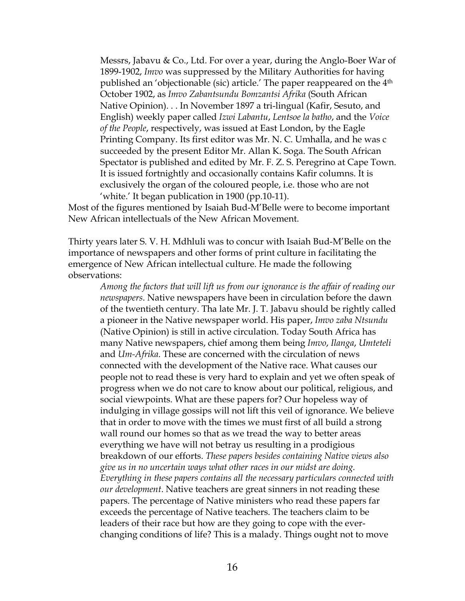Messrs, Jabavu & Co., Ltd. For over a year, during the Anglo-Boer War of 1899-1902, *Imvo* was suppressed by the Military Authorities for having published an 'objectionable (sic) article.' The paper reappeared on the 4th October 1902, as *Imvo Zabantsundu Bomzantsi Afrika* (South African Native Opinion). . . In November 1897 a tri-lingual (Kafir, Sesuto, and English) weekly paper called *Izwi Labantu*, *Lentsoe la batho*, and the *Voice of the People*, respectively, was issued at East London, by the Eagle Printing Company. Its first editor was Mr. N. C. Umhalla, and he was c succeeded by the present Editor Mr. Allan K. Soga. The South African Spectator is published and edited by Mr. F. Z. S. Peregrino at Cape Town. It is issued fortnightly and occasionally contains Kafir columns. It is exclusively the organ of the coloured people, i.e. those who are not 'white.' It began publication in 1900 (pp.10-11).

Most of the figures mentioned by Isaiah Bud-M'Belle were to become important New African intellectuals of the New African Movement.

Thirty years later S. V. H. Mdhluli was to concur with Isaiah Bud-M'Belle on the importance of newspapers and other forms of print culture in facilitating the emergence of New African intellectual culture. He made the following observations:

 *Among the factors that will lift us from our ignorance is the affair of reading our newspapers*. Native newspapers have been in circulation before the dawn of the twentieth century. Tha late Mr. J. T. Jabavu should be rightly called a pioneer in the Native newspaper world. His paper, *Imvo zaba Ntsundu* (Native Opinion) is still in active circulation. Today South Africa has many Native newspapers, chief among them being *Imvo*, *Ilanga*, *Umteteli* and *Um-Afrika*. These are concerned with the circulation of news connected with the development of the Native race. What causes our people not to read these is very hard to explain and yet we often speak of progress when we do not care to know about our political, religious, and social viewpoints. What are these papers for? Our hopeless way of indulging in village gossips will not lift this veil of ignorance. We believe that in order to move with the times we must first of all build a strong wall round our homes so that as we tread the way to better areas everything we have will not betray us resulting in a prodigious breakdown of our efforts. *These papers besides containing Native views also give us in no uncertain ways what other races in our midst are doing. Everything in these papers contains all the necessary particulars connected with our development*. Native teachers are great sinners in not reading these papers. The percentage of Native ministers who read these papers far exceeds the percentage of Native teachers. The teachers claim to be leaders of their race but how are they going to cope with the ever changing conditions of life? This is a malady. Things ought not to move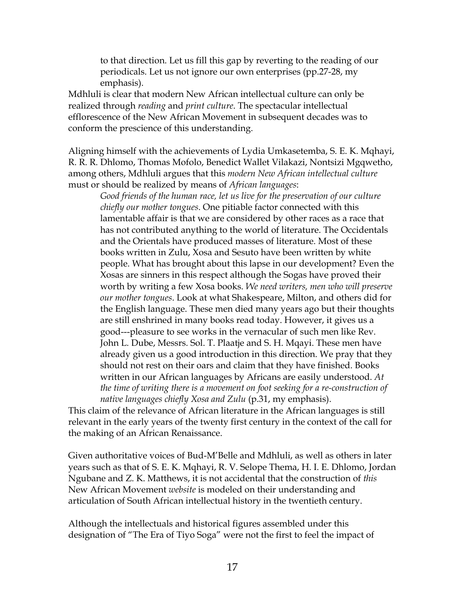to that direction. Let us fill this gap by reverting to the reading of our periodicals. Let us not ignore our own enterprises (pp.27-28, my emphasis).

Mdhluli is clear that modern New African intellectual culture can only be realized through *reading* and *print culture*. The spectacular intellectual efflorescence of the New African Movement in subsequent decades was to conform the prescience of this understanding.

Aligning himself with the achievements of Lydia Umkasetemba, S. E. K. Mqhayi, R. R. R. Dhlomo, Thomas Mofolo, Benedict Wallet Vilakazi, Nontsizi Mgqwetho, among others, Mdhluli argues that this *modern New African intellectual culture* must or should be realized by means of *African languages*:

 *Good friends of the human race, let us live for the preservation of our culture chiefly our mother tongues*. One pitiable factor connected with this lamentable affair is that we are considered by other races as a race that has not contributed anything to the world of literature. The Occidentals and the Orientals have produced masses of literature. Most of these books written in Zulu, Xosa and Sesuto have been written by white people. What has brought about this lapse in our development? Even the Xosas are sinners in this respect although the Sogas have proved their worth by writing a few Xosa books. *We need writers, men who will preserve our mother tongues*. Look at what Shakespeare, Milton, and others did for the English language. These men died many years ago but their thoughts are still enshrined in many books read today. However, it gives us a good---pleasure to see works in the vernacular of such men like Rev. John L. Dube, Messrs. Sol. T. Plaatje and S. H. Mqayi. These men have already given us a good introduction in this direction. We pray that they should not rest on their oars and claim that they have finished. Books written in our African languages by Africans are easily understood. *At the time of writing there is a movement on foot seeking for a re-construction of native languages chiefly Xosa and Zulu* (p.31, my emphasis).

This claim of the relevance of African literature in the African languages is still relevant in the early years of the twenty first century in the context of the call for the making of an African Renaissance.

Given authoritative voices of Bud-M'Belle and Mdhluli, as well as others in later years such as that of S. E. K. Mqhayi, R. V. Selope Thema, H. I. E. Dhlomo, Jordan Ngubane and Z. K. Matthews, it is not accidental that the construction of *this* New African Movement *website* is modeled on their understanding and articulation of South African intellectual history in the twentieth century.

Although the intellectuals and historical figures assembled under this designation of "The Era of Tiyo Soga" were not the first to feel the impact of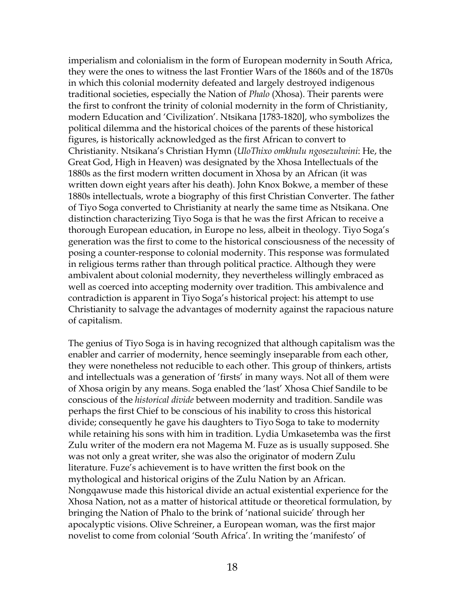imperialism and colonialism in the form of European modernity in South Africa, they were the ones to witness the last Frontier Wars of the 1860s and of the 1870s in which this colonial modernity defeated and largely destroyed indigenous traditional societies, especially the Nation of *Phalo* (Xhosa). Their parents were the first to confront the trinity of colonial modernity in the form of Christianity, modern Education and 'Civilization'. Ntsikana [1783-1820], who symbolizes the political dilemma and the historical choices of the parents of these historical figures, is historically acknowledged as the first African to convert to Christianity. Ntsikana's Christian Hymn (*UloThixo omkhulu ngosezulwini*: He, the Great God, High in Heaven) was designated by the Xhosa Intellectuals of the 1880s as the first modern written document in Xhosa by an African (it was written down eight years after his death). John Knox Bokwe, a member of these 1880s intellectuals, wrote a biography of this first Christian Converter. The father of Tiyo Soga converted to Christianity at nearly the same time as Ntsikana. One distinction characterizing Tiyo Soga is that he was the first African to receive a thorough European education, in Europe no less, albeit in theology. Tiyo Soga's generation was the first to come to the historical consciousness of the necessity of posing a counter-response to colonial modernity. This response was formulated in religious terms rather than through political practice. Although they were ambivalent about colonial modernity, they nevertheless willingly embraced as well as coerced into accepting modernity over tradition. This ambivalence and contradiction is apparent in Tiyo Soga's historical project: his attempt to use Christianity to salvage the advantages of modernity against the rapacious nature of capitalism.

The genius of Tiyo Soga is in having recognized that although capitalism was the enabler and carrier of modernity, hence seemingly inseparable from each other, they were nonetheless not reducible to each other. This group of thinkers, artists and intellectuals was a generation of 'firsts' in many ways. Not all of them were of Xhosa origin by any means. Soga enabled the 'last' Xhosa Chief Sandile to be conscious of the *historical divide* between modernity and tradition. Sandile was perhaps the first Chief to be conscious of his inability to cross this historical divide; consequently he gave his daughters to Tiyo Soga to take to modernity while retaining his sons with him in tradition. Lydia Umkasetemba was the first Zulu writer of the modern era not Magema M. Fuze as is usually supposed. She was not only a great writer, she was also the originator of modern Zulu literature. Fuze's achievement is to have written the first book on the mythological and historical origins of the Zulu Nation by an African. Nongqawuse made this historical divide an actual existential experience for the Xhosa Nation, not as a matter of historical attitude or theoretical formulation, by bringing the Nation of Phalo to the brink of 'national suicide' through her apocalyptic visions. Olive Schreiner, a European woman, was the first major novelist to come from colonial 'South Africa'. In writing the 'manifesto' of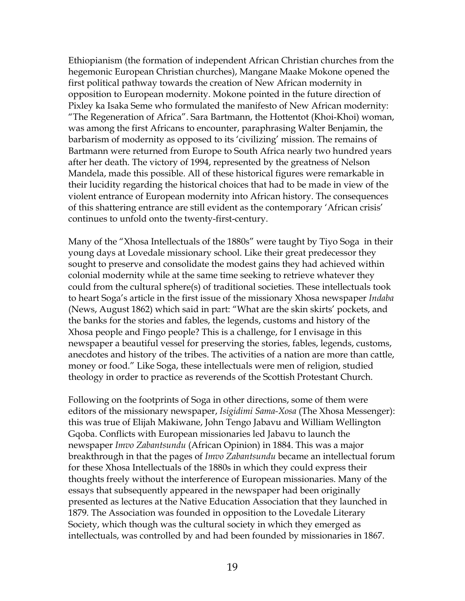Ethiopianism (the formation of independent African Christian churches from the hegemonic European Christian churches), Mangane Maake Mokone opened the first political pathway towards the creation of New African modernity in opposition to European modernity. Mokone pointed in the future direction of Pixley ka Isaka Seme who formulated the manifesto of New African modernity: "The Regeneration of Africa". Sara Bartmann, the Hottentot (Khoi-Khoi) woman, was among the first Africans to encounter, paraphrasing Walter Benjamin, the barbarism of modernity as opposed to its 'civilizing' mission. The remains of Bartmann were returned from Europe to South Africa nearly two hundred years after her death. The victory of 1994, represented by the greatness of Nelson Mandela, made this possible. All of these historical figures were remarkable in their lucidity regarding the historical choices that had to be made in view of the violent entrance of European modernity into African history. The consequences of this shattering entrance are still evident as the contemporary 'African crisis' continues to unfold onto the twenty-first-century.

Many of the "Xhosa Intellectuals of the 1880s" were taught by Tiyo Soga in their young days at Lovedale missionary school. Like their great predecessor they sought to preserve and consolidate the modest gains they had achieved within colonial modernity while at the same time seeking to retrieve whatever they could from the cultural sphere(s) of traditional societies. These intellectuals took to heart Soga's article in the first issue of the missionary Xhosa newspaper *Indaba* (News, August 1862) which said in part: "What are the skin skirts' pockets, and the banks for the stories and fables, the legends, customs and history of the Xhosa people and Fingo people? This is a challenge, for I envisage in this newspaper a beautiful vessel for preserving the stories, fables, legends, customs, anecdotes and history of the tribes. The activities of a nation are more than cattle, money or food." Like Soga, these intellectuals were men of religion, studied theology in order to practice as reverends of the Scottish Protestant Church.

Following on the footprints of Soga in other directions, some of them were editors of the missionary newspaper, *Isigidimi Sama-Xosa* (The Xhosa Messenger): this was true of Elijah Makiwane, John Tengo Jabavu and William Wellington Gqoba. Conflicts with European missionaries led Jabavu to launch the newspaper *Imvo Zabantsundu* (African Opinion) in 1884. This was a major breakthrough in that the pages of *Imvo Zabantsundu* became an intellectual forum for these Xhosa Intellectuals of the 1880s in which they could express their thoughts freely without the interference of European missionaries. Many of the essays that subsequently appeared in the newspaper had been originally presented as lectures at the Native Education Association that they launched in 1879. The Association was founded in opposition to the Lovedale Literary Society, which though was the cultural society in which they emerged as intellectuals, was controlled by and had been founded by missionaries in 1867.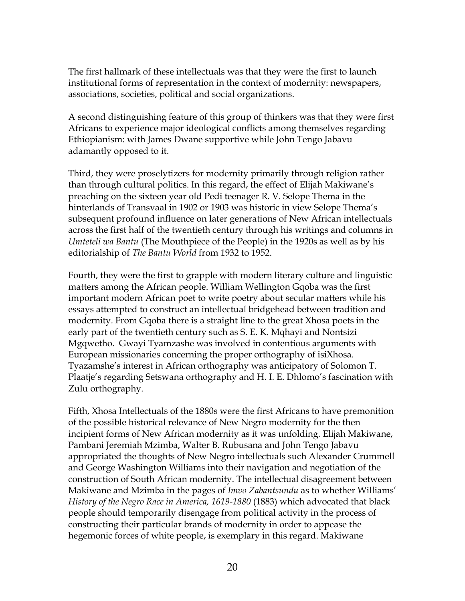The first hallmark of these intellectuals was that they were the first to launch institutional forms of representation in the context of modernity: newspapers, associations, societies, political and social organizations.

A second distinguishing feature of this group of thinkers was that they were first Africans to experience major ideological conflicts among themselves regarding Ethiopianism: with James Dwane supportive while John Tengo Jabavu adamantly opposed to it.

Third, they were proselytizers for modernity primarily through religion rather than through cultural politics. In this regard, the effect of Elijah Makiwane's preaching on the sixteen year old Pedi teenager R. V. Selope Thema in the hinterlands of Transvaal in 1902 or 1903 was historic in view Selope Thema's subsequent profound influence on later generations of New African intellectuals across the first half of the twentieth century through his writings and columns in *Umteteli wa Bantu* (The Mouthpiece of the People) in the 1920s as well as by his editorialship of *The Bantu World* from 1932 to 1952.

Fourth, they were the first to grapple with modern literary culture and linguistic matters among the African people. William Wellington Gqoba was the first important modern African poet to write poetry about secular matters while his essays attempted to construct an intellectual bridgehead between tradition and modernity. From Gqoba there is a straight line to the great Xhosa poets in the early part of the twentieth century such as S. E. K. Mqhayi and Nontsizi Mgqwetho. Gwayi Tyamzashe was involved in contentious arguments with European missionaries concerning the proper orthography of isiXhosa. Tyazamshe's interest in African orthography was anticipatory of Solomon T. Plaatje's regarding Setswana orthography and H. I. E. Dhlomo's fascination with Zulu orthography.

Fifth, Xhosa Intellectuals of the 1880s were the first Africans to have premonition of the possible historical relevance of New Negro modernity for the then incipient forms of New African modernity as it was unfolding. Elijah Makiwane, Pambani Jeremiah Mzimba, Walter B. Rubusana and John Tengo Jabavu appropriated the thoughts of New Negro intellectuals such Alexander Crummell and George Washington Williams into their navigation and negotiation of the construction of South African modernity. The intellectual disagreement between Makiwane and Mzimba in the pages of *Imvo Zabantsundu* as to whether Williams' *History of the Negro Race in America, 1619-1880* (1883) which advocated that black people should temporarily disengage from political activity in the process of constructing their particular brands of modernity in order to appease the hegemonic forces of white people, is exemplary in this regard. Makiwane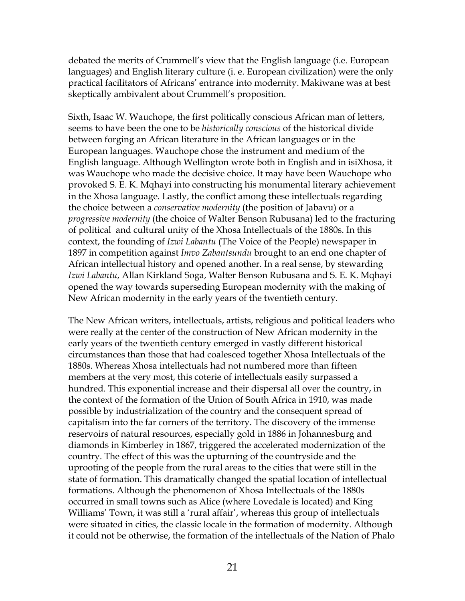debated the merits of Crummell's view that the English language (i.e. European languages) and English literary culture (i. e. European civilization) were the only practical facilitators of Africans' entrance into modernity. Makiwane was at best skeptically ambivalent about Crummell's proposition.

Sixth, Isaac W. Wauchope, the first politically conscious African man of letters, seems to have been the one to be *historically conscious* of the historical divide between forging an African literature in the African languages or in the European languages. Wauchope chose the instrument and medium of the English language. Although Wellington wrote both in English and in isiXhosa, it was Wauchope who made the decisive choice. It may have been Wauchope who provoked S. E. K. Mqhayi into constructing his monumental literary achievement in the Xhosa language. Lastly, the conflict among these intellectuals regarding the choice between a *conservative modernity* (the position of Jabavu) or a *progressive modernity* (the choice of Walter Benson Rubusana) led to the fracturing of political and cultural unity of the Xhosa Intellectuals of the 1880s. In this context, the founding of *Izwi Labantu* (The Voice of the People) newspaper in 1897 in competition against *Imvo Zabantsundu* brought to an end one chapter of African intellectual history and opened another. In a real sense, by stewarding *Izwi Labantu*, Allan Kirkland Soga, Walter Benson Rubusana and S. E. K. Mqhayi opened the way towards superseding European modernity with the making of New African modernity in the early years of the twentieth century.

The New African writers, intellectuals, artists, religious and political leaders who were really at the center of the construction of New African modernity in the early years of the twentieth century emerged in vastly different historical circumstances than those that had coalesced together Xhosa Intellectuals of the 1880s. Whereas Xhosa intellectuals had not numbered more than fifteen members at the very most, this coterie of intellectuals easily surpassed a hundred. This exponential increase and their dispersal all over the country, in the context of the formation of the Union of South Africa in 1910, was made possible by industrialization of the country and the consequent spread of capitalism into the far corners of the territory. The discovery of the immense reservoirs of natural resources, especially gold in 1886 in Johannesburg and diamonds in Kimberley in 1867, triggered the accelerated modernization of the country. The effect of this was the upturning of the countryside and the uprooting of the people from the rural areas to the cities that were still in the state of formation. This dramatically changed the spatial location of intellectual formations. Although the phenomenon of Xhosa Intellectuals of the 1880s occurred in small towns such as Alice (where Lovedale is located) and King Williams' Town, it was still a 'rural affair', whereas this group of intellectuals were situated in cities, the classic locale in the formation of modernity. Although it could not be otherwise, the formation of the intellectuals of the Nation of Phalo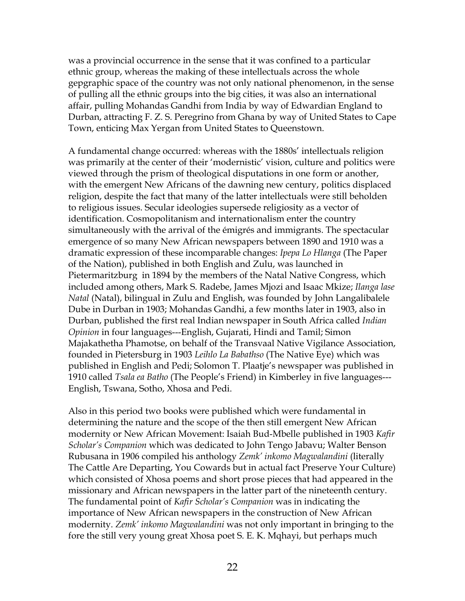was a provincial occurrence in the sense that it was confined to a particular ethnic group, whereas the making of these intellectuals across the whole gepgraphic space of the country was not only national phenomenon, in the sense of pulling all the ethnic groups into the big cities, it was also an international affair, pulling Mohandas Gandhi from India by way of Edwardian England to Durban, attracting F. Z. S. Peregrino from Ghana by way of United States to Cape Town, enticing Max Yergan from United States to Queenstown.

A fundamental change occurred: whereas with the 1880s' intellectuals religion was primarily at the center of their 'modernistic' vision, culture and politics were viewed through the prism of theological disputations in one form or another, with the emergent New Africans of the dawning new century, politics displaced religion, despite the fact that many of the latter intellectuals were still beholden to religious issues. Secular ideologies supersede religiosity as a vector of identification. Cosmopolitanism and internationalism enter the country simultaneously with the arrival of the émigrés and immigrants. The spectacular emergence of so many New African newspapers between 1890 and 1910 was a dramatic expression of these incomparable changes: *Ipepa Lo Hlanga* (The Paper of the Nation), published in both English and Zulu, was launched in Pietermaritzburg in 1894 by the members of the Natal Native Congress, which included among others, Mark S. Radebe, James Mjozi and Isaac Mkize; *Ilanga lase Natal* (Natal), bilingual in Zulu and English, was founded by John Langalibalele Dube in Durban in 1903; Mohandas Gandhi, a few months later in 1903, also in Durban, published the first real Indian newspaper in South Africa called *Indian Opinion* in four languages---English, Gujarati, Hindi and Tamil; Simon Majakathetha Phamotse, on behalf of the Transvaal Native Vigilance Association, founded in Pietersburg in 1903 *Leihlo La Babathso* (The Native Eye) which was published in English and Pedi; Solomon T. Plaatje's newspaper was published in 1910 called *Tsala ea Batho* (The People's Friend) in Kimberley in five languages--- English, Tswana, Sotho, Xhosa and Pedi.

Also in this period two books were published which were fundamental in determining the nature and the scope of the then still emergent New African modernity or New African Movement: Isaiah Bud-Mbelle published in 1903 *Kafir Scholar's Companion* which was dedicated to John Tengo Jabavu; Walter Benson Rubusana in 1906 compiled his anthology *Zemk' inkomo Magwalandini* (literally The Cattle Are Departing, You Cowards but in actual fact Preserve Your Culture) which consisted of Xhosa poems and short prose pieces that had appeared in the missionary and African newspapers in the latter part of the nineteenth century. The fundamental point of *Kafir Scholar's Companion* was in indicating the importance of New African newspapers in the construction of New African modernity. *Zemk' inkomo Magwalandini* was not only important in bringing to the fore the still very young great Xhosa poet S. E. K. Mqhayi, but perhaps much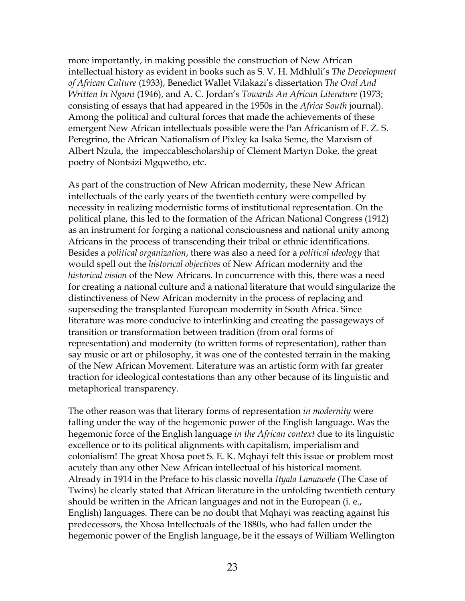more importantly, in making possible the construction of New African intellectual history as evident in books such as S. V. H. Mdhluli's *The Development of African Culture* (1933), Benedict Wallet Vilakazi's dissertation *The Oral And Written In Nguni* (1946), and A. C. Jordan's *Towards An African Literature* (1973; consisting of essays that had appeared in the 1950s in the *Africa South* journal). Among the political and cultural forces that made the achievements of these emergent New African intellectuals possible were the Pan Africanism of F. Z. S. Peregrino, the African Nationalism of Pixley ka Isaka Seme, the Marxism of Albert Nzula, the impeccablescholarship of Clement Martyn Doke, the great poetry of Nontsizi Mgqwetho, etc.

As part of the construction of New African modernity, these New African intellectuals of the early years of the twentieth century were compelled by necessity in realizing modernistic forms of institutional representation. On the political plane, this led to the formation of the African National Congress (1912) as an instrument for forging a national consciousness and national unity among Africans in the process of transcending their tribal or ethnic identifications. Besides a *political organization*, there was also a need for a *political ideology* that would spell out the *historical objectives* of New African modernity and the *historical vision* of the New Africans. In concurrence with this, there was a need for creating a national culture and a national literature that would singularize the distinctiveness of New African modernity in the process of replacing and superseding the transplanted European modernity in South Africa. Since literature was more conducive to interlinking and creating the passageways of transition or transformation between tradition (from oral forms of representation) and modernity (to written forms of representation), rather than say music or art or philosophy, it was one of the contested terrain in the making of the New African Movement. Literature was an artistic form with far greater traction for ideological contestations than any other because of its linguistic and metaphorical transparency.

The other reason was that literary forms of representation *in modernity* were falling under the way of the hegemonic power of the English language. Was the hegemonic force of the English language *in the African context* due to its linguistic excellence or to its political alignments with capitalism, imperialism and colonialism! The great Xhosa poet S. E. K. Mqhayi felt this issue or problem most acutely than any other New African intellectual of his historical moment. Already in 1914 in the Preface to his classic novella *Ityala Lamawele* (The Case of Twins) he clearly stated that African literature in the unfolding twentieth century should be written in the African languages and not in the European (i. e., English) languages. There can be no doubt that Mqhayi was reacting against his predecessors, the Xhosa Intellectuals of the 1880s, who had fallen under the hegemonic power of the English language, be it the essays of William Wellington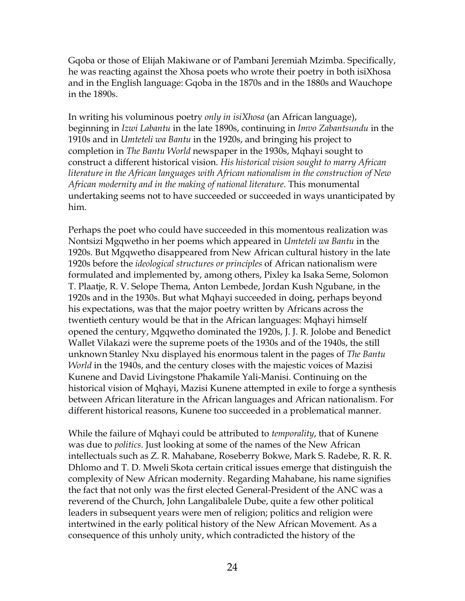Gqoba or those of Elijah Makiwane or of Pambani Jeremiah Mzimba. Specifically, he was reacting against the Xhosa poets who wrote their poetry in both isiXhosa and in the English language: Gqoba in the 1870s and in the 1880s and Wauchope in the 1890s.

In writing his voluminous poetry *only in isiXhosa* (an African language), beginning in *Izwi Labantu* in the late 1890s, continuing in *Imvo Zabantsundu* in the 1910s and in *Umteteli wa Bantu* in the 1920s, and bringing his project to completion in *The Bantu World* newspaper in the 1930s, Mqhayi sought to construct a different historical vision. *His historical vision sought to marry African literature in the African languages with African nationalism in the construction of New African modernity and in the making of national literature*. This monumental undertaking seems not to have succeeded or succeeded in ways unanticipated by him.

Perhaps the poet who could have succeeded in this momentous realization was Nontsizi Mgqwetho in her poems which appeared in *Umteteli wa Bantu* in the 1920s. But Mgqwetho disappeared from New African cultural history in the late 1920s before the *ideological structures or principles* of African nationalism were formulated and implemented by, among others, Pixley ka Isaka Seme, Solomon T. Plaatje, R. V. Selope Thema, Anton Lembede, Jordan Kush Ngubane, in the 1920s and in the 1930s. But what Mqhayi succeeded in doing, perhaps beyond his expectations, was that the major poetry written by Africans across the twentieth century would be that in the African languages: Mqhayi himself opened the century, Mgqwetho dominated the 1920s, J. J. R. Jolobe and Benedict Wallet Vilakazi were the supreme poets of the 1930s and of the 1940s, the still unknown Stanley Nxu displayed his enormous talent in the pages of *The Bantu World* in the 1940s, and the century closes with the majestic voices of Mazisi Kunene and David Livingstone Phakamile Yali-Manisi. Continuing on the historical vision of Mqhayi, Mazisi Kunene attempted in exile to forge a synthesis between African literature in the African languages and African nationalism. For different historical reasons, Kunene too succeeded in a problematical manner.

While the failure of Mqhayi could be attributed to *temporality*, that of Kunene was due to *politics*. Just looking at some of the names of the New African intellectuals such as Z. R. Mahabane, Roseberry Bokwe, Mark S. Radebe, R. R. R. Dhlomo and T. D. Mweli Skota certain critical issues emerge that distinguish the complexity of New African modernity. Regarding Mahabane, his name signifies the fact that not only was the first elected General-President of the ANC was a reverend of the Church, John Langalibalele Dube, quite a few other political leaders in subsequent years were men of religion; politics and religion were intertwined in the early political history of the New African Movement. As a consequence of this unholy unity, which contradicted the history of the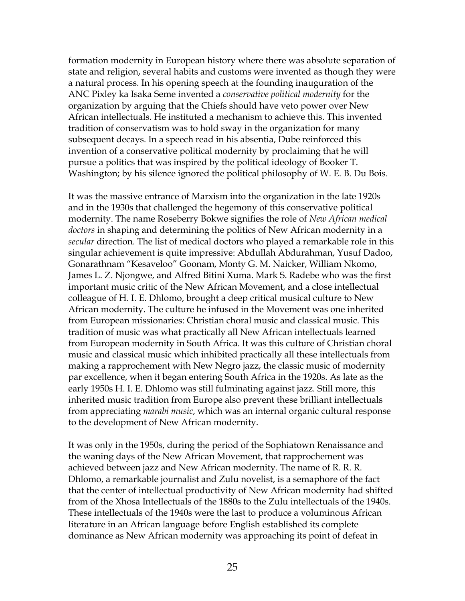formation modernity in European history where there was absolute separation of state and religion, several habits and customs were invented as though they were a natural process. In his opening speech at the founding inauguration of the ANC Pixley ka Isaka Seme invented a *conservative political modernity* for the organization by arguing that the Chiefs should have veto power over New African intellectuals. He instituted a mechanism to achieve this. This invented tradition of conservatism was to hold sway in the organization for many subsequent decays. In a speech read in his absentia, Dube reinforced this invention of a conservative political modernity by proclaiming that he will pursue a politics that was inspired by the political ideology of Booker T. Washington; by his silence ignored the political philosophy of W. E. B. Du Bois.

It was the massive entrance of Marxism into the organization in the late 1920s and in the 1930s that challenged the hegemony of this conservative political modernity. The name Roseberry Bokwe signifies the role of *New African medical doctors* in shaping and determining the politics of New African modernity in a *secular* direction. The list of medical doctors who played a remarkable role in this singular achievement is quite impressive: Abdullah Abdurahman, Yusuf Dadoo, Gonarathnam "Kesaveloo" Goonam, Monty G. M. Naicker, William Nkomo, James L. Z. Njongwe, and Alfred Bitini Xuma. Mark S. Radebe who was the first important music critic of the New African Movement, and a close intellectual colleague of H. I. E. Dhlomo, brought a deep critical musical culture to New African modernity. The culture he infused in the Movement was one inherited from European missionaries: Christian choral music and classical music. This tradition of music was what practically all New African intellectuals learned from European modernity in South Africa. It was this culture of Christian choral music and classical music which inhibited practically all these intellectuals from making a rapprochement with New Negro jazz, the classic music of modernity par excellence, when it began entering South Africa in the 1920s. As late as the early 1950s H. I. E. Dhlomo was still fulminating against jazz. Still more, this inherited music tradition from Europe also prevent these brilliant intellectuals from appreciating *marabi music*, which was an internal organic cultural response to the development of New African modernity.

It was only in the 1950s, during the period of the Sophiatown Renaissance and the waning days of the New African Movement, that rapprochement was achieved between jazz and New African modernity. The name of R. R. R. Dhlomo, a remarkable journalist and Zulu novelist, is a semaphore of the fact that the center of intellectual productivity of New African modernity had shifted from of the Xhosa Intellectuals of the 1880s to the Zulu intellectuals of the 1940s. These intellectuals of the 1940s were the last to produce a voluminous African literature in an African language before English established its complete dominance as New African modernity was approaching its point of defeat in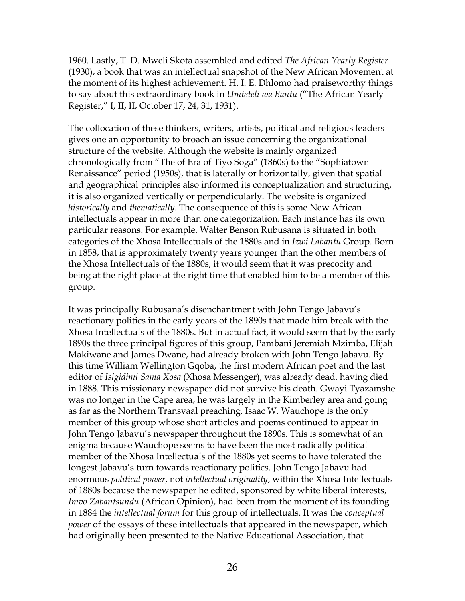1960. Lastly, T. D. Mweli Skota assembled and edited *The African Yearly Register* (1930), a book that was an intellectual snapshot of the New African Movement at the moment of its highest achievement. H. I. E. Dhlomo had praiseworthy things to say about this extraordinary book in *Umteteli wa Bantu* ("The African Yearly Register," I, II, II, October 17, 24, 31, 1931).

The collocation of these thinkers, writers, artists, political and religious leaders gives one an opportunity to broach an issue concerning the organizational structure of the website. Although the website is mainly organized chronologically from "The of Era of Tiyo Soga" (1860s) to the "Sophiatown Renaissance" period (1950s), that is laterally or horizontally, given that spatial and geographical principles also informed its conceptualization and structuring, it is also organized vertically or perpendicularly. The website is organized *historically* and *thematically*. The consequence of this is some New African intellectuals appear in more than one categorization. Each instance has its own particular reasons. For example, Walter Benson Rubusana is situated in both categories of the Xhosa Intellectuals of the 1880s and in *Izwi Labantu* Group. Born in 1858, that is approximately twenty years younger than the other members of the Xhosa Intellectuals of the 1880s, it would seem that it was precocity and being at the right place at the right time that enabled him to be a member of this group.

It was principally Rubusana's disenchantment with John Tengo Jabavu's reactionary politics in the early years of the 1890s that made him break with the Xhosa Intellectuals of the 1880s. But in actual fact, it would seem that by the early 1890s the three principal figures of this group, Pambani Jeremiah Mzimba, Elijah Makiwane and James Dwane, had already broken with John Tengo Jabavu. By this time William Wellington Gqoba, the first modern African poet and the last editor of *Isigidimi Sama Xosa* (Xhosa Messenger), was already dead, having died in 1888. This missionary newspaper did not survive his death. Gwayi Tyazamshe was no longer in the Cape area; he was largely in the Kimberley area and going as far as the Northern Transvaal preaching. Isaac W. Wauchope is the only member of this group whose short articles and poems continued to appear in John Tengo Jabavu's newspaper throughout the 1890s. This is somewhat of an enigma because Wauchope seems to have been the most radically political member of the Xhosa Intellectuals of the 1880s yet seems to have tolerated the longest Jabavu's turn towards reactionary politics. John Tengo Jabavu had enormous *political power*, not *intellectual originality*, within the Xhosa Intellectuals of 1880s because the newspaper he edited, sponsored by white liberal interests, *Imvo Zabantsundu* (African Opinion), had been from the moment of its founding in 1884 the *intellectual forum* for this group of intellectuals. It was the *conceptual power* of the essays of these intellectuals that appeared in the newspaper, which had originally been presented to the Native Educational Association, that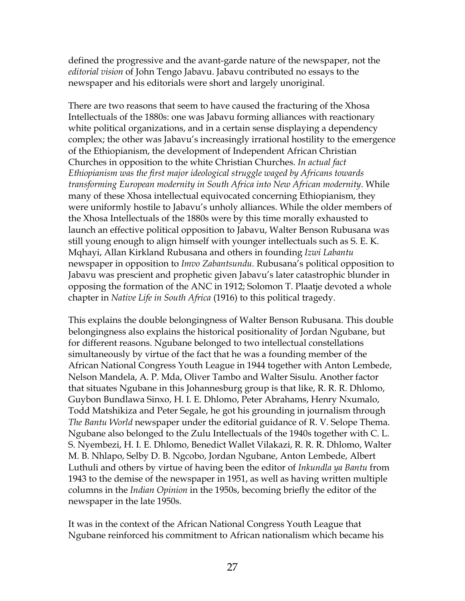defined the progressive and the avant-garde nature of the newspaper, not the *editorial vision* of John Tengo Jabavu. Jabavu contributed no essays to the newspaper and his editorials were short and largely unoriginal.

There are two reasons that seem to have caused the fracturing of the Xhosa Intellectuals of the 1880s: one was Jabavu forming alliances with reactionary white political organizations, and in a certain sense displaying a dependency complex; the other was Jabavu's increasingly irrational hostility to the emergence of the Ethiopianism, the development of Independent African Christian Churches in opposition to the white Christian Churches. *In actual fact Ethiopianism was the first major ideological struggle waged by Africans towards transforming European modernity in South Africa into New African modernity*. While many of these Xhosa intellectual equivocated concerning Ethiopianism, they were uniformly hostile to Jabavu's unholy alliances. While the older members of the Xhosa Intellectuals of the 1880s were by this time morally exhausted to launch an effective political opposition to Jabavu, Walter Benson Rubusana was still young enough to align himself with younger intellectuals such as S. E. K. Mqhayi, Allan Kirkland Rubusana and others in founding *Izwi Labantu* newspaper in opposition to *Imvo Zabantsundu*. Rubusana's political opposition to Jabavu was prescient and prophetic given Jabavu's later catastrophic blunder in opposing the formation of the ANC in 1912; Solomon T. Plaatje devoted a whole chapter in *Native Life in South Africa* (1916) to this political tragedy.

This explains the double belongingness of Walter Benson Rubusana. This double belongingness also explains the historical positionality of Jordan Ngubane, but for different reasons. Ngubane belonged to two intellectual constellations simultaneously by virtue of the fact that he was a founding member of the African National Congress Youth League in 1944 together with Anton Lembede, Nelson Mandela, A. P. Mda, Oliver Tambo and Walter Sisulu. Another factor that situates Ngubane in this Johannesburg group is that like, R. R. R. Dhlomo, Guybon Bundlawa Sinxo, H. I. E. Dhlomo, Peter Abrahams, Henry Nxumalo, Todd Matshikiza and Peter Segale, he got his grounding in journalism through *The Bantu World* newspaper under the editorial guidance of R. V. Selope Thema. Ngubane also belonged to the Zulu Intellectuals of the 1940s together with C. L. S. Nyembezi, H. I. E. Dhlomo, Benedict Wallet Vilakazi, R. R. R. Dhlomo, Walter M. B. Nhlapo, Selby D. B. Ngcobo, Jordan Ngubane, Anton Lembede, Albert Luthuli and others by virtue of having been the editor of *Inkundla ya Bantu* from 1943 to the demise of the newspaper in 1951, as well as having written multiple columns in the *Indian Opinion* in the 1950s, becoming briefly the editor of the newspaper in the late 1950s.

It was in the context of the African National Congress Youth League that Ngubane reinforced his commitment to African nationalism which became his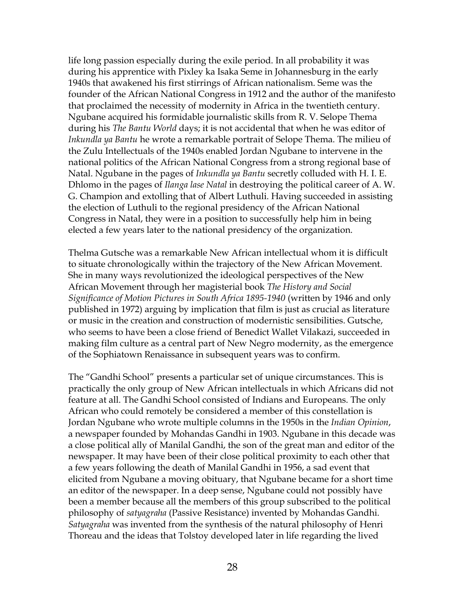life long passion especially during the exile period. In all probability it was during his apprentice with Pixley ka Isaka Seme in Johannesburg in the early 1940s that awakened his first stirrings of African nationalism. Seme was the founder of the African National Congress in 1912 and the author of the manifesto that proclaimed the necessity of modernity in Africa in the twentieth century. Ngubane acquired his formidable journalistic skills from R. V. Selope Thema during his *The Bantu World* days; it is not accidental that when he was editor of *Inkundla ya Bantu* he wrote a remarkable portrait of Selope Thema. The milieu of the Zulu Intellectuals of the 1940s enabled Jordan Ngubane to intervene in the national politics of the African National Congress from a strong regional base of Natal. Ngubane in the pages of *Inkundla ya Bantu* secretly colluded with H. I. E. Dhlomo in the pages of *Ilanga lase Natal* in destroying the political career of A. W. G. Champion and extolling that of Albert Luthuli. Having succeeded in assisting the election of Luthuli to the regional presidency of the African National Congress in Natal, they were in a position to successfully help him in being elected a few years later to the national presidency of the organization.

Thelma Gutsche was a remarkable New African intellectual whom it is difficult to situate chronologically within the trajectory of the New African Movement. She in many ways revolutionized the ideological perspectives of the New African Movement through her magisterial book *The History and Social Significance of Motion Pictures in South Africa 1895-1940* (written by 1946 and only published in 1972) arguing by implication that film is just as crucial as literature or music in the creation and construction of modernistic sensibilities. Gutsche, who seems to have been a close friend of Benedict Wallet Vilakazi, succeeded in making film culture as a central part of New Negro modernity, as the emergence of the Sophiatown Renaissance in subsequent years was to confirm.

The "Gandhi School" presents a particular set of unique circumstances. This is practically the only group of New African intellectuals in which Africans did not feature at all. The Gandhi School consisted of Indians and Europeans. The only African who could remotely be considered a member of this constellation is Jordan Ngubane who wrote multiple columns in the 1950s in the *Indian Opinion*, a newspaper founded by Mohandas Gandhi in 1903. Ngubane in this decade was a close political ally of Manilal Gandhi, the son of the great man and editor of the newspaper. It may have been of their close political proximity to each other that a few years following the death of Manilal Gandhi in 1956, a sad event that elicited from Ngubane a moving obituary, that Ngubane became for a short time an editor of the newspaper. In a deep sense, Ngubane could not possibly have been a member because all the members of this group subscribed to the political philosophy of *satyagraha* (Passive Resistance) invented by Mohandas Gandhi. *Satyagraha* was invented from the synthesis of the natural philosophy of Henri Thoreau and the ideas that Tolstoy developed later in life regarding the lived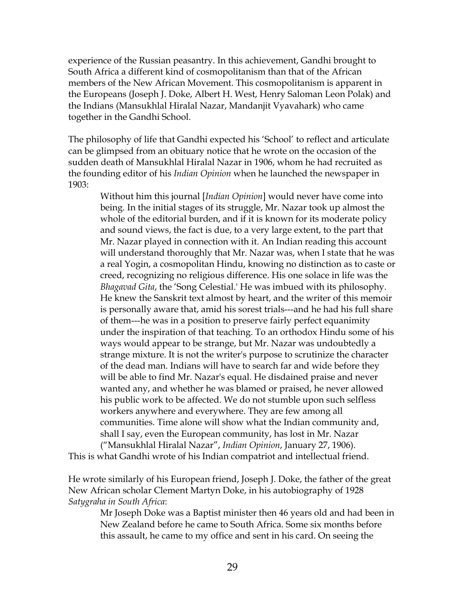experience of the Russian peasantry. In this achievement, Gandhi brought to South Africa a different kind of cosmopolitanism than that of the African members of the New African Movement. This cosmopolitanism is apparent in the Europeans (Joseph J. Doke, Albert H. West, Henry Saloman Leon Polak) and the Indians (Mansukhlal Hiralal Nazar, Mandanjit Vyavahark) who came together in the Gandhi School.

The philosophy of life that Gandhi expected his 'School' to reflect and articulate can be glimpsed from an obituary notice that he wrote on the occasion of the sudden death of Mansukhlal Hiralal Nazar in 1906, whom he had recruited as the founding editor of his *Indian Opinion* when he launched the newspaper in 1903:

 Without him this journal [*Indian Opinion*] would never have come into being. In the initial stages of its struggle, Mr. Nazar took up almost the whole of the editorial burden, and if it is known for its moderate policy and sound views, the fact is due, to a very large extent, to the part that Mr. Nazar played in connection with it. An Indian reading this account will understand thoroughly that Mr. Nazar was, when I state that he was a real Yogin, a cosmopolitan Hindu, knowing no distinction as to caste or creed, recognizing no religious difference. His one solace in life was the *Bhagavad Gita*, the 'Song Celestial.' He was imbued with its philosophy. He knew the Sanskrit text almost by heart, and the writer of this memoir is personally aware that, amid his sorest trials---and he had his full share of them---he was in a position to preserve fairly perfect equanimity under the inspiration of that teaching. To an orthodox Hindu some of his ways would appear to be strange, but Mr. Nazar was undoubtedly a strange mixture. It is not the writer's purpose to scrutinize the character of the dead man. Indians will have to search far and wide before they will be able to find Mr. Nazar's equal. He disdained praise and never wanted any, and whether he was blamed or praised, he never allowed his public work to be affected. We do not stumble upon such selfless workers anywhere and everywhere. They are few among all communities. Time alone will show what the Indian community and, shall I say, even the European community, has lost in Mr. Nazar ("Mansukhlal Hiralal Nazar", *Indian Opinion*, January 27, 1906).

This is what Gandhi wrote of his Indian compatriot and intellectual friend.

He wrote similarly of his European friend, Joseph J. Doke, the father of the great New African scholar Clement Martyn Doke, in his autobiography of 1928 *Satygraha in South Africa*:

 Mr Joseph Doke was a Baptist minister then 46 years old and had been in New Zealand before he came to South Africa. Some six months before this assault, he came to my office and sent in his card. On seeing the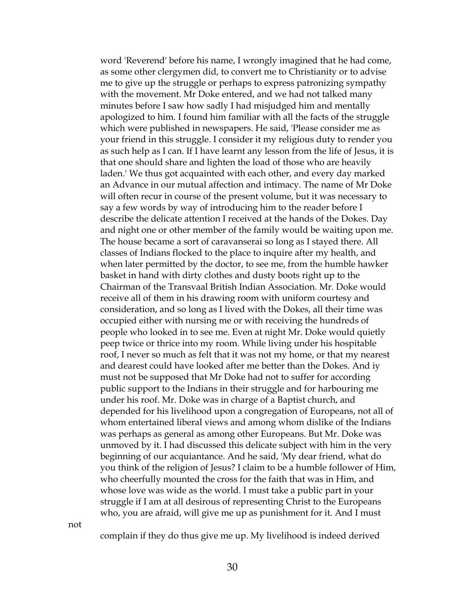word 'Reverend' before his name, I wrongly imagined that he had come, as some other clergymen did, to convert me to Christianity or to advise me to give up the struggle or perhaps to express patronizing sympathy with the movement. Mr Doke entered, and we had not talked many minutes before I saw how sadly I had misjudged him and mentally apologized to him. I found him familiar with all the facts of the struggle which were published in newspapers. He said, 'Please consider me as your friend in this struggle. I consider it my religious duty to render you as such help as I can. If I have learnt any lesson from the life of Jesus, it is that one should share and lighten the load of those who are heavily laden.' We thus got acquainted with each other, and every day marked an Advance in our mutual affection and intimacy. The name of Mr Doke will often recur in course of the present volume, but it was necessary to say a few words by way of introducing him to the reader before I describe the delicate attention I received at the hands of the Dokes. Day and night one or other member of the family would be waiting upon me. The house became a sort of caravanserai so long as I stayed there. All classes of Indians flocked to the place to inquire after my health, and when later permitted by the doctor, to see me, from the humble hawker basket in hand with dirty clothes and dusty boots right up to the Chairman of the Transvaal British Indian Association. Mr. Doke would receive all of them in his drawing room with uniform courtesy and consideration, and so long as I lived with the Dokes, all their time was occupied either with nursing me or with receiving the hundreds of people who looked in to see me. Even at night Mr. Doke would quietly peep twice or thrice into my room. While living under his hospitable roof, I never so much as felt that it was not my home, or that my nearest and dearest could have looked after me better than the Dokes. And iy must not be supposed that Mr Doke had not to suffer for according public support to the Indians in their struggle and for harbouring me under his roof. Mr. Doke was in charge of a Baptist church, and depended for his livelihood upon a congregation of Europeans, not all of whom entertained liberal views and among whom dislike of the Indians was perhaps as general as among other Europeans. But Mr. Doke was unmoved by it. I had discussed this delicate subject with him in the very beginning of our acquiantance. And he said, 'My dear friend, what do you think of the religion of Jesus? I claim to be a humble follower of Him, who cheerfully mounted the cross for the faith that was in Him, and whose love was wide as the world. I must take a public part in your struggle if I am at all desirous of representing Christ to the Europeans who, you are afraid, will give me up as punishment for it. And I must

not

complain if they do thus give me up. My livelihood is indeed derived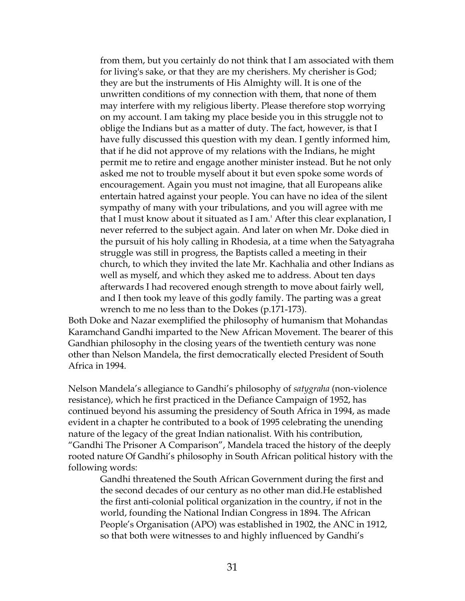from them, but you certainly do not think that I am associated with them for living's sake, or that they are my cherishers. My cherisher is God; they are but the instruments of His Almighty will. It is one of the unwritten conditions of my connection with them, that none of them may interfere with my religious liberty. Please therefore stop worrying on my account. I am taking my place beside you in this struggle not to oblige the Indians but as a matter of duty. The fact, however, is that I have fully discussed this question with my dean. I gently informed him, that if he did not approve of my relations with the Indians, he might permit me to retire and engage another minister instead. But he not only asked me not to trouble myself about it but even spoke some words of encouragement. Again you must not imagine, that all Europeans alike entertain hatred against your people. You can have no idea of the silent sympathy of many with your tribulations, and you will agree with me that I must know about it situated as I am.' After this clear explanation, I never referred to the subject again. And later on when Mr. Doke died in the pursuit of his holy calling in Rhodesia, at a time when the Satyagraha struggle was still in progress, the Baptists called a meeting in their church, to which they invited the late Mr. Kachhalia and other Indians as well as myself, and which they asked me to address. About ten days afterwards I had recovered enough strength to move about fairly well, and I then took my leave of this godly family. The parting was a great wrench to me no less than to the Dokes (p.171-173).

Both Doke and Nazar exemplified the philosophy of humanism that Mohandas Karamchand Gandhi imparted to the New African Movement. The bearer of this Gandhian philosophy in the closing years of the twentieth century was none other than Nelson Mandela, the first democratically elected President of South Africa in 1994.

Nelson Mandela's allegiance to Gandhi's philosophy of *satygraha* (non-violence resistance), which he first practiced in the Defiance Campaign of 1952, has continued beyond his assuming the presidency of South Africa in 1994, as made evident in a chapter he contributed to a book of 1995 celebrating the unending nature of the legacy of the great Indian nationalist. With his contribution, "Gandhi The Prisoner A Comparison", Mandela traced the history of the deeply rooted nature Of Gandhi's philosophy in South African political history with the following words:

 Gandhi threatened the South African Government during the first and the second decades of our century as no other man did.He established the first anti-colonial political organization in the country, if not in the world, founding the National Indian Congress in 1894. The African People's Organisation (APO) was established in 1902, the ANC in 1912, so that both were witnesses to and highly influenced by Gandhi's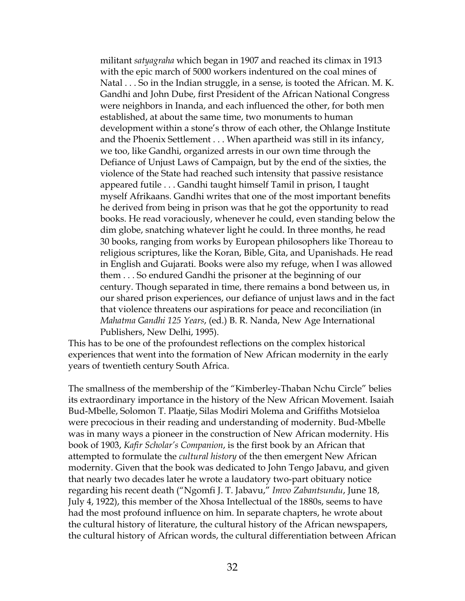militant *satyagraha* which began in 1907 and reached its climax in 1913 with the epic march of 5000 workers indentured on the coal mines of Natal . . . So in the Indian struggle, in a sense, is tooted the African. M. K. Gandhi and John Dube, first President of the African National Congress were neighbors in Inanda, and each influenced the other, for both men established, at about the same time, two monuments to human development within a stone's throw of each other, the Ohlange Institute and the Phoenix Settlement . . . When apartheid was still in its infancy, we too, like Gandhi, organized arrests in our own time through the Defiance of Unjust Laws of Campaign, but by the end of the sixties, the violence of the State had reached such intensity that passive resistance appeared futile . . . Gandhi taught himself Tamil in prison, I taught myself Afrikaans. Gandhi writes that one of the most important benefits he derived from being in prison was that he got the opportunity to read books. He read voraciously, whenever he could, even standing below the dim globe, snatching whatever light he could. In three months, he read 30 books, ranging from works by European philosophers like Thoreau to religious scriptures, like the Koran, Bible, Gita, and Upanishads. He read in English and Gujarati. Books were also my refuge, when I was allowed them . . . So endured Gandhi the prisoner at the beginning of our century. Though separated in time, there remains a bond between us, in our shared prison experiences, our defiance of unjust laws and in the fact that violence threatens our aspirations for peace and reconciliation (in *Mahatma Gandhi 125 Years*, (ed.) B. R. Nanda, New Age International Publishers, New Delhi, 1995).

This has to be one of the profoundest reflections on the complex historical experiences that went into the formation of New African modernity in the early years of twentieth century South Africa.

The smallness of the membership of the "Kimberley-Thaban Nchu Circle" belies its extraordinary importance in the history of the New African Movement. Isaiah Bud-Mbelle, Solomon T. Plaatje, Silas Modiri Molema and Griffiths Motsieloa were precocious in their reading and understanding of modernity. Bud-Mbelle was in many ways a pioneer in the construction of New African modernity. His book of 1903, *Kafir Scholar's Companion*, is the first book by an African that attempted to formulate the *cultural history* of the then emergent New African modernity. Given that the book was dedicated to John Tengo Jabavu, and given that nearly two decades later he wrote a laudatory two-part obituary notice regarding his recent death ("Ngomfi J. T. Jabavu," *Imvo Zabantsundu*, June 18, July 4, 1922), this member of the Xhosa Intellectual of the 1880s, seems to have had the most profound influence on him. In separate chapters, he wrote about the cultural history of literature, the cultural history of the African newspapers, the cultural history of African words, the cultural differentiation between African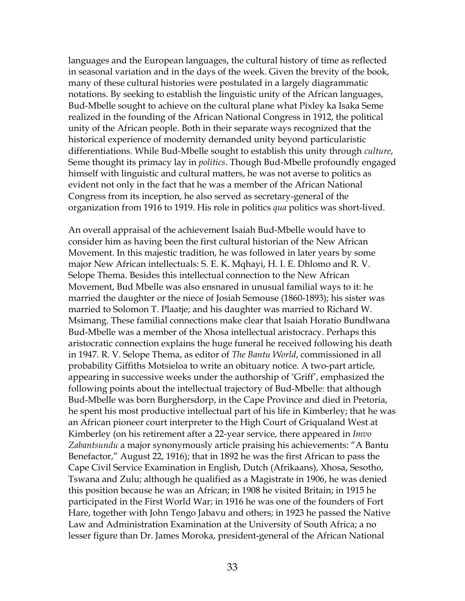languages and the European languages, the cultural history of time as reflected in seasonal variation and in the days of the week. Given the brevity of the book, many of these cultural histories were postulated in a largely diagrammatic notations. By seeking to establish the linguistic unity of the African languages, Bud-Mbelle sought to achieve on the cultural plane what Pixley ka Isaka Seme realized in the founding of the African National Congress in 1912, the political unity of the African people. Both in their separate ways recognized that the historical experience of modernity demanded unity beyond particularistic differentiations. While Bud-Mbelle sought to establish this unity through *culture*, Seme thought its primacy lay in *politics*. Though Bud-Mbelle profoundly engaged himself with linguistic and cultural matters, he was not averse to politics as evident not only in the fact that he was a member of the African National Congress from its inception, he also served as secretary-general of the organization from 1916 to 1919. His role in politics *qua* politics was short-lived.

An overall appraisal of the achievement Isaiah Bud-Mbelle would have to consider him as having been the first cultural historian of the New African Movement. In this majestic tradition, he was followed in later years by some major New African intellectuals: S. E. K. Mqhayi, H. I. E. Dhlomo and R. V. Selope Thema. Besides this intellectual connection to the New African Movement, Bud Mbelle was also ensnared in unusual familial ways to it: he married the daughter or the niece of Josiah Semouse (1860-1893); his sister was married to Solomon T. Plaatje; and his daughter was married to Richard W. Msimang. These familial connections make clear that Isaiah Horatio Bundlwana Bud-Mbelle was a member of the Xhosa intellectual aristocracy. Perhaps this aristocratic connection explains the huge funeral he received following his death in 1947. R. V. Selope Thema, as editor of *The Bantu World*, commissioned in all probability Giffiths Motsieloa to write an obituary notice. A two-part article, appearing in successive weeks under the authorship of 'Griff', emphasized the following points about the intellectual trajectory of Bud-Mbelle: that although Bud-Mbelle was born Burghersdorp, in the Cape Province and died in Pretoria, he spent his most productive intellectual part of his life in Kimberley; that he was an African pioneer court interpreter to the High Court of Griqualand West at Kimberley (on his retirement after a 22-year service, there appeared in *Imvo Zabantsundu* a major synonymously article praising his achievements: "A Bantu Benefactor," August 22, 1916); that in 1892 he was the first African to pass the Cape Civil Service Examination in English, Dutch (Afrikaans), Xhosa, Sesotho, Tswana and Zulu; although he qualified as a Magistrate in 1906, he was denied this position because he was an African; in 1908 he visited Britain; in 1915 he participated in the First World War; in 1916 he was one of the founders of Fort Hare, together with John Tengo Jabavu and others; in 1923 he passed the Native Law and Administration Examination at the University of South Africa; a no lesser figure than Dr. James Moroka, president-general of the African National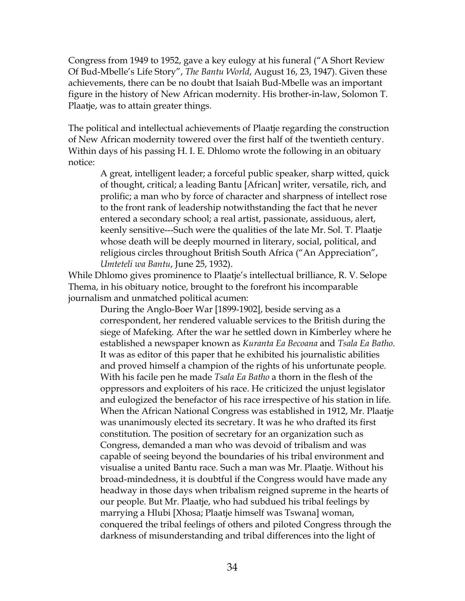Congress from 1949 to 1952, gave a key eulogy at his funeral ("A Short Review Of Bud-Mbelle's Life Story", *The Bantu World*, August 16, 23, 1947). Given these achievements, there can be no doubt that Isaiah Bud-Mbelle was an important figure in the history of New African modernity. His brother-in-law, Solomon T. Plaatje, was to attain greater things.

The political and intellectual achievements of Plaatje regarding the construction of New African modernity towered over the first half of the twentieth century. Within days of his passing H. I. E. Dhlomo wrote the following in an obituary notice:

 A great, intelligent leader; a forceful public speaker, sharp witted, quick of thought, critical; a leading Bantu [African] writer, versatile, rich, and prolific; a man who by force of character and sharpness of intellect rose to the front rank of leadership notwithstanding the fact that he never entered a secondary school; a real artist, passionate, assiduous, alert, keenly sensitive---Such were the qualities of the late Mr. Sol. T. Plaatje whose death will be deeply mourned in literary, social, political, and religious circles throughout British South Africa ("An Appreciation", *Umteteli wa Bantu*, June 25, 1932).

While Dhlomo gives prominence to Plaatje's intellectual brilliance, R. V. Selope Thema, in his obituary notice, brought to the forefront his incomparable journalism and unmatched political acumen:

 During the Anglo-Boer War [1899-1902], beside serving as a correspondent, her rendered valuable services to the British during the siege of Mafeking. After the war he settled down in Kimberley where he established a newspaper known as *Kuranta Ea Becoana* and *Tsala Ea Batho*. It was as editor of this paper that he exhibited his journalistic abilities and proved himself a champion of the rights of his unfortunate people. With his facile pen he made *Tsala Ea Batho* a thorn in the flesh of the oppressors and exploiters of his race. He criticized the unjust legislator and eulogized the benefactor of his race irrespective of his station in life. When the African National Congress was established in 1912, Mr. Plaatje was unanimously elected its secretary. It was he who drafted its first constitution. The position of secretary for an organization such as Congress, demanded a man who was devoid of tribalism and was capable of seeing beyond the boundaries of his tribal environment and visualise a united Bantu race. Such a man was Mr. Plaatje. Without his broad-mindedness, it is doubtful if the Congress would have made any headway in those days when tribalism reigned supreme in the hearts of our people. But Mr. Plaatje, who had subdued his tribal feelings by marrying a Hlubi [Xhosa; Plaatje himself was Tswana] woman, conquered the tribal feelings of others and piloted Congress through the darkness of misunderstanding and tribal differences into the light of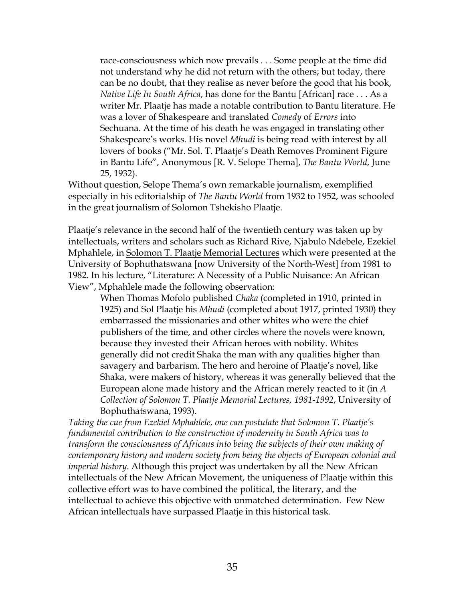race-consciousness which now prevails . . . Some people at the time did not understand why he did not return with the others; but today, there can be no doubt, that they realise as never before the good that his book, *Native Life In South Africa*, has done for the Bantu [African] race . . . As a writer Mr. Plaatje has made a notable contribution to Bantu literature. He was a lover of Shakespeare and translated *Comedy* of *Errors* into Sechuana. At the time of his death he was engaged in translating other Shakespeare's works. His novel *Mhudi* is being read with interest by all lovers of books ("Mr. Sol. T. Plaatje's Death Removes Prominent Figure in Bantu Life", Anonymous [R. V. Selope Thema], *The Bantu World*, June 25, 1932).

Without question, Selope Thema's own remarkable journalism, exemplified especially in his editorialship of *The Bantu World* from 1932 to 1952, was schooled in the great journalism of Solomon Tshekisho Plaatje.

Plaatje's relevance in the second half of the twentieth century was taken up by intellectuals, writers and scholars such as Richard Rive, Njabulo Ndebele, Ezekiel Mphahlele, in Solomon T. Plaatje Memorial Lectures which were presented at the University of Bophuthatswana [now University of the North-West] from 1981 to 1982. In his lecture, "Literature: A Necessity of a Public Nuisance: An African View", Mphahlele made the following observation:

 When Thomas Mofolo published *Chaka* (completed in 1910, printed in 1925) and Sol Plaatje his *Mhudi* (completed about 1917, printed 1930) they embarrassed the missionaries and other whites who were the chief publishers of the time, and other circles where the novels were known, because they invested their African heroes with nobility. Whites generally did not credit Shaka the man with any qualities higher than savagery and barbarism. The hero and heroine of Plaatje's novel, like Shaka, were makers of history, whereas it was generally believed that the European alone made history and the African merely reacted to it (in *A Collection of Solomon T. Plaatje Memorial Lectures, 1981-1992*, University of Bophuthatswana, 1993).

*Taking the cue from Ezekiel Mphahlele, one can postulate that Solomon T. Plaatje's fundamental contribution to the construction of modernity in South Africa was to transform the consciousness of Africans into being the subjects of their own making of contemporary history and modern society from being the objects of European colonial and imperial history*. Although this project was undertaken by all the New African intellectuals of the New African Movement, the uniqueness of Plaatje within this collective effort was to have combined the political, the literary, and the intellectual to achieve this objective with unmatched determination. Few New African intellectuals have surpassed Plaatje in this historical task.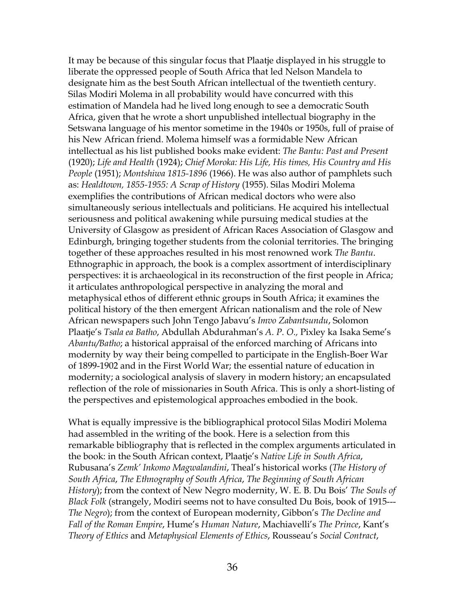It may be because of this singular focus that Plaatje displayed in his struggle to liberate the oppressed people of South Africa that led Nelson Mandela to designate him as the best South African intellectual of the twentieth century. Silas Modiri Molema in all probability would have concurred with this estimation of Mandela had he lived long enough to see a democratic South Africa, given that he wrote a short unpublished intellectual biography in the Setswana language of his mentor sometime in the 1940s or 1950s, full of praise of his New African friend. Molema himself was a formidable New African intellectual as his list published books make evident: *The Bantu: Past and Present* (1920); *Life and Health* (1924); *Chief Moroka: His Life, His times, His Country and His People* (1951); *Montshiwa 1815-1896* (1966). He was also author of pamphlets such as: *Healdtown, 1855-1955: A Scrap of History* (1955). Silas Modiri Molema exemplifies the contributions of African medical doctors who were also simultaneously serious intellectuals and politicians. He acquired his intellectual seriousness and political awakening while pursuing medical studies at the University of Glasgow as president of African Races Association of Glasgow and Edinburgh, bringing together students from the colonial territories. The bringing together of these approaches resulted in his most renowned work *The Bantu*. Ethnographic in approach, the book is a complex assortment of interdisciplinary perspectives: it is archaeological in its reconstruction of the first people in Africa; it articulates anthropological perspective in analyzing the moral and metaphysical ethos of different ethnic groups in South Africa; it examines the political history of the then emergent African nationalism and the role of New African newspapers such John Tengo Jabavu's *Imvo Zabantsundu*, Solomon Plaatje's *Tsala ea Batho*, Abdullah Abdurahman's *A. P. O.,* Pixley ka Isaka Seme's *Abantu/Batho*; a historical appraisal of the enforced marching of Africans into modernity by way their being compelled to participate in the English-Boer War of 1899-1902 and in the First World War; the essential nature of education in modernity; a sociological analysis of slavery in modern history; an encapsulated reflection of the role of missionaries in South Africa. This is only a short-listing of the perspectives and epistemological approaches embodied in the book.

What is equally impressive is the bibliographical protocol Silas Modiri Molema had assembled in the writing of the book. Here is a selection from this remarkable bibliography that is reflected in the complex arguments articulated in the book: in the South African context, Plaatje's *Native Life in South Africa*, Rubusana's *Zemk' Inkomo Magwalandini*, Theal's historical works (*The History of South Africa*, *The Ethnography of South Africa*, *The Beginning of South African History*); from the context of New Negro modernity, W. E. B. Du Bois' *The Souls of Black Folk* (strangely, Modiri seems not to have consulted Du Bois, book of 1915--- *The Negro*); from the context of European modernity, Gibbon's *The Decline and Fall of the Roman Empire*, Hume's *Human Nature*, Machiavelli's *The Prince*, Kant's *Theory of Ethics* and *Metaphysical Elements of Ethics*, Rousseau's *Social Contract*,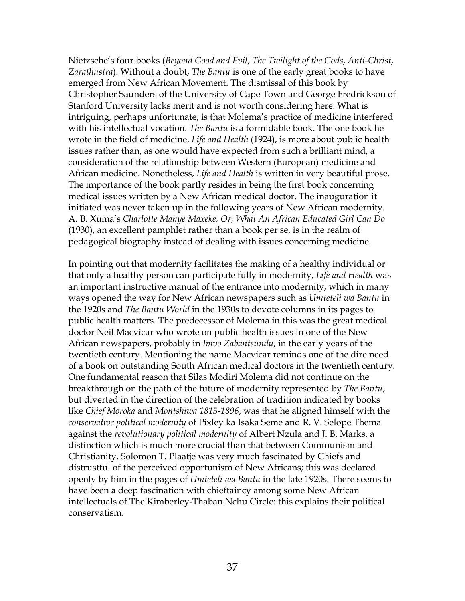Nietzsche's four books (*Beyond Good and Evil*, *The Twilight of the Gods*, *Anti-Christ*, *Zarathustra*). Without a doubt, *The Bantu* is one of the early great books to have emerged from New African Movement. The dismissal of this book by Christopher Saunders of the University of Cape Town and George Fredrickson of Stanford University lacks merit and is not worth considering here. What is intriguing, perhaps unfortunate, is that Molema's practice of medicine interfered with his intellectual vocation. *The Bantu* is a formidable book. The one book he wrote in the field of medicine, *Life and Health* (1924), is more about public health issues rather than, as one would have expected from such a brilliant mind, a consideration of the relationship between Western (European) medicine and African medicine. Nonetheless, *Life and Health* is written in very beautiful prose. The importance of the book partly resides in being the first book concerning medical issues written by a New African medical doctor. The inauguration it initiated was never taken up in the following years of New African modernity. A. B. Xuma's *Charlotte Manye Maxeke, Or, What An African Educated Girl Can Do* (1930), an excellent pamphlet rather than a book per se, is in the realm of pedagogical biography instead of dealing with issues concerning medicine.

In pointing out that modernity facilitates the making of a healthy individual or that only a healthy person can participate fully in modernity, *Life and Health* was an important instructive manual of the entrance into modernity, which in many ways opened the way for New African newspapers such as *Umteteli wa Bantu* in the 1920s and *The Bantu World* in the 1930s to devote columns in its pages to public health matters. The predecessor of Molema in this was the great medical doctor Neil Macvicar who wrote on public health issues in one of the New African newspapers, probably in *Imvo Zabantsundu*, in the early years of the twentieth century. Mentioning the name Macvicar reminds one of the dire need of a book on outstanding South African medical doctors in the twentieth century. One fundamental reason that Silas Modiri Molema did not continue on the breakthrough on the path of the future of modernity represented by *The Bantu*, but diverted in the direction of the celebration of tradition indicated by books like *Chief Moroka* and *Montshiwa 1815-1896*, was that he aligned himself with the *conservative political modernity* of Pixley ka Isaka Seme and R. V. Selope Thema against the *revolutionary political modernity* of Albert Nzula and J. B. Marks, a distinction which is much more crucial than that between Communism and Christianity. Solomon T. Plaatje was very much fascinated by Chiefs and distrustful of the perceived opportunism of New Africans; this was declared openly by him in the pages of *Umteteli wa Bantu* in the late 1920s. There seems to have been a deep fascination with chieftaincy among some New African intellectuals of The Kimberley-Thaban Nchu Circle: this explains their political conservatism.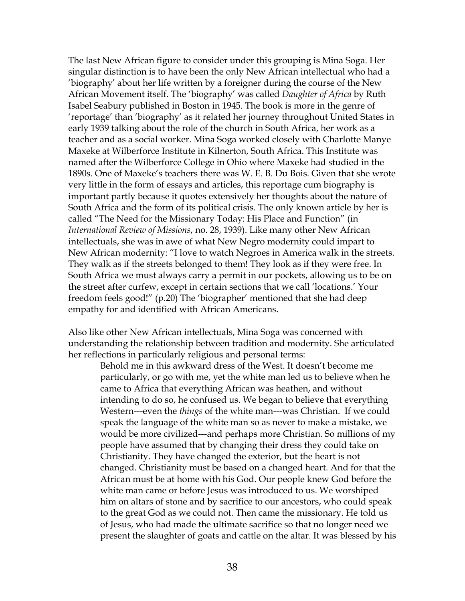The last New African figure to consider under this grouping is Mina Soga. Her singular distinction is to have been the only New African intellectual who had a 'biography' about her life written by a foreigner during the course of the New African Movement itself. The 'biography' was called *Daughter of Africa* by Ruth Isabel Seabury published in Boston in 1945. The book is more in the genre of 'reportage' than 'biography' as it related her journey throughout United States in early 1939 talking about the role of the church in South Africa, her work as a teacher and as a social worker. Mina Soga worked closely with Charlotte Manye Maxeke at Wilberforce Institute in Kilnerton, South Africa. This Institute was named after the Wilberforce College in Ohio where Maxeke had studied in the 1890s. One of Maxeke's teachers there was W. E. B. Du Bois. Given that she wrote very little in the form of essays and articles, this reportage cum biography is important partly because it quotes extensively her thoughts about the nature of South Africa and the form of its political crisis. The only known article by her is called "The Need for the Missionary Today: His Place and Function" (in *International Review of Missions*, no. 28, 1939). Like many other New African intellectuals, she was in awe of what New Negro modernity could impart to New African modernity: "I love to watch Negroes in America walk in the streets. They walk as if the streets belonged to them! They look as if they were free. In South Africa we must always carry a permit in our pockets, allowing us to be on the street after curfew, except in certain sections that we call 'locations.' Your freedom feels good!" (p.20) The 'biographer' mentioned that she had deep empathy for and identified with African Americans.

Also like other New African intellectuals, Mina Soga was concerned with understanding the relationship between tradition and modernity. She articulated her reflections in particularly religious and personal terms:

 Behold me in this awkward dress of the West. It doesn't become me particularly, or go with me, yet the white man led us to believe when he came to Africa that everything African was heathen, and without intending to do so, he confused us. We began to believe that everything Western---even the *things* of the white man---was Christian. If we could speak the language of the white man so as never to make a mistake, we would be more civilized---and perhaps more Christian. So millions of my people have assumed that by changing their dress they could take on Christianity. They have changed the exterior, but the heart is not changed. Christianity must be based on a changed heart. And for that the African must be at home with his God. Our people knew God before the white man came or before Jesus was introduced to us. We worshiped him on altars of stone and by sacrifice to our ancestors, who could speak to the great God as we could not. Then came the missionary. He told us of Jesus, who had made the ultimate sacrifice so that no longer need we present the slaughter of goats and cattle on the altar. It was blessed by his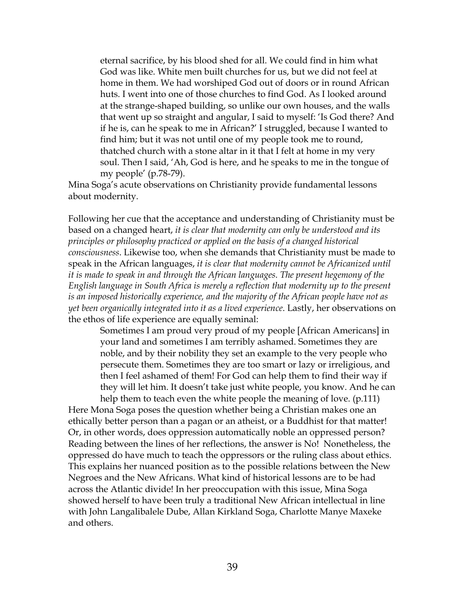eternal sacrifice, by his blood shed for all. We could find in him what God was like. White men built churches for us, but we did not feel at home in them. We had worshiped God out of doors or in round African huts. I went into one of those churches to find God. As I looked around at the strange-shaped building, so unlike our own houses, and the walls that went up so straight and angular, I said to myself: 'Is God there? And if he is, can he speak to me in African?' I struggled, because I wanted to find him; but it was not until one of my people took me to round, thatched church with a stone altar in it that I felt at home in my very soul. Then I said, 'Ah, God is here, and he speaks to me in the tongue of my people' (p.78-79).

Mina Soga's acute observations on Christianity provide fundamental lessons about modernity.

Following her cue that the acceptance and understanding of Christianity must be based on a changed heart, *it is clear that modernity can only be understood and its principles or philosophy practiced or applied on the basis of a changed historical consciousness*. Likewise too, when she demands that Christianity must be made to speak in the African languages, *it is clear that modernity cannot be Africanized until it is made to speak in and through the African languages. The present hegemony of the English language in South Africa is merely a reflection that modernity up to the present is an imposed historically experience, and the majority of the African people have not as yet been organically integrated into it as a lived experience*. Lastly, her observations on the ethos of life experience are equally seminal:

 Sometimes I am proud very proud of my people [African Americans] in your land and sometimes I am terribly ashamed. Sometimes they are noble, and by their nobility they set an example to the very people who persecute them. Sometimes they are too smart or lazy or irreligious, and then I feel ashamed of them! For God can help them to find their way if they will let him. It doesn't take just white people, you know. And he can help them to teach even the white people the meaning of love. (p.111)

Here Mona Soga poses the question whether being a Christian makes one an ethically better person than a pagan or an atheist, or a Buddhist for that matter! Or, in other words, does oppression automatically noble an oppressed person? Reading between the lines of her reflections, the answer is No! Nonetheless, the oppressed do have much to teach the oppressors or the ruling class about ethics. This explains her nuanced position as to the possible relations between the New Negroes and the New Africans. What kind of historical lessons are to be had across the Atlantic divide! In her preoccupation with this issue, Mina Soga showed herself to have been truly a traditional New African intellectual in line with John Langalibalele Dube, Allan Kirkland Soga, Charlotte Manye Maxeke and others.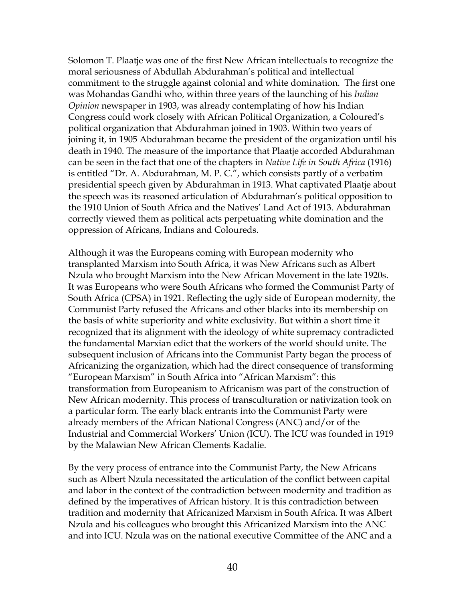Solomon T. Plaatje was one of the first New African intellectuals to recognize the moral seriousness of Abdullah Abdurahman's political and intellectual commitment to the struggle against colonial and white domination. The first one was Mohandas Gandhi who, within three years of the launching of his *Indian Opinion* newspaper in 1903, was already contemplating of how his Indian Congress could work closely with African Political Organization, a Coloured's political organization that Abdurahman joined in 1903. Within two years of joining it, in 1905 Abdurahman became the president of the organization until his death in 1940. The measure of the importance that Plaatje accorded Abdurahman can be seen in the fact that one of the chapters in *Native Life in South Africa* (1916) is entitled "Dr. A. Abdurahman, M. P. C.", which consists partly of a verbatim presidential speech given by Abdurahman in 1913. What captivated Plaatje about the speech was its reasoned articulation of Abdurahman's political opposition to the 1910 Union of South Africa and the Natives' Land Act of 1913. Abdurahman correctly viewed them as political acts perpetuating white domination and the oppression of Africans, Indians and Coloureds.

Although it was the Europeans coming with European modernity who transplanted Marxism into South Africa, it was New Africans such as Albert Nzula who brought Marxism into the New African Movement in the late 1920s. It was Europeans who were South Africans who formed the Communist Party of South Africa (CPSA) in 1921. Reflecting the ugly side of European modernity, the Communist Party refused the Africans and other blacks into its membership on the basis of white superiority and white exclusivity. But within a short time it recognized that its alignment with the ideology of white supremacy contradicted the fundamental Marxian edict that the workers of the world should unite. The subsequent inclusion of Africans into the Communist Party began the process of Africanizing the organization, which had the direct consequence of transforming "European Marxism" in South Africa into "African Marxism": this transformation from Europeanism to Africanism was part of the construction of New African modernity. This process of transculturation or nativization took on a particular form. The early black entrants into the Communist Party were already members of the African National Congress (ANC) and/or of the Industrial and Commercial Workers' Union (ICU). The ICU was founded in 1919 by the Malawian New African Clements Kadalie.

By the very process of entrance into the Communist Party, the New Africans such as Albert Nzula necessitated the articulation of the conflict between capital and labor in the context of the contradiction between modernity and tradition as defined by the imperatives of African history. It is this contradiction between tradition and modernity that Africanized Marxism in South Africa. It was Albert Nzula and his colleagues who brought this Africanized Marxism into the ANC and into ICU. Nzula was on the national executive Committee of the ANC and a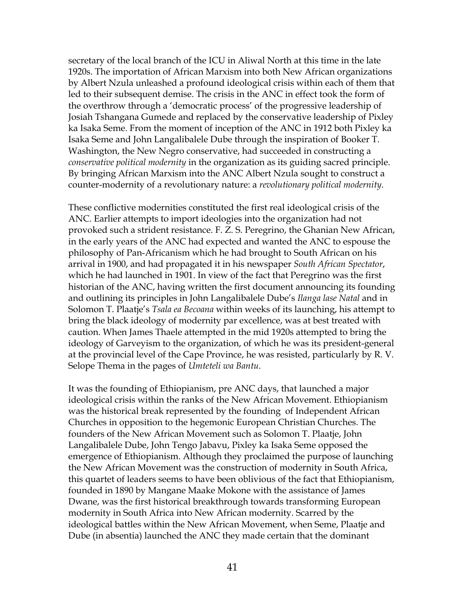secretary of the local branch of the ICU in Aliwal North at this time in the late 1920s. The importation of African Marxism into both New African organizations by Albert Nzula unleashed a profound ideological crisis within each of them that led to their subsequent demise. The crisis in the ANC in effect took the form of the overthrow through a 'democratic process' of the progressive leadership of Josiah Tshangana Gumede and replaced by the conservative leadership of Pixley ka Isaka Seme. From the moment of inception of the ANC in 1912 both Pixley ka Isaka Seme and John Langalibalele Dube through the inspiration of Booker T. Washington, the New Negro conservative, had succeeded in constructing a *conservative political modernity* in the organization as its guiding sacred principle. By bringing African Marxism into the ANC Albert Nzula sought to construct a counter-modernity of a revolutionary nature: a *revolutionary political modernity*.

These conflictive modernities constituted the first real ideological crisis of the ANC. Earlier attempts to import ideologies into the organization had not provoked such a strident resistance. F. Z. S. Peregrino, the Ghanian New African, in the early years of the ANC had expected and wanted the ANC to espouse the philosophy of Pan-Africanism which he had brought to South African on his arrival in 1900, and had propagated it in his newspaper *South African Spectator*, which he had launched in 1901. In view of the fact that Peregrino was the first historian of the ANC, having written the first document announcing its founding and outlining its principles in John Langalibalele Dube's *Ilanga lase Natal* and in Solomon T. Plaatje's *Tsala ea Becoana* within weeks of its launching, his attempt to bring the black ideology of modernity par excellence, was at best treated with caution. When James Thaele attempted in the mid 1920s attempted to bring the ideology of Garveyism to the organization, of which he was its president-general at the provincial level of the Cape Province, he was resisted, particularly by R. V. Selope Thema in the pages of *Umteteli wa Bantu*.

It was the founding of Ethiopianism, pre ANC days, that launched a major ideological crisis within the ranks of the New African Movement. Ethiopianism was the historical break represented by the founding of Independent African Churches in opposition to the hegemonic European Christian Churches. The founders of the New African Movement such as Solomon T. Plaatje, John Langalibalele Dube, John Tengo Jabavu, Pixley ka Isaka Seme opposed the emergence of Ethiopianism. Although they proclaimed the purpose of launching the New African Movement was the construction of modernity in South Africa, this quartet of leaders seems to have been oblivious of the fact that Ethiopianism, founded in 1890 by Mangane Maake Mokone with the assistance of James Dwane, was the first historical breakthrough towards transforming European modernity in South Africa into New African modernity. Scarred by the ideological battles within the New African Movement, when Seme, Plaatje and Dube (in absentia) launched the ANC they made certain that the dominant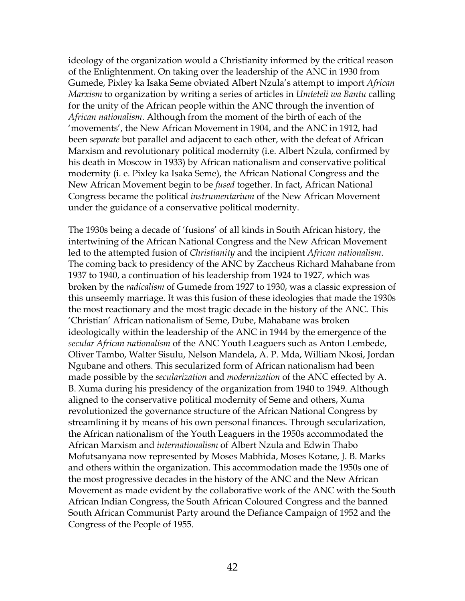ideology of the organization would a Christianity informed by the critical reason of the Enlightenment. On taking over the leadership of the ANC in 1930 from Gumede, Pixley ka Isaka Seme obviated Albert Nzula's attempt to import *African Marxism* to organization by writing a series of articles in *Umteteli wa Bantu* calling for the unity of the African people within the ANC through the invention of *African nationalism*. Although from the moment of the birth of each of the 'movements', the New African Movement in 1904, and the ANC in 1912, had been *separate* but parallel and adjacent to each other, with the defeat of African Marxism and revolutionary political modernity (i.e. Albert Nzula, confirmed by his death in Moscow in 1933) by African nationalism and conservative political modernity (i. e. Pixley ka Isaka Seme), the African National Congress and the New African Movement begin to be *fused* together. In fact, African National Congress became the political *instrumentarium* of the New African Movement under the guidance of a conservative political modernity.

The 1930s being a decade of 'fusions' of all kinds in South African history, the intertwining of the African National Congress and the New African Movement led to the attempted fusion of *Christianity* and the incipient *African nationalism*. The coming back to presidency of the ANC by Zaccheus Richard Mahabane from 1937 to 1940, a continuation of his leadership from 1924 to 1927, which was broken by the *radicalism* of Gumede from 1927 to 1930, was a classic expression of this unseemly marriage. It was this fusion of these ideologies that made the 1930s the most reactionary and the most tragic decade in the history of the ANC. This 'Christian' African nationalism of Seme, Dube, Mahabane was broken ideologically within the leadership of the ANC in 1944 by the emergence of the *secular African nationalism* of the ANC Youth Leaguers such as Anton Lembede, Oliver Tambo, Walter Sisulu, Nelson Mandela, A. P. Mda, William Nkosi, Jordan Ngubane and others. This secularized form of African nationalism had been made possible by the *secularization* and *modernization* of the ANC effected by A. B. Xuma during his presidency of the organization from 1940 to 1949. Although aligned to the conservative political modernity of Seme and others, Xuma revolutionized the governance structure of the African National Congress by streamlining it by means of his own personal finances. Through secularization, the African nationalism of the Youth Leaguers in the 1950s accommodated the African Marxism and *internationalism* of Albert Nzula and Edwin Thabo Mofutsanyana now represented by Moses Mabhida, Moses Kotane, J. B. Marks and others within the organization. This accommodation made the 1950s one of the most progressive decades in the history of the ANC and the New African Movement as made evident by the collaborative work of the ANC with the South African Indian Congress, the South African Coloured Congress and the banned South African Communist Party around the Defiance Campaign of 1952 and the Congress of the People of 1955.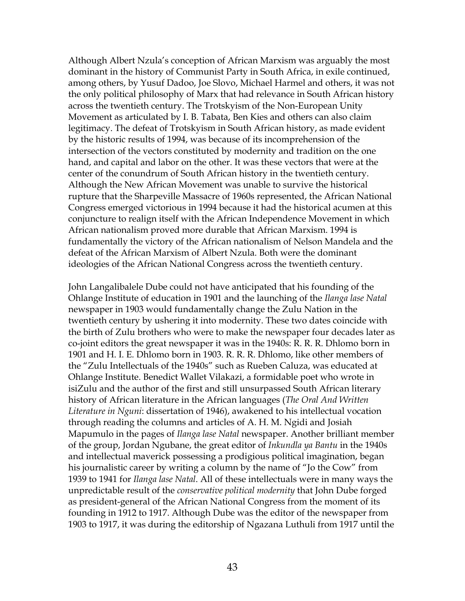Although Albert Nzula's conception of African Marxism was arguably the most dominant in the history of Communist Party in South Africa, in exile continued, among others, by Yusuf Dadoo, Joe Slovo, Michael Harmel and others, it was not the only political philosophy of Marx that had relevance in South African history across the twentieth century. The Trotskyism of the Non-European Unity Movement as articulated by I. B. Tabata, Ben Kies and others can also claim legitimacy. The defeat of Trotskyism in South African history, as made evident by the historic results of 1994, was because of its incomprehension of the intersection of the vectors constituted by modernity and tradition on the one hand, and capital and labor on the other. It was these vectors that were at the center of the conundrum of South African history in the twentieth century. Although the New African Movement was unable to survive the historical rupture that the Sharpeville Massacre of 1960s represented, the African National Congress emerged victorious in 1994 because it had the historical acumen at this conjuncture to realign itself with the African Independence Movement in which African nationalism proved more durable that African Marxism. 1994 is fundamentally the victory of the African nationalism of Nelson Mandela and the defeat of the African Marxism of Albert Nzula. Both were the dominant ideologies of the African National Congress across the twentieth century.

John Langalibalele Dube could not have anticipated that his founding of the Ohlange Institute of education in 1901 and the launching of the *Ilanga lase Natal* newspaper in 1903 would fundamentally change the Zulu Nation in the twentieth century by ushering it into modernity. These two dates coincide with the birth of Zulu brothers who were to make the newspaper four decades later as co-joint editors the great newspaper it was in the 1940s: R. R. R. Dhlomo born in 1901 and H. I. E. Dhlomo born in 1903. R. R. R. Dhlomo, like other members of the "Zulu Intellectuals of the 1940s" such as Rueben Caluza, was educated at Ohlange Institute. Benedict Wallet Vilakazi, a formidable poet who wrote in isiZulu and the author of the first and still unsurpassed South African literary history of African literature in the African languages (*The Oral And Written Literature in Nguni*: dissertation of 1946), awakened to his intellectual vocation through reading the columns and articles of A. H. M. Ngidi and Josiah Mapumulo in the pages of *Ilanga lase Natal* newspaper. Another brilliant member of the group, Jordan Ngubane, the great editor of *Inkundla ya Bantu* in the 1940s and intellectual maverick possessing a prodigious political imagination, began his journalistic career by writing a column by the name of "Jo the Cow" from 1939 to 1941 for *Ilanga lase Natal*. All of these intellectuals were in many ways the unpredictable result of the *conservative political modernity* that John Dube forged as president-general of the African National Congress from the moment of its founding in 1912 to 1917. Although Dube was the editor of the newspaper from 1903 to 1917, it was during the editorship of Ngazana Luthuli from 1917 until the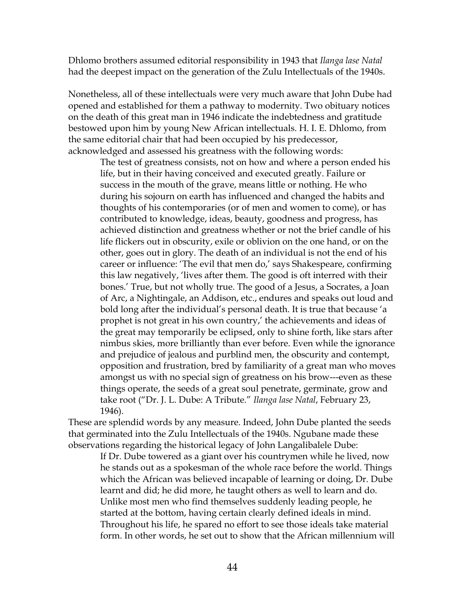Dhlomo brothers assumed editorial responsibility in 1943 that *Ilanga lase Natal*  had the deepest impact on the generation of the Zulu Intellectuals of the 1940s.

Nonetheless, all of these intellectuals were very much aware that John Dube had opened and established for them a pathway to modernity. Two obituary notices on the death of this great man in 1946 indicate the indebtedness and gratitude bestowed upon him by young New African intellectuals. H. I. E. Dhlomo, from the same editorial chair that had been occupied by his predecessor, acknowledged and assessed his greatness with the following words:

 The test of greatness consists, not on how and where a person ended his life, but in their having conceived and executed greatly. Failure or success in the mouth of the grave, means little or nothing. He who during his sojourn on earth has influenced and changed the habits and thoughts of his contemporaries (or of men and women to come), or has contributed to knowledge, ideas, beauty, goodness and progress, has achieved distinction and greatness whether or not the brief candle of his life flickers out in obscurity, exile or oblivion on the one hand, or on the other, goes out in glory. The death of an individual is not the end of his career or influence: 'The evil that men do,' says Shakespeare, confirming this law negatively, 'lives after them. The good is oft interred with their bones.' True, but not wholly true. The good of a Jesus, a Socrates, a Joan of Arc, a Nightingale, an Addison, etc., endures and speaks out loud and bold long after the individual's personal death. It is true that because 'a prophet is not great in his own country,' the achievements and ideas of the great may temporarily be eclipsed, only to shine forth, like stars after nimbus skies, more brilliantly than ever before. Even while the ignorance and prejudice of jealous and purblind men, the obscurity and contempt, opposition and frustration, bred by familiarity of a great man who moves amongst us with no special sign of greatness on his brow---even as these things operate, the seeds of a great soul penetrate, germinate, grow and take root ("Dr. J. L. Dube: A Tribute." *Ilanga lase Natal*, February 23, 1946).

These are splendid words by any measure. Indeed, John Dube planted the seeds that germinated into the Zulu Intellectuals of the 1940s. Ngubane made these observations regarding the historical legacy of John Langalibalele Dube:

 If Dr. Dube towered as a giant over his countrymen while he lived, now he stands out as a spokesman of the whole race before the world. Things which the African was believed incapable of learning or doing, Dr. Dube learnt and did; he did more, he taught others as well to learn and do. Unlike most men who find themselves suddenly leading people, he started at the bottom, having certain clearly defined ideals in mind. Throughout his life, he spared no effort to see those ideals take material form. In other words, he set out to show that the African millennium will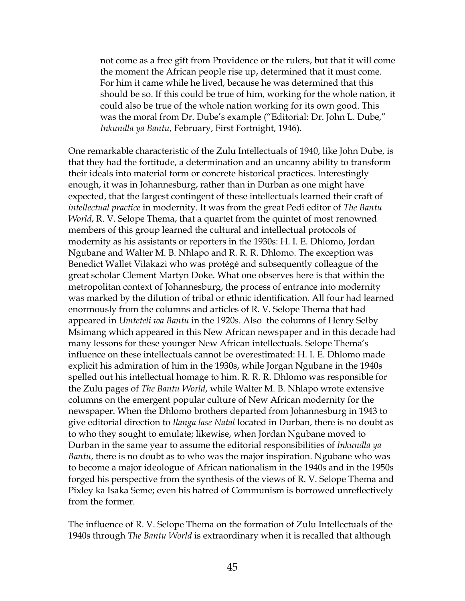not come as a free gift from Providence or the rulers, but that it will come the moment the African people rise up, determined that it must come. For him it came while he lived, because he was determined that this should be so. If this could be true of him, working for the whole nation, it could also be true of the whole nation working for its own good. This was the moral from Dr. Dube's example ("Editorial: Dr. John L. Dube," *Inkundla ya Bantu*, February, First Fortnight, 1946).

One remarkable characteristic of the Zulu Intellectuals of 1940, like John Dube, is that they had the fortitude, a determination and an uncanny ability to transform their ideals into material form or concrete historical practices. Interestingly enough, it was in Johannesburg, rather than in Durban as one might have expected, that the largest contingent of these intellectuals learned their craft of *intellectual practice* in modernity. It was from the great Pedi editor of *The Bantu World*, R. V. Selope Thema, that a quartet from the quintet of most renowned members of this group learned the cultural and intellectual protocols of modernity as his assistants or reporters in the 1930s: H. I. E. Dhlomo, Jordan Ngubane and Walter M. B. Nhlapo and R. R. R. Dhlomo. The exception was Benedict Wallet Vilakazi who was protégé and subsequently colleague of the great scholar Clement Martyn Doke. What one observes here is that within the metropolitan context of Johannesburg, the process of entrance into modernity was marked by the dilution of tribal or ethnic identification. All four had learned enormously from the columns and articles of R. V. Selope Thema that had appeared in *Umteteli wa Bantu* in the 1920s. Also the columns of Henry Selby Msimang which appeared in this New African newspaper and in this decade had many lessons for these younger New African intellectuals. Selope Thema's influence on these intellectuals cannot be overestimated: H. I. E. Dhlomo made explicit his admiration of him in the 1930s, while Jorgan Ngubane in the 1940s spelled out his intellectual homage to him. R. R. R. Dhlomo was responsible for the Zulu pages of *The Bantu World*, while Walter M. B. Nhlapo wrote extensive columns on the emergent popular culture of New African modernity for the newspaper. When the Dhlomo brothers departed from Johannesburg in 1943 to give editorial direction to *Ilanga lase Natal* located in Durban, there is no doubt as to who they sought to emulate; likewise, when Jordan Ngubane moved to Durban in the same year to assume the editorial responsibilities of *Inkundla ya Bantu*, there is no doubt as to who was the major inspiration. Ngubane who was to become a major ideologue of African nationalism in the 1940s and in the 1950s forged his perspective from the synthesis of the views of R. V. Selope Thema and Pixley ka Isaka Seme; even his hatred of Communism is borrowed unreflectively from the former.

The influence of R. V. Selope Thema on the formation of Zulu Intellectuals of the 1940s through *The Bantu World* is extraordinary when it is recalled that although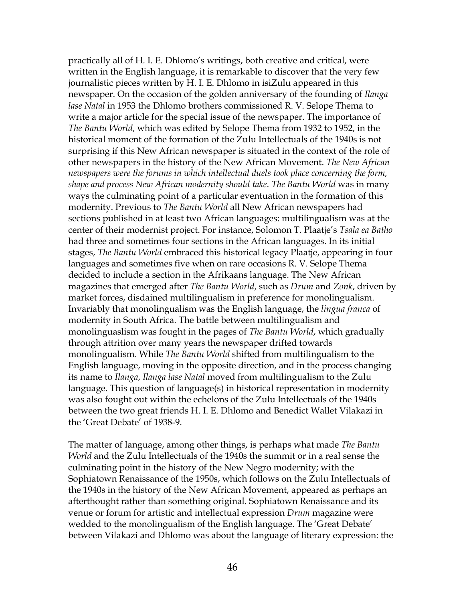practically all of H. I. E. Dhlomo's writings, both creative and critical, were written in the English language, it is remarkable to discover that the very few journalistic pieces written by H. I. E. Dhlomo in isiZulu appeared in this newspaper. On the occasion of the golden anniversary of the founding of *Ilanga lase Natal* in 1953 the Dhlomo brothers commissioned R. V. Selope Thema to write a major article for the special issue of the newspaper. The importance of *The Bantu World*, which was edited by Selope Thema from 1932 to 1952, in the historical moment of the formation of the Zulu Intellectuals of the 1940s is not surprising if this New African newspaper is situated in the context of the role of other newspapers in the history of the New African Movement. *The New African newspapers were the forums in which intellectual duels took place concerning the form, shape and process New African modernity should take*. *The Bantu World* was in many ways the culminating point of a particular eventuation in the formation of this modernity. Previous to *The Bantu World* all New African newspapers had sections published in at least two African languages: multilingualism was at the center of their modernist project. For instance, Solomon T. Plaatje's *Tsala ea Batho* had three and sometimes four sections in the African languages. In its initial stages, *The Bantu World* embraced this historical legacy Plaatje, appearing in four languages and sometimes five when on rare occasions R. V. Selope Thema decided to include a section in the Afrikaans language. The New African magazines that emerged after *The Bantu World*, such as *Drum* and *Zonk*, driven by market forces, disdained multilingualism in preference for monolingualism. Invariably that monolingualism was the English language, the *lingua franca* of modernity in South Africa. The battle between multilingualism and monolinguaslism was fought in the pages of *The Bantu World*, which gradually through attrition over many years the newspaper drifted towards monolingualism. While *The Bantu World* shifted from multilingualism to the English language, moving in the opposite direction, and in the process changing its name to *Ilanga*, *Ilanga lase Natal* moved from multilingualism to the Zulu language. This question of language(s) in historical representation in modernity was also fought out within the echelons of the Zulu Intellectuals of the 1940s between the two great friends H. I. E. Dhlomo and Benedict Wallet Vilakazi in the 'Great Debate' of 1938-9.

The matter of language, among other things, is perhaps what made *The Bantu World* and the Zulu Intellectuals of the 1940s the summit or in a real sense the culminating point in the history of the New Negro modernity; with the Sophiatown Renaissance of the 1950s, which follows on the Zulu Intellectuals of the 1940s in the history of the New African Movement, appeared as perhaps an afterthought rather than something original. Sophiatown Renaissance and its venue or forum for artistic and intellectual expression *Drum* magazine were wedded to the monolingualism of the English language. The 'Great Debate' between Vilakazi and Dhlomo was about the language of literary expression: the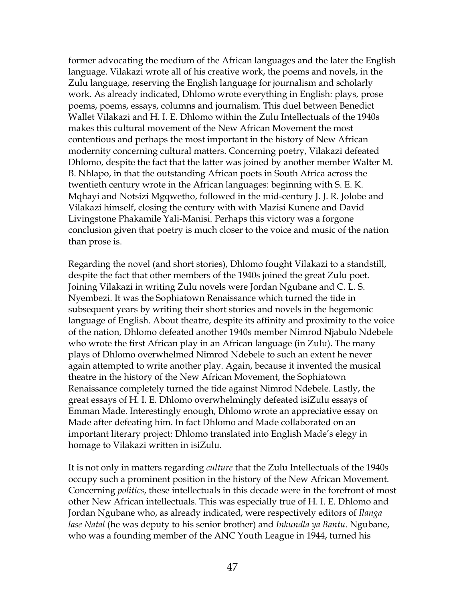former advocating the medium of the African languages and the later the English language. Vilakazi wrote all of his creative work, the poems and novels, in the Zulu language, reserving the English language for journalism and scholarly work. As already indicated, Dhlomo wrote everything in English: plays, prose poems, poems, essays, columns and journalism. This duel between Benedict Wallet Vilakazi and H. I. E. Dhlomo within the Zulu Intellectuals of the 1940s makes this cultural movement of the New African Movement the most contentious and perhaps the most important in the history of New African modernity concerning cultural matters. Concerning poetry, Vilakazi defeated Dhlomo, despite the fact that the latter was joined by another member Walter M. B. Nhlapo, in that the outstanding African poets in South Africa across the twentieth century wrote in the African languages: beginning with S. E. K. Mqhayi and Notsizi Mgqwetho, followed in the mid-century J. J. R. Jolobe and Vilakazi himself, closing the century with with Mazisi Kunene and David Livingstone Phakamile Yali-Manisi. Perhaps this victory was a forgone conclusion given that poetry is much closer to the voice and music of the nation than prose is.

Regarding the novel (and short stories), Dhlomo fought Vilakazi to a standstill, despite the fact that other members of the 1940s joined the great Zulu poet. Joining Vilakazi in writing Zulu novels were Jordan Ngubane and C. L. S. Nyembezi. It was the Sophiatown Renaissance which turned the tide in subsequent years by writing their short stories and novels in the hegemonic language of English. About theatre, despite its affinity and proximity to the voice of the nation, Dhlomo defeated another 1940s member Nimrod Njabulo Ndebele who wrote the first African play in an African language (in Zulu). The many plays of Dhlomo overwhelmed Nimrod Ndebele to such an extent he never again attempted to write another play. Again, because it invented the musical theatre in the history of the New African Movement, the Sophiatown Renaissance completely turned the tide against Nimrod Ndebele. Lastly, the great essays of H. I. E. Dhlomo overwhelmingly defeated isiZulu essays of Emman Made. Interestingly enough, Dhlomo wrote an appreciative essay on Made after defeating him. In fact Dhlomo and Made collaborated on an important literary project: Dhlomo translated into English Made's elegy in homage to Vilakazi written in isiZulu.

It is not only in matters regarding *culture* that the Zulu Intellectuals of the 1940s occupy such a prominent position in the history of the New African Movement. Concerning *politics*, these intellectuals in this decade were in the forefront of most other New African intellectuals. This was especially true of H. I. E. Dhlomo and Jordan Ngubane who, as already indicated, were respectively editors of *Ilanga lase Natal* (he was deputy to his senior brother) and *Inkundla ya Bantu*. Ngubane, who was a founding member of the ANC Youth League in 1944, turned his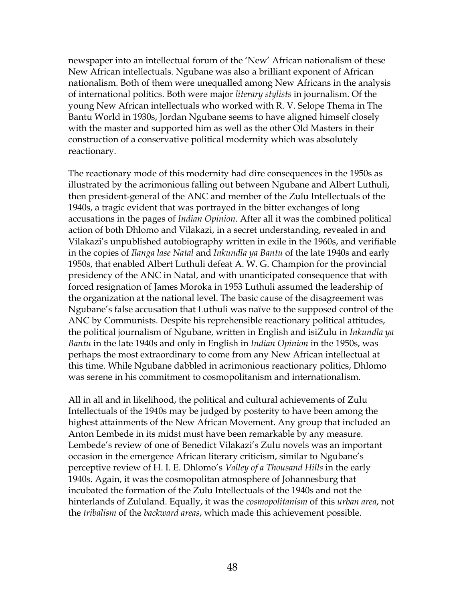newspaper into an intellectual forum of the 'New' African nationalism of these New African intellectuals. Ngubane was also a brilliant exponent of African nationalism. Both of them were unequalled among New Africans in the analysis of international politics. Both were major *literary stylists* in journalism. Of the young New African intellectuals who worked with R. V. Selope Thema in The Bantu World in 1930s, Jordan Ngubane seems to have aligned himself closely with the master and supported him as well as the other Old Masters in their construction of a conservative political modernity which was absolutely reactionary.

The reactionary mode of this modernity had dire consequences in the 1950s as illustrated by the acrimonious falling out between Ngubane and Albert Luthuli, then president-general of the ANC and member of the Zulu Intellectuals of the 1940s, a tragic evident that was portrayed in the bitter exchanges of long accusations in the pages of *Indian Opinion*. After all it was the combined political action of both Dhlomo and Vilakazi, in a secret understanding, revealed in and Vilakazi's unpublished autobiography written in exile in the 1960s, and verifiable in the copies of *Ilanga lase Natal* and *Inkundla ya Bantu* of the late 1940s and early 1950s, that enabled Albert Luthuli defeat A. W. G. Champion for the provincial presidency of the ANC in Natal, and with unanticipated consequence that with forced resignation of James Moroka in 1953 Luthuli assumed the leadership of the organization at the national level. The basic cause of the disagreement was Ngubane's false accusation that Luthuli was naïve to the supposed control of the ANC by Communists. Despite his reprehensible reactionary political attitudes, the political journalism of Ngubane, written in English and isiZulu in *Inkundla ya Bantu* in the late 1940s and only in English in *Indian Opinion* in the 1950s, was perhaps the most extraordinary to come from any New African intellectual at this time. While Ngubane dabbled in acrimonious reactionary politics, Dhlomo was serene in his commitment to cosmopolitanism and internationalism.

All in all and in likelihood, the political and cultural achievements of Zulu Intellectuals of the 1940s may be judged by posterity to have been among the highest attainments of the New African Movement. Any group that included an Anton Lembede in its midst must have been remarkable by any measure. Lembede's review of one of Benedict Vilakazi's Zulu novels was an important occasion in the emergence African literary criticism, similar to Ngubane's perceptive review of H. I. E. Dhlomo's *Valley of a Thousand Hills* in the early 1940s. Again, it was the cosmopolitan atmosphere of Johannesburg that incubated the formation of the Zulu Intellectuals of the 1940s and not the hinterlands of Zululand. Equally, it was the *cosmopolitanism* of this *urban area*, not the *tribalism* of the *backward areas*, which made this achievement possible.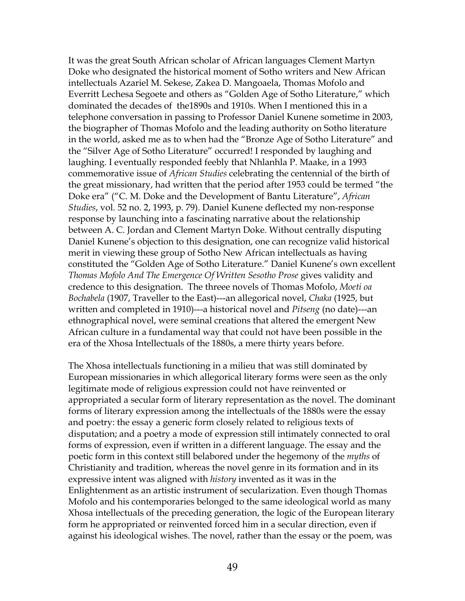It was the great South African scholar of African languages Clement Martyn Doke who designated the historical moment of Sotho writers and New African intellectuals Azariel M. Sekese, Zakea D. Mangoaela, Thomas Mofolo and Everritt Lechesa Segoete and others as "Golden Age of Sotho Literature," which dominated the decades of the1890s and 1910s. When I mentioned this in a telephone conversation in passing to Professor Daniel Kunene sometime in 2003, the biographer of Thomas Mofolo and the leading authority on Sotho literature in the world, asked me as to when had the "Bronze Age of Sotho Literature" and the "Silver Age of Sotho Literature" occurred! I responded by laughing and laughing. I eventually responded feebly that Nhlanhla P. Maake, in a 1993 commemorative issue of *African Studies* celebrating the centennial of the birth of the great missionary, had written that the period after 1953 could be termed "the Doke era" ("C. M. Doke and the Development of Bantu Literature", *African Studies*, vol. 52 no. 2, 1993, p. 79). Daniel Kunene deflected my non-response response by launching into a fascinating narrative about the relationship between A. C. Jordan and Clement Martyn Doke. Without centrally disputing Daniel Kunene's objection to this designation, one can recognize valid historical merit in viewing these group of Sotho New African intellectuals as having constituted the "Golden Age of Sotho Literature." Daniel Kunene's own excellent *Thomas Mofolo And The Emergence Of Written Sesotho Prose* gives validity and credence to this designation. The threee novels of Thomas Mofolo, *Moeti oa Bochabela* (1907, Traveller to the East)---an allegorical novel, *Chaka* (1925, but written and completed in 1910)---a historical novel and *Pitseng* (no date)---an ethnographical novel, were seminal creations that altered the emergent New African culture in a fundamental way that could not have been possible in the era of the Xhosa Intellectuals of the 1880s, a mere thirty years before.

The Xhosa intellectuals functioning in a milieu that was still dominated by European missionaries in which allegorical literary forms were seen as the only legitimate mode of religious expression could not have reinvented or appropriated a secular form of literary representation as the novel. The dominant forms of literary expression among the intellectuals of the 1880s were the essay and poetry: the essay a generic form closely related to religious texts of disputation; and a poetry a mode of expression still intimately connected to oral forms of expression, even if written in a different language. The essay and the poetic form in this context still belabored under the hegemony of the *myths* of Christianity and tradition, whereas the novel genre in its formation and in its expressive intent was aligned with *history* invented as it was in the Enlightenment as an artistic instrument of secularization. Even though Thomas Mofolo and his contemporaries belonged to the same ideological world as many Xhosa intellectuals of the preceding generation, the logic of the European literary form he appropriated or reinvented forced him in a secular direction, even if against his ideological wishes. The novel, rather than the essay or the poem, was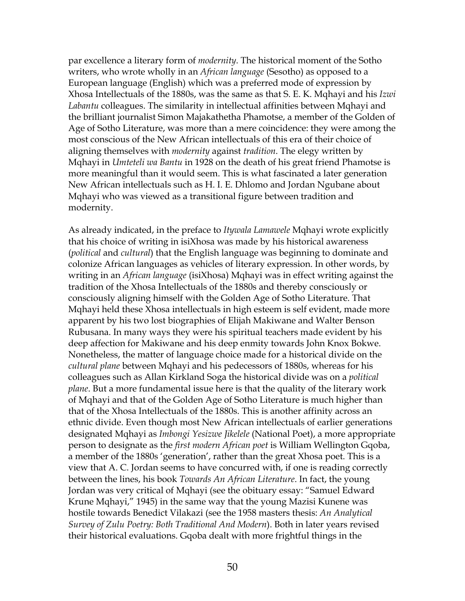par excellence a literary form of *modernity*. The historical moment of the Sotho writers, who wrote wholly in an *African language* (Sesotho) as opposed to a European language (English) which was a preferred mode of expression by Xhosa Intellectuals of the 1880s, was the same as that S. E. K. Mqhayi and his *Izwi Labantu* colleagues. The similarity in intellectual affinities between Mqhayi and the brilliant journalist Simon Majakathetha Phamotse, a member of the Golden of Age of Sotho Literature, was more than a mere coincidence: they were among the most conscious of the New African intellectuals of this era of their choice of aligning themselves with *modernity* against *tradition*. The elegy written by Mqhayi in *Umteteli wa Bantu* in 1928 on the death of his great friend Phamotse is more meaningful than it would seem. This is what fascinated a later generation New African intellectuals such as H. I. E. Dhlomo and Jordan Ngubane about Mqhayi who was viewed as a transitional figure between tradition and modernity.

As already indicated, in the preface to *Itywala Lamawele* Mqhayi wrote explicitly that his choice of writing in isiXhosa was made by his historical awareness (*political* and *cultural*) that the English language was beginning to dominate and colonize African languages as vehicles of literary expression. In other words, by writing in an *African language* (isiXhosa) Mqhayi was in effect writing against the tradition of the Xhosa Intellectuals of the 1880s and thereby consciously or consciously aligning himself with the Golden Age of Sotho Literature. That Mqhayi held these Xhosa intellectuals in high esteem is self evident, made more apparent by his two lost biographies of Elijah Makiwane and Walter Benson Rubusana. In many ways they were his spiritual teachers made evident by his deep affection for Makiwane and his deep enmity towards John Knox Bokwe. Nonetheless, the matter of language choice made for a historical divide on the *cultural plane* between Mqhayi and his pedecessors of 1880s, whereas for his colleagues such as Allan Kirkland Soga the historical divide was on a *political plane*. But a more fundamental issue here is that the quality of the literary work of Mqhayi and that of the Golden Age of Sotho Literature is much higher than that of the Xhosa Intellectuals of the 1880s. This is another affinity across an ethnic divide. Even though most New African intellectuals of earlier generations designated Mqhayi as *Imbongi Yesizwe Jikelele* (National Poet), a more appropriate person to designate as the *first modern African poet* is William Wellington Gqoba, a member of the 1880s 'generation', rather than the great Xhosa poet. This is a view that A. C. Jordan seems to have concurred with, if one is reading correctly between the lines, his book *Towards An African Literature*. In fact, the young Jordan was very critical of Mqhayi (see the obituary essay: "Samuel Edward Krune Mqhayi," 1945) in the same way that the young Mazisi Kunene was hostile towards Benedict Vilakazi (see the 1958 masters thesis: *An Analytical Survey of Zulu Poetry: Both Traditional And Modern*). Both in later years revised their historical evaluations. Gqoba dealt with more frightful things in the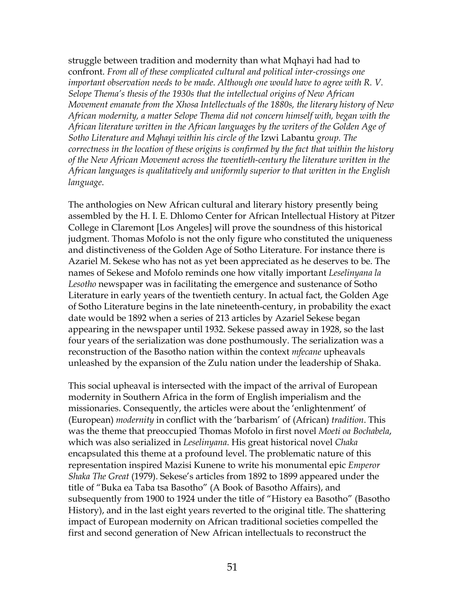struggle between tradition and modernity than what Mqhayi had had to confront. *From all of these complicated cultural and political inter-crossings one important observation needs to be made. Although one would have to agree with R. V. Selope Thema's thesis of the 1930s that the intellectual origins of New African Movement emanate from the Xhosa Intellectuals of the 1880s, the literary history of New African modernity, a matter Selope Thema did not concern himself with, began with the African literature written in the African languages by the writers of the Golden Age of Sotho Literature and Mqhayi within his circle of the* Izwi Labantu *group. The correctness in the location of these origins is confirmed by the fact that within the history of the New African Movement across the twentieth-century the literature written in the African languages is qualitatively and uniformly superior to that written in the English language*.

The anthologies on New African cultural and literary history presently being assembled by the H. I. E. Dhlomo Center for African Intellectual History at Pitzer College in Claremont [Los Angeles] will prove the soundness of this historical judgment. Thomas Mofolo is not the only figure who constituted the uniqueness and distinctiveness of the Golden Age of Sotho Literature. For instance there is Azariel M. Sekese who has not as yet been appreciated as he deserves to be. The names of Sekese and Mofolo reminds one how vitally important *Leselinyana la Lesotho* newspaper was in facilitating the emergence and sustenance of Sotho Literature in early years of the twentieth century. In actual fact, the Golden Age of Sotho Literature begins in the late nineteenth-century, in probability the exact date would be 1892 when a series of 213 articles by Azariel Sekese began appearing in the newspaper until 1932. Sekese passed away in 1928, so the last four years of the serialization was done posthumously. The serialization was a reconstruction of the Basotho nation within the context *mfecane* upheavals unleashed by the expansion of the Zulu nation under the leadership of Shaka.

This social upheaval is intersected with the impact of the arrival of European modernity in Southern Africa in the form of English imperialism and the missionaries. Consequently, the articles were about the 'enlightenment' of (European) *modernity* in conflict with the 'barbarism' of (African) *tradition*. This was the theme that preoccupied Thomas Mofolo in first novel *Moeti oa Bochabela*, which was also serialized in *Leselinyana*. His great historical novel *Chaka* encapsulated this theme at a profound level. The problematic nature of this representation inspired Mazisi Kunene to write his monumental epic *Emperor Shaka The Great* (1979). Sekese's articles from 1892 to 1899 appeared under the title of "Buka ea Taba tsa Basotho" (A Book of Basotho Affairs), and subsequently from 1900 to 1924 under the title of "History ea Basotho" (Basotho History), and in the last eight years reverted to the original title. The shattering impact of European modernity on African traditional societies compelled the first and second generation of New African intellectuals to reconstruct the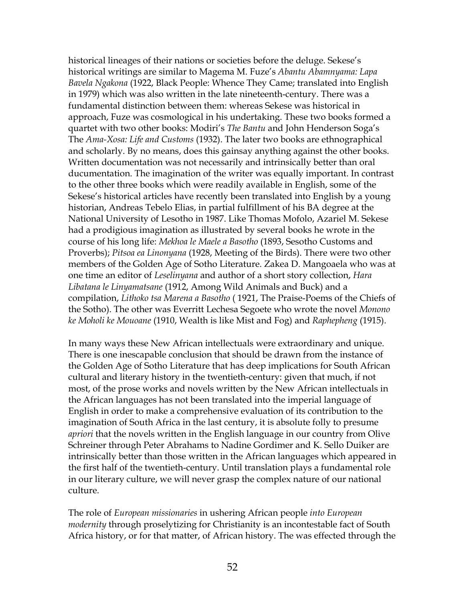historical lineages of their nations or societies before the deluge. Sekese's historical writings are similar to Magema M. Fuze's *Abantu Abamnyama: Lapa Bavela Ngakona* (1922, Black People: Whence They Came; translated into English in 1979) which was also written in the late nineteenth-century. There was a fundamental distinction between them: whereas Sekese was historical in approach, Fuze was cosmological in his undertaking. These two books formed a quartet with two other books: Modiri's *The Bantu* and John Henderson Soga's The *Ama-Xosa: Life and Customs* (1932). The later two books are ethnographical and scholarly. By no means, does this gainsay anything against the other books. Written documentation was not necessarily and intrinsically better than oral ducumentation. The imagination of the writer was equally important. In contrast to the other three books which were readily available in English, some of the Sekese's historical articles have recently been translated into English by a young historian, Andreas Tebelo Elias, in partial fulfillment of his BA degree at the National University of Lesotho in 1987. Like Thomas Mofolo, Azariel M. Sekese had a prodigious imagination as illustrated by several books he wrote in the course of his long life: *Mekhoa le Maele a Basotho* (1893, Sesotho Customs and Proverbs); *Pitsoa ea Linonyana* (1928, Meeting of the Birds). There were two other members of the Golden Age of Sotho Literature. Zakea D. Mangoaela who was at one time an editor of *Leselinyana* and author of a short story collection, *Hara Libatana le Linyamatsane* (1912, Among Wild Animals and Buck) and a compilation, *Lithoko tsa Marena a Basotho* ( 1921, The Praise-Poems of the Chiefs of the Sotho). The other was Everritt Lechesa Segoete who wrote the novel *Monono ke Moholi ke Mouoane* (1910, Wealth is like Mist and Fog) and *Raphepheng* (1915).

In many ways these New African intellectuals were extraordinary and unique. There is one inescapable conclusion that should be drawn from the instance of the Golden Age of Sotho Literature that has deep implications for South African cultural and literary history in the twentieth-century: given that much, if not most, of the prose works and novels written by the New African intellectuals in the African languages has not been translated into the imperial language of English in order to make a comprehensive evaluation of its contribution to the imagination of South Africa in the last century, it is absolute folly to presume *apriori* that the novels written in the English language in our country from Olive Schreiner through Peter Abrahams to Nadine Gordimer and K. Sello Duiker are intrinsically better than those written in the African languages which appeared in the first half of the twentieth-century. Until translation plays a fundamental role in our literary culture, we will never grasp the complex nature of our national culture.

The role of *European missionaries* in ushering African people *into European modernity* through proselytizing for Christianity is an incontestable fact of South Africa history, or for that matter, of African history. The was effected through the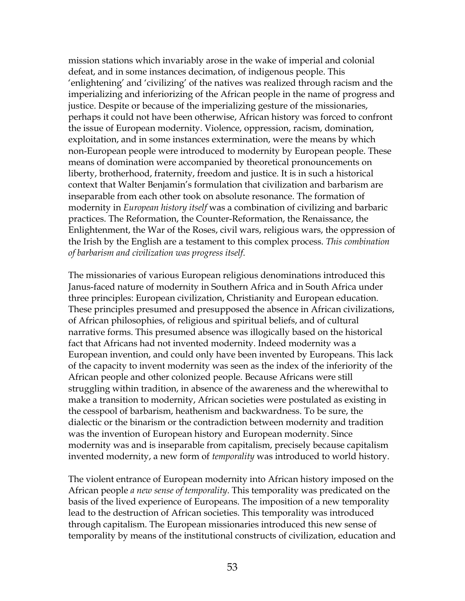mission stations which invariably arose in the wake of imperial and colonial defeat, and in some instances decimation, of indigenous people. This 'enlightening' and 'civilizing' of the natives was realized through racism and the imperializing and inferiorizing of the African people in the name of progress and justice. Despite or because of the imperializing gesture of the missionaries, perhaps it could not have been otherwise, African history was forced to confront the issue of European modernity. Violence, oppression, racism, domination, exploitation, and in some instances extermination, were the means by which non-European people were introduced to modernity by European people. These means of domination were accompanied by theoretical pronouncements on liberty, brotherhood, fraternity, freedom and justice. It is in such a historical context that Walter Benjamin's formulation that civilization and barbarism are inseparable from each other took on absolute resonance. The formation of modernity in *European history itself* was a combination of civilizing and barbaric practices. The Reformation, the Counter-Reformation, the Renaissance, the Enlightenment, the War of the Roses, civil wars, religious wars, the oppression of the Irish by the English are a testament to this complex process. *This combination of barbarism and civilization was progress itself*.

The missionaries of various European religious denominations introduced this Janus-faced nature of modernity in Southern Africa and in South Africa under three principles: European civilization, Christianity and European education. These principles presumed and presupposed the absence in African civilizations, of African philosophies, of religious and spiritual beliefs, and of cultural narrative forms. This presumed absence was illogically based on the historical fact that Africans had not invented modernity. Indeed modernity was a European invention, and could only have been invented by Europeans. This lack of the capacity to invent modernity was seen as the index of the inferiority of the African people and other colonized people. Because Africans were still struggling within tradition, in absence of the awareness and the wherewithal to make a transition to modernity, African societies were postulated as existing in the cesspool of barbarism, heathenism and backwardness. To be sure, the dialectic or the binarism or the contradiction between modernity and tradition was the invention of European history and European modernity. Since modernity was and is inseparable from capitalism, precisely because capitalism invented modernity, a new form of *temporality* was introduced to world history.

The violent entrance of European modernity into African history imposed on the African people *a new sense of temporality*. This temporality was predicated on the basis of the lived experience of Europeans. The imposition of a new temporality lead to the destruction of African societies. This temporality was introduced through capitalism. The European missionaries introduced this new sense of temporality by means of the institutional constructs of civilization, education and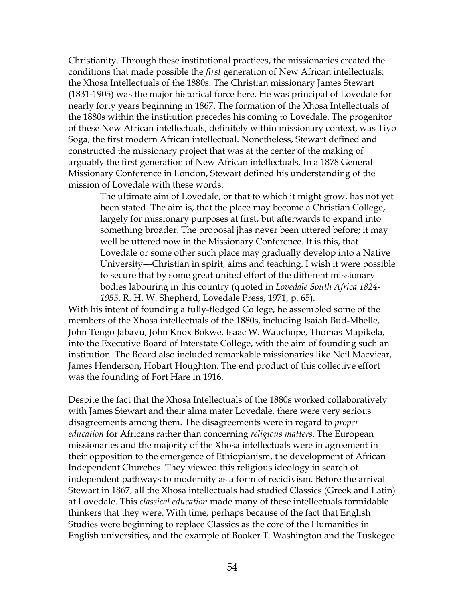Christianity. Through these institutional practices, the missionaries created the conditions that made possible the *first* generation of New African intellectuals: the Xhosa Intellectuals of the 1880s. The Christian missionary James Stewart (1831-1905) was the major historical force here. He was principal of Lovedale for nearly forty years beginning in 1867. The formation of the Xhosa Intellectuals of the 1880s within the institution precedes his coming to Lovedale. The progenitor of these New African intellectuals, definitely within missionary context, was Tiyo Soga, the first modern African intellectual. Nonetheless, Stewart defined and constructed the missionary project that was at the center of the making of arguably the first generation of New African intellectuals. In a 1878 General Missionary Conference in London, Stewart defined his understanding of the mission of Lovedale with these words:

 The ultimate aim of Lovedale, or that to which it might grow, has not yet been stated. The aim is, that the place may become a Christian College, largely for missionary purposes at first, but afterwards to expand into something broader. The proposal jhas never been uttered before; it may well be uttered now in the Missionary Conference. It is this, that Lovedale or some other such place may gradually develop into a Native University---Christian in spirit, aims and teaching. I wish it were possible to secure that by some great united effort of the different missionary bodies labouring in this country (quoted in *Lovedale South Africa 1824- 1955*, R. H. W. Shepherd, Lovedale Press, 1971, p. 65).

With his intent of founding a fully-fledged College, he assembled some of the members of the Xhosa intellectuals of the 1880s, including Isaiah Bud-Mbelle, John Tengo Jabavu, John Knox Bokwe, Isaac W. Wauchope, Thomas Mapikela, into the Executive Board of Interstate College, with the aim of founding such an institution. The Board also included remarkable missionaries like Neil Macvicar, James Henderson, Hobart Houghton. The end product of this collective effort was the founding of Fort Hare in 1916.

Despite the fact that the Xhosa Intellectuals of the 1880s worked collaboratively with James Stewart and their alma mater Lovedale, there were very serious disagreements among them. The disagreements were in regard to *proper education* for Africans rather than concerning *religious matters*. The European missionaries and the majority of the Xhosa intellectuals were in agreement in their opposition to the emergence of Ethiopianism, the development of African Independent Churches. They viewed this religious ideology in search of independent pathways to modernity as a form of recidivism. Before the arrival Stewart in 1867, all the Xhosa intellectuals had studied Classics (Greek and Latin) at Lovedale. This *classical education* made many of these intellectuals formidable thinkers that they were. With time, perhaps because of the fact that English Studies were beginning to replace Classics as the core of the Humanities in English universities, and the example of Booker T. Washington and the Tuskegee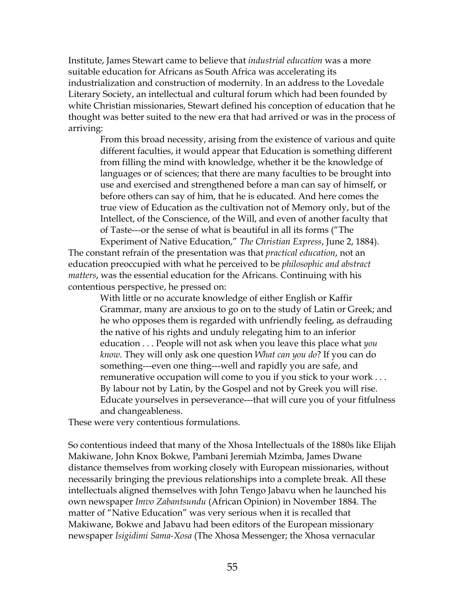Institute, James Stewart came to believe that *industrial education* was a more suitable education for Africans as South Africa was accelerating its industrialization and construction of modernity. In an address to the Lovedale Literary Society, an intellectual and cultural forum which had been founded by white Christian missionaries, Stewart defined his conception of education that he thought was better suited to the new era that had arrived or was in the process of arriving:

 From this broad necessity, arising from the existence of various and quite different faculties, it would appear that Education is something different from filling the mind with knowledge, whether it be the knowledge of languages or of sciences; that there are many faculties to be brought into use and exercised and strengthened before a man can say of himself, or before others can say of him, that he is educated. And here comes the true view of Education as the cultivation not of Memory only, but of the Intellect, of the Conscience, of the Will, and even of another faculty that of Taste---or the sense of what is beautiful in all its forms ("The

 Experiment of Native Education," *The Christian Express*, June 2, 1884). The constant refrain of the presentation was that *practical education*, not an education preoccupied with what he perceived to be *philosophic and abstract matters*, was the essential education for the Africans. Continuing with his contentious perspective, he pressed on:

 With little or no accurate knowledge of either English or Kaffir Grammar, many are anxious to go on to the study of Latin or Greek; and he who opposes them is regarded with unfriendly feeling, as defrauding the native of his rights and unduly relegating him to an inferior education . . . People will not ask when you leave this place what *you know*. They will only ask one question *What can you do*? If you can do something---even one thing---well and rapidly you are safe, and remunerative occupation will come to you if you stick to your work . . . By labour not by Latin, by the Gospel and not by Greek you will rise. Educate yourselves in perseverance---that will cure you of your fitfulness and changeableness.

These were very contentious formulations.

So contentious indeed that many of the Xhosa Intellectuals of the 1880s like Elijah Makiwane, John Knox Bokwe, Pambani Jeremiah Mzimba, James Dwane distance themselves from working closely with European missionaries, without necessarily bringing the previous relationships into a complete break. All these intellectuals aligned themselves with John Tengo Jabavu when he launched his own newspaper *Imvo Zabantsundu* (African Opinion) in November 1884. The matter of "Native Education" was very serious when it is recalled that Makiwane, Bokwe and Jabavu had been editors of the European missionary newspaper *Isigidimi Sama-Xosa* (The Xhosa Messenger; the Xhosa vernacular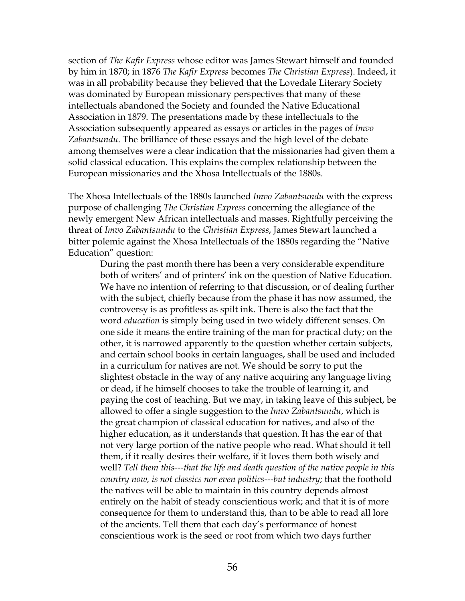section of *The Kafir Express* whose editor was James Stewart himself and founded by him in 1870; in 1876 *The Kafir Express* becomes *The Christian Express*). Indeed, it was in all probability because they believed that the Lovedale Literary Society was dominated by European missionary perspectives that many of these intellectuals abandoned the Society and founded the Native Educational Association in 1879. The presentations made by these intellectuals to the Association subsequently appeared as essays or articles in the pages of *Imvo Zabantsundu*. The brilliance of these essays and the high level of the debate among themselves were a clear indication that the missionaries had given them a solid classical education. This explains the complex relationship between the European missionaries and the Xhosa Intellectuals of the 1880s.

The Xhosa Intellectuals of the 1880s launched *Imvo Zabantsundu* with the express purpose of challenging *The Christian Express* concerning the allegiance of the newly emergent New African intellectuals and masses. Rightfully perceiving the threat of *Imvo Zabantsundu* to the *Christian Express*, James Stewart launched a bitter polemic against the Xhosa Intellectuals of the 1880s regarding the "Native Education" question:

 During the past month there has been a very considerable expenditure both of writers' and of printers' ink on the question of Native Education. We have no intention of referring to that discussion, or of dealing further with the subject, chiefly because from the phase it has now assumed, the controversy is as profitless as spilt ink. There is also the fact that the word *education* is simply being used in two widely different senses. On one side it means the entire training of the man for practical duty; on the other, it is narrowed apparently to the question whether certain subjects, and certain school books in certain languages, shall be used and included in a curriculum for natives are not. We should be sorry to put the slightest obstacle in the way of any native acquiring any language living or dead, if he himself chooses to take the trouble of learning it, and paying the cost of teaching. But we may, in taking leave of this subject, be allowed to offer a single suggestion to the *Imvo Zabantsundu*, which is the great champion of classical education for natives, and also of the higher education, as it understands that question. It has the ear of that not very large portion of the native people who read. What should it tell them, if it really desires their welfare, if it loves them both wisely and well? *Tell them this---that the life and death question of the native people in this country now, is not classics nor even politics---but industry*; that the foothold the natives will be able to maintain in this country depends almost entirely on the habit of steady conscientious work; and that it is of more consequence for them to understand this, than to be able to read all lore of the ancients. Tell them that each day's performance of honest conscientious work is the seed or root from which two days further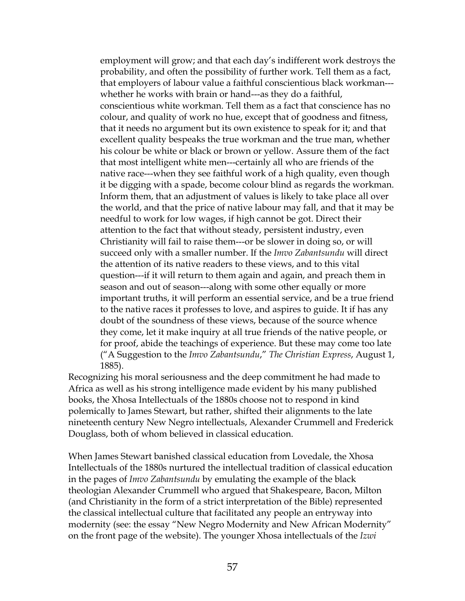employment will grow; and that each day's indifferent work destroys the probability, and often the possibility of further work. Tell them as a fact, that employers of labour value a faithful conscientious black workman-- whether he works with brain or hand---as they do a faithful, conscientious white workman. Tell them as a fact that conscience has no colour, and quality of work no hue, except that of goodness and fitness, that it needs no argument but its own existence to speak for it; and that excellent quality bespeaks the true workman and the true man, whether his colour be white or black or brown or yellow. Assure them of the fact that most intelligent white men---certainly all who are friends of the native race---when they see faithful work of a high quality, even though it be digging with a spade, become colour blind as regards the workman. Inform them, that an adjustment of values is likely to take place all over the world, and that the price of native labour may fall, and that it may be needful to work for low wages, if high cannot be got. Direct their attention to the fact that without steady, persistent industry, even Christianity will fail to raise them---or be slower in doing so, or will succeed only with a smaller number. If the *Imvo Zabantsundu* will direct the attention of its native readers to these views, and to this vital question---if it will return to them again and again, and preach them in season and out of season---along with some other equally or more important truths, it will perform an essential service, and be a true friend to the native races it professes to love, and aspires to guide. It if has any doubt of the soundness of these views, because of the source whence they come, let it make inquiry at all true friends of the native people, or for proof, abide the teachings of experience. But these may come too late ("A Suggestion to the *Imvo Zabantsundu*," *The Christian Express*, August 1, 1885).

Recognizing his moral seriousness and the deep commitment he had made to Africa as well as his strong intelligence made evident by his many published books, the Xhosa Intellectuals of the 1880s choose not to respond in kind polemically to James Stewart, but rather, shifted their alignments to the late nineteenth century New Negro intellectuals, Alexander Crummell and Frederick Douglass, both of whom believed in classical education.

When James Stewart banished classical education from Lovedale, the Xhosa Intellectuals of the 1880s nurtured the intellectual tradition of classical education in the pages of *Imvo Zabantsundu* by emulating the example of the black theologian Alexander Crummell who argued that Shakespeare, Bacon, Milton (and Christianity in the form of a strict interpretation of the Bible) represented the classical intellectual culture that facilitated any people an entryway into modernity (see: the essay "New Negro Modernity and New African Modernity" on the front page of the website). The younger Xhosa intellectuals of the *Izwi*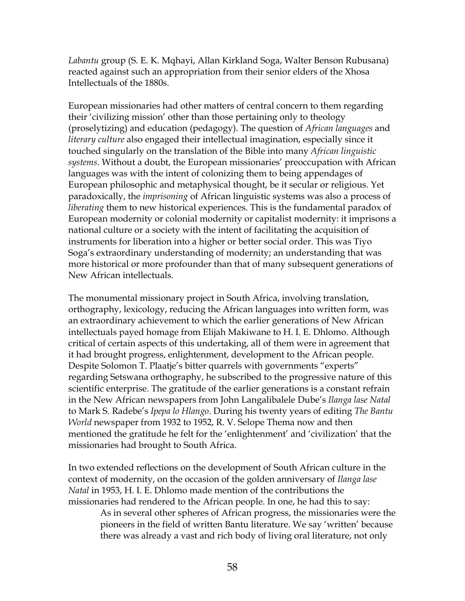*Labantu* group (S. E. K. Mqhayi, Allan Kirkland Soga, Walter Benson Rubusana) reacted against such an appropriation from their senior elders of the Xhosa Intellectuals of the 1880s.

European missionaries had other matters of central concern to them regarding their 'civilizing mission' other than those pertaining only to theology (proselytizing) and education (pedagogy). The question of *African languages* and *literary culture* also engaged their intellectual imagination, especially since it touched singularly on the translation of the Bible into many *African linguistic systems*. Without a doubt, the European missionaries' preoccupation with African languages was with the intent of colonizing them to being appendages of European philosophic and metaphysical thought, be it secular or religious. Yet paradoxically, the *imprisoning* of African linguistic systems was also a process of *liberating* them to new historical experiences. This is the fundamental paradox of European modernity or colonial modernity or capitalist modernity: it imprisons a national culture or a society with the intent of facilitating the acquisition of instruments for liberation into a higher or better social order. This was Tiyo Soga's extraordinary understanding of modernity; an understanding that was more historical or more profounder than that of many subsequent generations of New African intellectuals.

The monumental missionary project in South Africa, involving translation, orthography, lexicology, reducing the African languages into written form, was an extraordinary achievement to which the earlier generations of New African intellectuals payed homage from Elijah Makiwane to H. I. E. Dhlomo. Although critical of certain aspects of this undertaking, all of them were in agreement that it had brought progress, enlightenment, development to the African people. Despite Solomon T. Plaatje's bitter quarrels with governments "experts" regarding Setswana orthography, he subscribed to the progressive nature of this scientific enterprise. The gratitude of the earlier generations is a constant refrain in the New African newspapers from John Langalibalele Dube's *Ilanga lase Natal* to Mark S. Radebe's *Ipepa lo Hlango*. During his twenty years of editing *The Bantu World* newspaper from 1932 to 1952, R. V. Selope Thema now and then mentioned the gratitude he felt for the 'enlightenment' and 'civilization' that the missionaries had brought to South Africa.

In two extended reflections on the development of South African culture in the context of modernity, on the occasion of the golden anniversary of *Ilanga lase Natal* in 1953, H. I. E. Dhlomo made mention of the contributions the missionaries had rendered to the African people. In one, he had this to say:

 As in several other spheres of African progress, the missionaries were the pioneers in the field of written Bantu literature. We say 'written' because there was already a vast and rich body of living oral literature, not only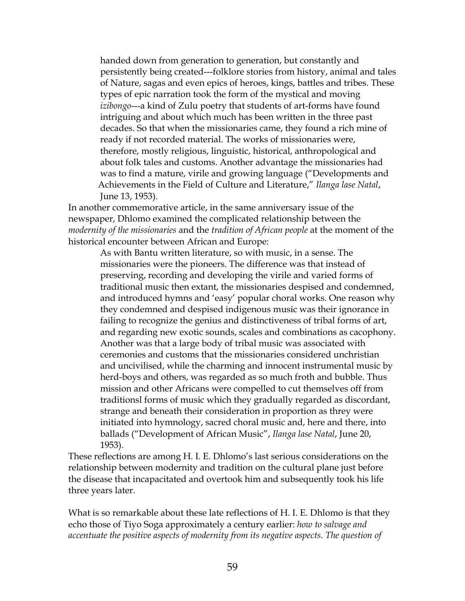handed down from generation to generation, but constantly and persistently being created---folklore stories from history, animal and tales of Nature, sagas and even epics of heroes, kings, battles and tribes. These types of epic narration took the form of the mystical and moving *izibongo*---a kind of Zulu poetry that students of art-forms have found intriguing and about which much has been written in the three past decades. So that when the missionaries came, they found a rich mine of ready if not recorded material. The works of missionaries were, therefore, mostly religious, linguistic, historical, anthropological and about folk tales and customs. Another advantage the missionaries had was to find a mature, virile and growing language ("Developments and Achievements in the Field of Culture and Literature," *Ilanga lase Natal*, June 13, 1953).

In another commemorative article, in the same anniversary issue of the newspaper, Dhlomo examined the complicated relationship between the *modernity of the missionaries* and the *tradition of African people* at the moment of the historical encounter between African and Europe:

 As with Bantu written literature, so with music, in a sense. The missionaries were the pioneers. The difference was that instead of preserving, recording and developing the virile and varied forms of traditional music then extant, the missionaries despised and condemned, and introduced hymns and 'easy' popular choral works. One reason why they condemned and despised indigenous music was their ignorance in failing to recognize the genius and distinctiveness of tribal forms of art, and regarding new exotic sounds, scales and combinations as cacophony. Another was that a large body of tribal music was associated with ceremonies and customs that the missionaries considered unchristian and uncivilised, while the charming and innocent instrumental music by herd-boys and others, was regarded as so much froth and bubble. Thus mission and other Africans were compelled to cut themselves off from traditionsl forms of music which they gradually regarded as discordant, strange and beneath their consideration in proportion as threy were initiated into hymnology, sacred choral music and, here and there, into ballads ("Development of African Music", *Ilanga lase Natal*, June 20, 1953).

These reflections are among H. I. E. Dhlomo's last serious considerations on the relationship between modernity and tradition on the cultural plane just before the disease that incapacitated and overtook him and subsequently took his life three years later.

What is so remarkable about these late reflections of H. I. E. Dhlomo is that they echo those of Tiyo Soga approximately a century earlier: *how to salvage and accentuate the positive aspects of modernity from its negative aspects. The question of*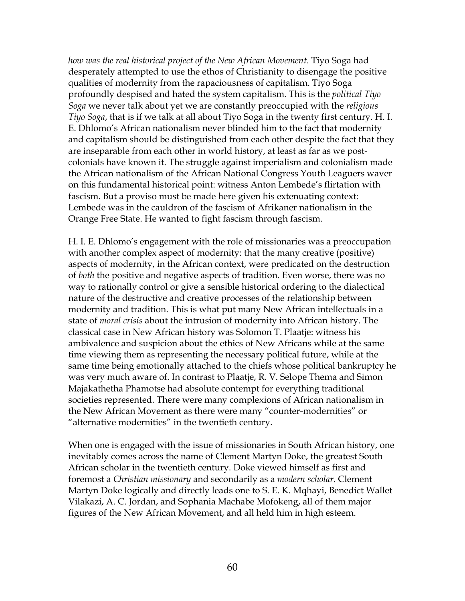*how was the real historical project of the New African Movement*. Tiyo Soga had desperately attempted to use the ethos of Christianity to disengage the positive qualities of modernity from the rapaciousness of capitalism. Tiyo Soga profoundly despised and hated the system capitalism. This is the *political Tiyo Soga* we never talk about yet we are constantly preoccupied with the *religious Tiyo Soga*, that is if we talk at all about Tiyo Soga in the twenty first century. H. I. E. Dhlomo's African nationalism never blinded him to the fact that modernity and capitalism should be distinguished from each other despite the fact that they are inseparable from each other in world history, at least as far as we postcolonials have known it. The struggle against imperialism and colonialism made the African nationalism of the African National Congress Youth Leaguers waver on this fundamental historical point: witness Anton Lembede's flirtation with fascism. But a proviso must be made here given his extenuating context: Lembede was in the cauldron of the fascism of Afrikaner nationalism in the Orange Free State. He wanted to fight fascism through fascism.

H. I. E. Dhlomo's engagement with the role of missionaries was a preoccupation with another complex aspect of modernity: that the many creative (positive) aspects of modernity, in the African context, were predicated on the destruction of *both* the positive and negative aspects of tradition. Even worse, there was no way to rationally control or give a sensible historical ordering to the dialectical nature of the destructive and creative processes of the relationship between modernity and tradition. This is what put many New African intellectuals in a state of *moral crisis* about the intrusion of modernity into African history. The classical case in New African history was Solomon T. Plaatje: witness his ambivalence and suspicion about the ethics of New Africans while at the same time viewing them as representing the necessary political future, while at the same time being emotionally attached to the chiefs whose political bankruptcy he was very much aware of. In contrast to Plaatje, R. V. Selope Thema and Simon Majakathetha Phamotse had absolute contempt for everything traditional societies represented. There were many complexions of African nationalism in the New African Movement as there were many "counter-modernities" or "alternative modernities" in the twentieth century.

When one is engaged with the issue of missionaries in South African history, one inevitably comes across the name of Clement Martyn Doke, the greatest South African scholar in the twentieth century. Doke viewed himself as first and foremost a *Christian missionary* and secondarily as a *modern scholar*. Clement Martyn Doke logically and directly leads one to S. E. K. Mqhayi, Benedict Wallet Vilakazi, A. C. Jordan, and Sophania Machabe Mofokeng, all of them major figures of the New African Movement, and all held him in high esteem.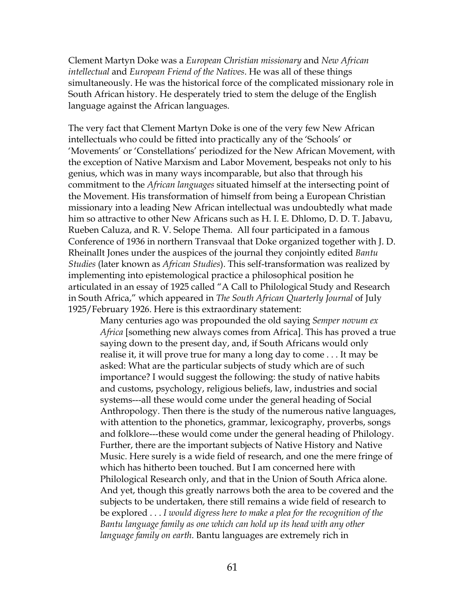Clement Martyn Doke was a *European Christian missionary* and *New African intellectual* and *European Friend of the Natives*. He was all of these things simultaneously. He was the historical force of the complicated missionary role in South African history. He desperately tried to stem the deluge of the English language against the African languages.

The very fact that Clement Martyn Doke is one of the very few New African intellectuals who could be fitted into practically any of the 'Schools' or 'Movements' or 'Constellations' periodized for the New African Movement, with the exception of Native Marxism and Labor Movement, bespeaks not only to his genius, which was in many ways incomparable, but also that through his commitment to the *African languages* situated himself at the intersecting point of the Movement. His transformation of himself from being a European Christian missionary into a leading New African intellectual was undoubtedly what made him so attractive to other New Africans such as H. I. E. Dhlomo, D. D. T. Jabavu, Rueben Caluza, and R. V. Selope Thema. All four participated in a famous Conference of 1936 in northern Transvaal that Doke organized together with J. D. Rheinallt Jones under the auspices of the journal they conjointly edited *Bantu Studies* (later known as *African Studies*). This self-transformation was realized by implementing into epistemological practice a philosophical position he articulated in an essay of 1925 called "A Call to Philological Study and Research in South Africa," which appeared in *The South African Quarterly Journal* of July 1925/February 1926. Here is this extraordinary statement:

 Many centuries ago was propounded the old saying *Semper novum ex Africa* [something new always comes from Africa]. This has proved a true saying down to the present day, and, if South Africans would only realise it, it will prove true for many a long day to come . . . It may be asked: What are the particular subjects of study which are of such importance? I would suggest the following: the study of native habits and customs, psychology, religious beliefs, law, industries and social systems---all these would come under the general heading of Social Anthropology. Then there is the study of the numerous native languages, with attention to the phonetics, grammar, lexicography, proverbs, songs and folklore---these would come under the general heading of Philology. Further, there are the important subjects of Native History and Native Music. Here surely is a wide field of research, and one the mere fringe of which has hitherto been touched. But I am concerned here with Philological Research only, and that in the Union of South Africa alone. And yet, though this greatly narrows both the area to be covered and the subjects to be undertaken, there still remains a wide field of research to be explored . . . *I would digress here to make a plea for the recognition of the Bantu language family as one which can hold up its head with any other language family on earth*. Bantu languages are extremely rich in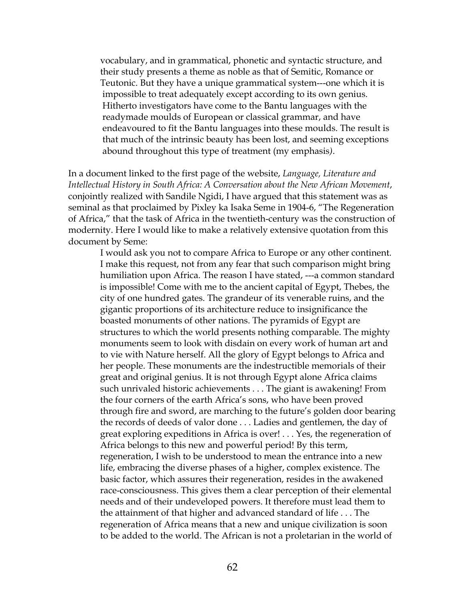vocabulary, and in grammatical, phonetic and syntactic structure, and their study presents a theme as noble as that of Semitic, Romance or Teutonic. But they have a unique grammatical system---one which it is impossible to treat adequately except according to its own genius. Hitherto investigators have come to the Bantu languages with the readymade moulds of European or classical grammar, and have endeavoured to fit the Bantu languages into these moulds. The result is that much of the intrinsic beauty has been lost, and seeming exceptions abound throughout this type of treatment (my emphasis*)*.

In a document linked to the first page of the website, *Language, Literature and Intellectual History in South Africa: A Conversation about the New African Movement*, conjointly realized with Sandile Ngidi, I have argued that this statement was as seminal as that proclaimed by Pixley ka Isaka Seme in 1904-6, "The Regeneration of Africa," that the task of Africa in the twentieth-century was the construction of modernity. Here I would like to make a relatively extensive quotation from this document by Seme:

 I would ask you not to compare Africa to Europe or any other continent. I make this request, not from any fear that such comparison might bring humiliation upon Africa. The reason I have stated, ---a common standard is impossible! Come with me to the ancient capital of Egypt, Thebes, the city of one hundred gates. The grandeur of its venerable ruins, and the gigantic proportions of its architecture reduce to insignificance the boasted monuments of other nations. The pyramids of Egypt are structures to which the world presents nothing comparable. The mighty monuments seem to look with disdain on every work of human art and to vie with Nature herself. All the glory of Egypt belongs to Africa and her people. These monuments are the indestructible memorials of their great and original genius. It is not through Egypt alone Africa claims such unrivaled historic achievements . . . The giant is awakening! From the four corners of the earth Africa's sons, who have been proved through fire and sword, are marching to the future's golden door bearing the records of deeds of valor done . . . Ladies and gentlemen, the day of great exploring expeditions in Africa is over! . . . Yes, the regeneration of Africa belongs to this new and powerful period! By this term, regeneration, I wish to be understood to mean the entrance into a new life, embracing the diverse phases of a higher, complex existence. The basic factor, which assures their regeneration, resides in the awakened race-consciousness. This gives them a clear perception of their elemental needs and of their undeveloped powers. It therefore must lead them to the attainment of that higher and advanced standard of life . . . The regeneration of Africa means that a new and unique civilization is soon to be added to the world. The African is not a proletarian in the world of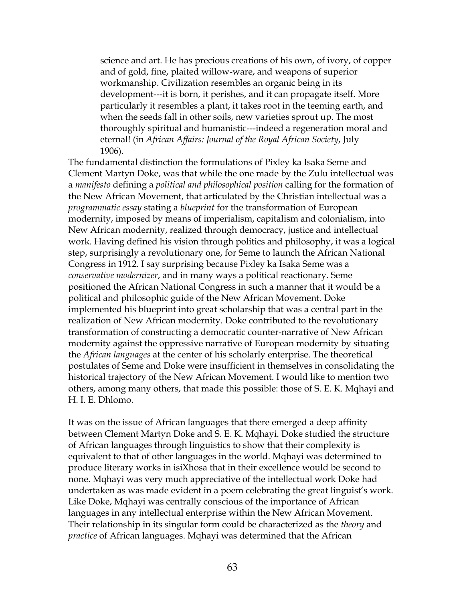science and art. He has precious creations of his own, of ivory, of copper and of gold, fine, plaited willow-ware, and weapons of superior workmanship. Civilization resembles an organic being in its development---it is born, it perishes, and it can propagate itself. More particularly it resembles a plant, it takes root in the teeming earth, and when the seeds fall in other soils, new varieties sprout up. The most thoroughly spiritual and humanistic---indeed a regeneration moral and eternal! (in *African Affairs: Journal of the Royal African Society*, July 1906).

The fundamental distinction the formulations of Pixley ka Isaka Seme and Clement Martyn Doke, was that while the one made by the Zulu intellectual was a *manifesto* defining a *political and philosophical position* calling for the formation of the New African Movement, that articulated by the Christian intellectual was a *programmatic essay* stating a *blueprint* for the transformation of European modernity, imposed by means of imperialism, capitalism and colonialism, into New African modernity, realized through democracy, justice and intellectual work. Having defined his vision through politics and philosophy, it was a logical step, surprisingly a revolutionary one, for Seme to launch the African National Congress in 1912. I say surprising because Pixley ka Isaka Seme was a *conservative modernizer*, and in many ways a political reactionary. Seme positioned the African National Congress in such a manner that it would be a political and philosophic guide of the New African Movement. Doke implemented his blueprint into great scholarship that was a central part in the realization of New African modernity. Doke contributed to the revolutionary transformation of constructing a democratic counter-narrative of New African modernity against the oppressive narrative of European modernity by situating the *African languages* at the center of his scholarly enterprise. The theoretical postulates of Seme and Doke were insufficient in themselves in consolidating the historical trajectory of the New African Movement. I would like to mention two others, among many others, that made this possible: those of S. E. K. Mqhayi and H. I. E. Dhlomo.

It was on the issue of African languages that there emerged a deep affinity between Clement Martyn Doke and S. E. K. Mqhayi. Doke studied the structure of African languages through linguistics to show that their complexity is equivalent to that of other languages in the world. Mqhayi was determined to produce literary works in isiXhosa that in their excellence would be second to none. Mqhayi was very much appreciative of the intellectual work Doke had undertaken as was made evident in a poem celebrating the great linguist's work. Like Doke, Mqhayi was centrally conscious of the importance of African languages in any intellectual enterprise within the New African Movement. Their relationship in its singular form could be characterized as the *theory* and *practice* of African languages. Mqhayi was determined that the African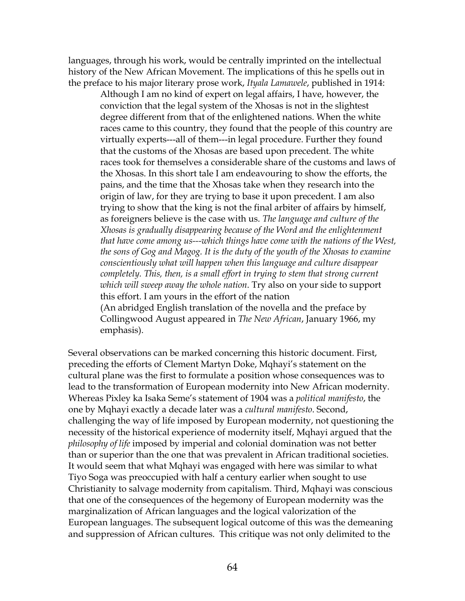languages, through his work, would be centrally imprinted on the intellectual history of the New African Movement. The implications of this he spells out in the preface to his major literary prose work, *Ityala Lamawele*, published in 1914:

 Although I am no kind of expert on legal affairs, I have, however, the conviction that the legal system of the Xhosas is not in the slightest degree different from that of the enlightened nations. When the white races came to this country, they found that the people of this country are virtually experts---all of them---in legal procedure. Further they found that the customs of the Xhosas are based upon precedent. The white races took for themselves a considerable share of the customs and laws of the Xhosas. In this short tale I am endeavouring to show the efforts, the pains, and the time that the Xhosas take when they research into the origin of law, for they are trying to base it upon precedent. I am also trying to show that the king is not the final arbiter of affairs by himself, as foreigners believe is the case with us. *The language and culture of the Xhosas is gradually disappearing because of the Word and the enlightenment that have come among us---which things have come with the nations of the West, the sons of Gog and Magog. It is the duty of the youth of the Xhosas to examine conscientiously what will happen when this language and culture disappear completely. This, then, is a small effort in trying to stem that strong current which will sweep away the whole nation*. Try also on your side to support this effort. I am yours in the effort of the nation (An abridged English translation of the novella and the preface by Collingwood August appeared in *The New African*, January 1966, my

Several observations can be marked concerning this historic document. First, preceding the efforts of Clement Martyn Doke, Mqhayi's statement on the cultural plane was the first to formulate a position whose consequences was to lead to the transformation of European modernity into New African modernity. Whereas Pixley ka Isaka Seme's statement of 1904 was a *political manifesto*, the one by Mqhayi exactly a decade later was a *cultural manifesto*. Second, challenging the way of life imposed by European modernity, not questioning the necessity of the historical experience of modernity itself, Mqhayi argued that the *philosophy of life* imposed by imperial and colonial domination was not better than or superior than the one that was prevalent in African traditional societies. It would seem that what Mqhayi was engaged with here was similar to what Tiyo Soga was preoccupied with half a century earlier when sought to use Christianity to salvage modernity from capitalism. Third, Mqhayi was conscious that one of the consequences of the hegemony of European modernity was the marginalization of African languages and the logical valorization of the European languages. The subsequent logical outcome of this was the demeaning and suppression of African cultures. This critique was not only delimited to the

emphasis).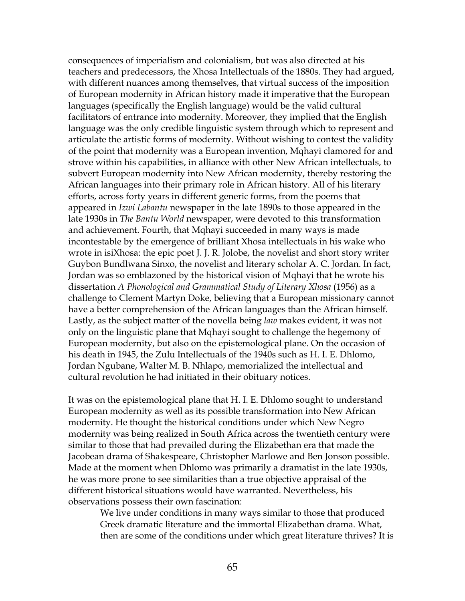consequences of imperialism and colonialism, but was also directed at his teachers and predecessors, the Xhosa Intellectuals of the 1880s. They had argued, with different nuances among themselves, that virtual success of the imposition of European modernity in African history made it imperative that the European languages (specifically the English language) would be the valid cultural facilitators of entrance into modernity. Moreover, they implied that the English language was the only credible linguistic system through which to represent and articulate the artistic forms of modernity. Without wishing to contest the validity of the point that modernity was a European invention, Mqhayi clamored for and strove within his capabilities, in alliance with other New African intellectuals, to subvert European modernity into New African modernity, thereby restoring the African languages into their primary role in African history. All of his literary efforts, across forty years in different generic forms, from the poems that appeared in *Izwi Labantu* newspaper in the late 1890s to those appeared in the late 1930s in *The Bantu World* newspaper, were devoted to this transformation and achievement. Fourth, that Mqhayi succeeded in many ways is made incontestable by the emergence of brilliant Xhosa intellectuals in his wake who wrote in isiXhosa: the epic poet J. J. R. Jolobe, the novelist and short story writer Guybon Bundlwana Sinxo, the novelist and literary scholar A. C. Jordan. In fact, Jordan was so emblazoned by the historical vision of Mqhayi that he wrote his dissertation *A Phonological and Grammatical Study of Literary Xhosa* (1956) as a challenge to Clement Martyn Doke, believing that a European missionary cannot have a better comprehension of the African languages than the African himself. Lastly, as the subject matter of the novella being *law* makes evident, it was not only on the linguistic plane that Mqhayi sought to challenge the hegemony of European modernity, but also on the epistemological plane. On the occasion of his death in 1945, the Zulu Intellectuals of the 1940s such as H. I. E. Dhlomo, Jordan Ngubane, Walter M. B. Nhlapo, memorialized the intellectual and cultural revolution he had initiated in their obituary notices.

It was on the epistemological plane that H. I. E. Dhlomo sought to understand European modernity as well as its possible transformation into New African modernity. He thought the historical conditions under which New Negro modernity was being realized in South Africa across the twentieth century were similar to those that had prevailed during the Elizabethan era that made the Jacobean drama of Shakespeare, Christopher Marlowe and Ben Jonson possible. Made at the moment when Dhlomo was primarily a dramatist in the late 1930s, he was more prone to see similarities than a true objective appraisal of the different historical situations would have warranted. Nevertheless, his observations possess their own fascination:

 We live under conditions in many ways similar to those that produced Greek dramatic literature and the immortal Elizabethan drama. What, then are some of the conditions under which great literature thrives? It is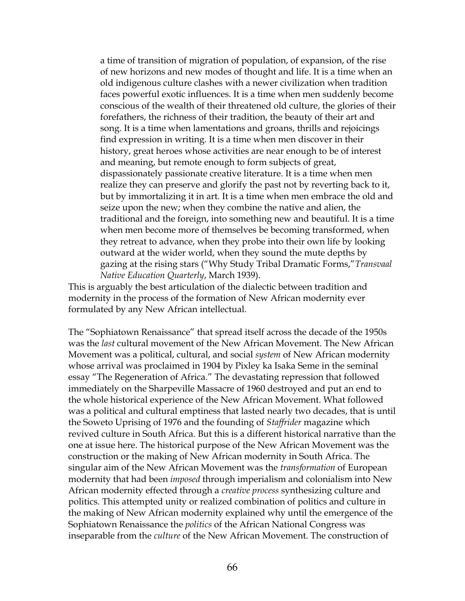a time of transition of migration of population, of expansion, of the rise of new horizons and new modes of thought and life. It is a time when an old indigenous culture clashes with a newer civilization when tradition faces powerful exotic influences. It is a time when men suddenly become conscious of the wealth of their threatened old culture, the glories of their forefathers, the richness of their tradition, the beauty of their art and song. It is a time when lamentations and groans, thrills and rejoicings find expression in writing. It is a time when men discover in their history, great heroes whose activities are near enough to be of interest and meaning, but remote enough to form subjects of great, dispassionately passionate creative literature. It is a time when men realize they can preserve and glorify the past not by reverting back to it, but by immortalizing it in art. It is a time when men embrace the old and seize upon the new; when they combine the native and alien, the traditional and the foreign, into something new and beautiful. It is a time when men become more of themselves be becoming transformed, when they retreat to advance, when they probe into their own life by looking outward at the wider world, when they sound the mute depths by gazing at the rising stars ("Why Study Tribal Dramatic Forms,"*Transvaal Native Education Quarterly*, March 1939).

This is arguably the best articulation of the dialectic between tradition and modernity in the process of the formation of New African modernity ever formulated by any New African intellectual.

The "Sophiatown Renaissance" that spread itself across the decade of the 1950s was the *last* cultural movement of the New African Movement. The New African Movement was a political, cultural, and social *system* of New African modernity whose arrival was proclaimed in 1904 by Pixley ka Isaka Seme in the seminal essay "The Regeneration of Africa." The devastating repression that followed immediately on the Sharpeville Massacre of 1960 destroyed and put an end to the whole historical experience of the New African Movement. What followed was a political and cultural emptiness that lasted nearly two decades, that is until the Soweto Uprising of 1976 and the founding of *Staffrider* magazine which revived culture in South Africa. But this is a different historical narrative than the one at issue here. The historical purpose of the New African Movement was the construction or the making of New African modernity in South Africa. The singular aim of the New African Movement was the *transformation* of European modernity that had been *imposed* through imperialism and colonialism into New African modernity effected through a *creative process* synthesizing culture and politics. This attempted unity or realized combination of politics and culture in the making of New African modernity explained why until the emergence of the Sophiatown Renaissance the *politics* of the African National Congress was inseparable from the *culture* of the New African Movement. The construction of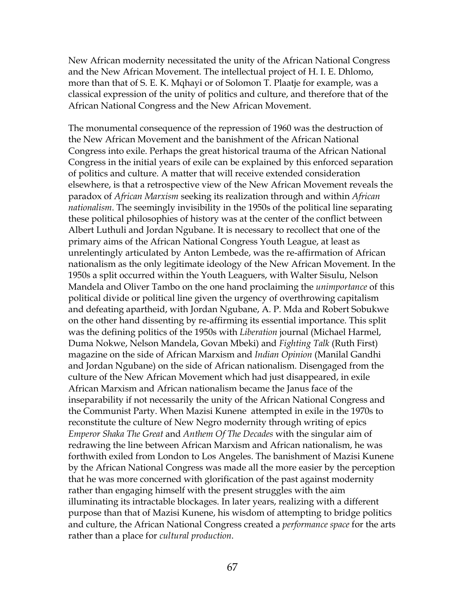New African modernity necessitated the unity of the African National Congress and the New African Movement. The intellectual project of H. I. E. Dhlomo, more than that of S. E. K. Mqhayi or of Solomon T. Plaatje for example, was a classical expression of the unity of politics and culture, and therefore that of the African National Congress and the New African Movement.

The monumental consequence of the repression of 1960 was the destruction of the New African Movement and the banishment of the African National Congress into exile. Perhaps the great historical trauma of the African National Congress in the initial years of exile can be explained by this enforced separation of politics and culture. A matter that will receive extended consideration elsewhere, is that a retrospective view of the New African Movement reveals the paradox of *African Marxism* seeking its realization through and within *African nationalism*. The seemingly invisibility in the 1950s of the political line separating these political philosophies of history was at the center of the conflict between Albert Luthuli and Jordan Ngubane. It is necessary to recollect that one of the primary aims of the African National Congress Youth League, at least as unrelentingly articulated by Anton Lembede, was the re-affirmation of African nationalism as the only legitimate ideology of the New African Movement. In the 1950s a split occurred within the Youth Leaguers, with Walter Sisulu, Nelson Mandela and Oliver Tambo on the one hand proclaiming the *unimportance* of this political divide or political line given the urgency of overthrowing capitalism and defeating apartheid, with Jordan Ngubane, A. P. Mda and Robert Sobukwe on the other hand dissenting by re-affirming its essential importance. This split was the defining politics of the 1950s with *Liberation* journal (Michael Harmel, Duma Nokwe, Nelson Mandela, Govan Mbeki) and *Fighting Talk* (Ruth First) magazine on the side of African Marxism and *Indian Opinion* (Manilal Gandhi and Jordan Ngubane) on the side of African nationalism. Disengaged from the culture of the New African Movement which had just disappeared, in exile African Marxism and African nationalism became the Janus face of the inseparability if not necessarily the unity of the African National Congress and the Communist Party. When Mazisi Kunene attempted in exile in the 1970s to reconstitute the culture of New Negro modernity through writing of epics *Emperor Shaka The Great* and *Anthem Of The Decades* with the singular aim of redrawing the line between African Marxism and African nationalism, he was forthwith exiled from London to Los Angeles. The banishment of Mazisi Kunene by the African National Congress was made all the more easier by the perception that he was more concerned with glorification of the past against modernity rather than engaging himself with the present struggles with the aim illuminating its intractable blockages. In later years, realizing with a different purpose than that of Mazisi Kunene, his wisdom of attempting to bridge politics and culture, the African National Congress created a *performance space* for the arts rather than a place for *cultural production*.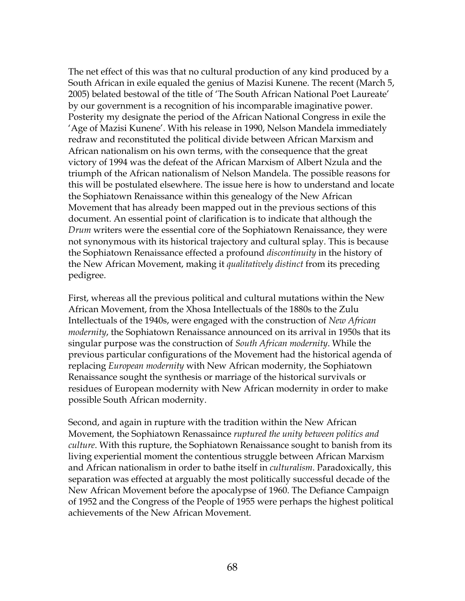The net effect of this was that no cultural production of any kind produced by a South African in exile equaled the genius of Mazisi Kunene. The recent (March 5, 2005) belated bestowal of the title of 'The South African National Poet Laureate' by our government is a recognition of his incomparable imaginative power. Posterity my designate the period of the African National Congress in exile the 'Age of Mazisi Kunene'. With his release in 1990, Nelson Mandela immediately redraw and reconstituted the political divide between African Marxism and African nationalism on his own terms, with the consequence that the great victory of 1994 was the defeat of the African Marxism of Albert Nzula and the triumph of the African nationalism of Nelson Mandela. The possible reasons for this will be postulated elsewhere. The issue here is how to understand and locate the Sophiatown Renaissance within this genealogy of the New African Movement that has already been mapped out in the previous sections of this document. An essential point of clarification is to indicate that although the *Drum* writers were the essential core of the Sophiatown Renaissance, they were not synonymous with its historical trajectory and cultural splay. This is because the Sophiatown Renaissance effected a profound *discontinuity* in the history of the New African Movement, making it *qualitatively distinct* from its preceding pedigree.

First, whereas all the previous political and cultural mutations within the New African Movement, from the Xhosa Intellectuals of the 1880s to the Zulu Intellectuals of the 1940s, were engaged with the construction of *New African modernity*, the Sophiatown Renaissance announced on its arrival in 1950s that its singular purpose was the construction of *South African modernity*. While the previous particular configurations of the Movement had the historical agenda of replacing *European modernity* with New African modernity, the Sophiatown Renaissance sought the synthesis or marriage of the historical survivals or residues of European modernity with New African modernity in order to make possible South African modernity.

Second, and again in rupture with the tradition within the New African Movement, the Sophiatown Renassaince *ruptured the unity between politics and culture*. With this rupture, the Sophiatown Renaissance sought to banish from its living experiential moment the contentious struggle between African Marxism and African nationalism in order to bathe itself in *culturalism*. Paradoxically, this separation was effected at arguably the most politically successful decade of the New African Movement before the apocalypse of 1960. The Defiance Campaign of 1952 and the Congress of the People of 1955 were perhaps the highest political achievements of the New African Movement.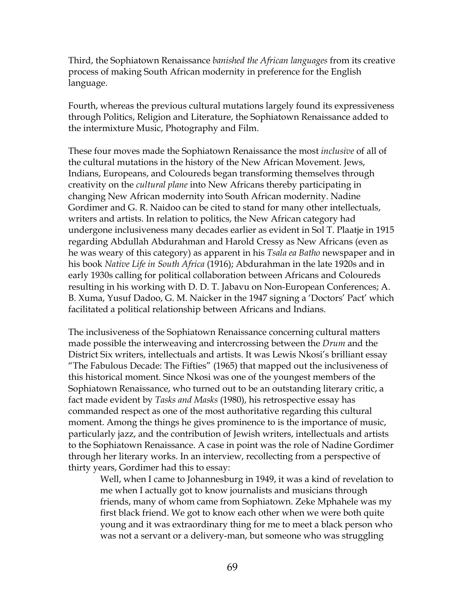Third, the Sophiatown Renaissance *banished the African languages* from its creative process of making South African modernity in preference for the English language.

Fourth, whereas the previous cultural mutations largely found its expressiveness through Politics, Religion and Literature, the Sophiatown Renaissance added to the intermixture Music, Photography and Film.

These four moves made the Sophiatown Renaissance the most *inclusive* of all of the cultural mutations in the history of the New African Movement. Jews, Indians, Europeans, and Coloureds began transforming themselves through creativity on the *cultural plane* into New Africans thereby participating in changing New African modernity into South African modernity. Nadine Gordimer and G. R. Naidoo can be cited to stand for many other intellectuals, writers and artists. In relation to politics, the New African category had undergone inclusiveness many decades earlier as evident in Sol T. Plaatje in 1915 regarding Abdullah Abdurahman and Harold Cressy as New Africans (even as he was weary of this category) as apparent in his *Tsala ea Batho* newspaper and in his book *Native Life in South Africa* (1916); Abdurahman in the late 1920s and in early 1930s calling for political collaboration between Africans and Coloureds resulting in his working with D. D. T. Jabavu on Non-European Conferences; A. B. Xuma, Yusuf Dadoo, G. M. Naicker in the 1947 signing a 'Doctors' Pact' which facilitated a political relationship between Africans and Indians.

The inclusiveness of the Sophiatown Renaissance concerning cultural matters made possible the interweaving and intercrossing between the *Drum* and the District Six writers, intellectuals and artists. It was Lewis Nkosi's brilliant essay "The Fabulous Decade: The Fifties" (1965) that mapped out the inclusiveness of this historical moment. Since Nkosi was one of the youngest members of the Sophiatown Renaissance, who turned out to be an outstanding literary critic, a fact made evident by *Tasks and Masks* (1980), his retrospective essay has commanded respect as one of the most authoritative regarding this cultural moment. Among the things he gives prominence to is the importance of music, particularly jazz, and the contribution of Jewish writers, intellectuals and artists to the Sophiatown Renaissance. A case in point was the role of Nadine Gordimer through her literary works. In an interview, recollecting from a perspective of thirty years, Gordimer had this to essay:

 Well, when I came to Johannesburg in 1949, it was a kind of revelation to me when I actually got to know journalists and musicians through friends, many of whom came from Sophiatown. Zeke Mphahele was my first black friend. We got to know each other when we were both quite young and it was extraordinary thing for me to meet a black person who was not a servant or a delivery-man, but someone who was struggling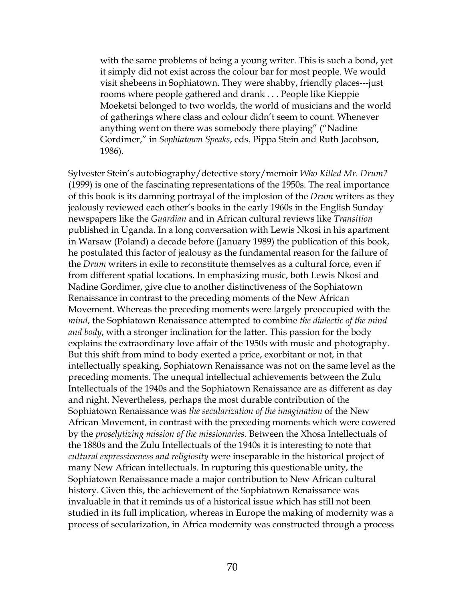with the same problems of being a young writer. This is such a bond, yet it simply did not exist across the colour bar for most people. We would visit shebeens in Sophiatown. They were shabby, friendly places---just rooms where people gathered and drank . . . People like Kieppie Moeketsi belonged to two worlds, the world of musicians and the world of gatherings where class and colour didn't seem to count. Whenever anything went on there was somebody there playing" ("Nadine Gordimer," in *Sophiatown Speaks*, eds. Pippa Stein and Ruth Jacobson, 1986).

Sylvester Stein's autobiography/detective story/memoir *Who Killed Mr. Drum?* (1999) is one of the fascinating representations of the 1950s. The real importance of this book is its damning portrayal of the implosion of the *Drum* writers as they jealously reviewed each other's books in the early 1960s in the English Sunday newspapers like the *Guardian* and in African cultural reviews like *Transition* published in Uganda. In a long conversation with Lewis Nkosi in his apartment in Warsaw (Poland) a decade before (January 1989) the publication of this book, he postulated this factor of jealousy as the fundamental reason for the failure of the *Drum* writers in exile to reconstitute themselves as a cultural force, even if from different spatial locations. In emphasizing music, both Lewis Nkosi and Nadine Gordimer, give clue to another distinctiveness of the Sophiatown Renaissance in contrast to the preceding moments of the New African Movement. Whereas the preceding moments were largely preoccupied with the *mind*, the Sophiatown Renaissance attempted to combine *the dialectic of the mind and body*, with a stronger inclination for the latter. This passion for the body explains the extraordinary love affair of the 1950s with music and photography. But this shift from mind to body exerted a price, exorbitant or not, in that intellectually speaking, Sophiatown Renaissance was not on the same level as the preceding moments. The unequal intellectual achievements between the Zulu Intellectuals of the 1940s and the Sophiatown Renaissance are as different as day and night. Nevertheless, perhaps the most durable contribution of the Sophiatown Renaissance was *the secularization of the imagination* of the New African Movement, in contrast with the preceding moments which were cowered by the *proselytizing mission of the missionaries.* Between the Xhosa Intellectuals of the 1880s and the Zulu Intellectuals of the 1940s it is interesting to note that *cultural expressiveness and religiosity* were inseparable in the historical project of many New African intellectuals. In rupturing this questionable unity, the Sophiatown Renaissance made a major contribution to New African cultural history. Given this, the achievement of the Sophiatown Renaissance was invaluable in that it reminds us of a historical issue which has still not been studied in its full implication, whereas in Europe the making of modernity was a process of secularization, in Africa modernity was constructed through a process